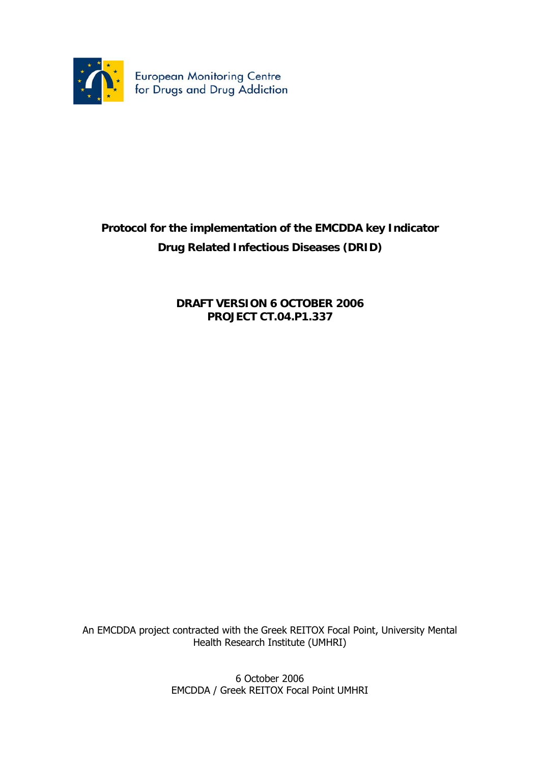

# **Protocol for the implementation of the EMCDDA key Indicator Drug Related Infectious Diseases (DRID)**

**DRAFT VERSION 6 OCTOBER 2006 PROJECT CT.04.P1.337** 

An EMCDDA project contracted with the Greek REITOX Focal Point, University Mental Health Research Institute (UMHRI)

> 6 October 2006 EMCDDA / Greek REITOX Focal Point UMHRI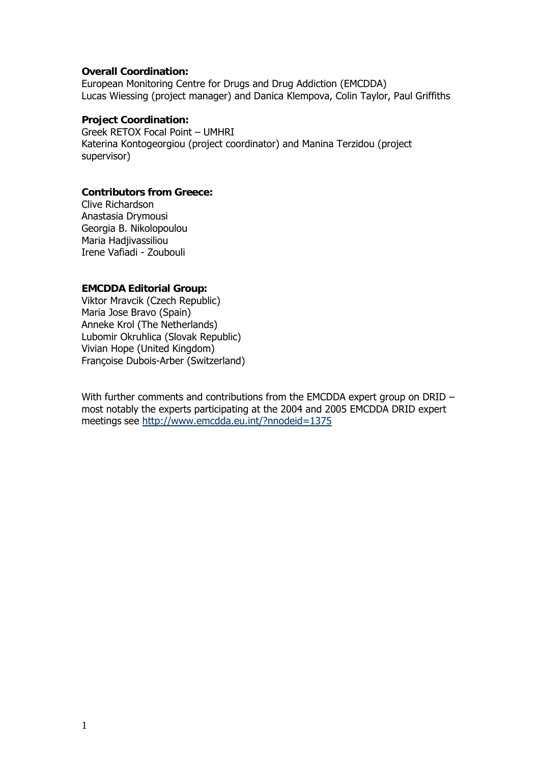#### **Overall Coordination:**

European Monitoring Centre for Drugs and Drug Addiction (EMCDDA) Lucas Wiessing (project manager) and Danica Klempova, Colin Taylor, Paul Griffiths

#### **Project Coordination:**

Greek RETOX Focal Point – UMHRI Katerina Kontogeorgiou (project coordinator) and Manina Terzidou (project supervisor)

#### **Contributors from Greece:**

Clive Richardson Anastasia Drymousi Georgia B. Nikolopoulou Maria Hadjivassiliou Irene Vafiadi - Zoubouli

#### **EMCDDA Editorial Group:**

Viktor Mravcik (Czech Republic) Maria Jose Bravo (Spain) Anneke Krol (The Netherlands) Lubomir Okruhlica (Slovak Republic) Vivian Hope (United Kingdom) Françoise Dubois-Arber (Switzerland)

With further comments and contributions from the EMCDDA expert group on DRID – most notably the experts participating at the 2004 and 2005 EMCDDA DRID expert meetings see http://www.emcdda.eu.int/?nnodeid=1375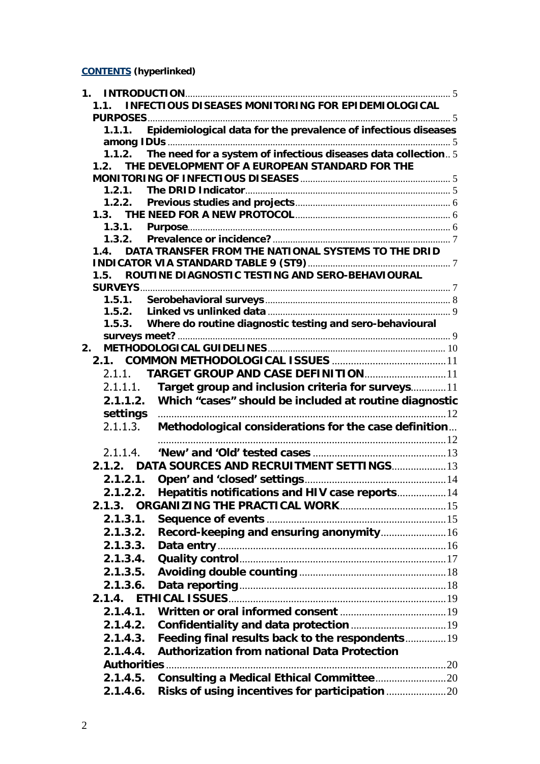**[CONTE](http://www.emcdda.eu.int/?nnodeid=1375CONTENTS)NTS (hyperlinked)** 

| $\mathbf 1$ . |                                                                         |  |
|---------------|-------------------------------------------------------------------------|--|
|               | <b>INFECTIOUS DISEASES MONITORING FOR EPIDEMIOLOGICAL</b><br>11         |  |
|               |                                                                         |  |
|               | 1.1.1. Epidemiological data for the prevalence of infectious diseases   |  |
|               |                                                                         |  |
|               | The need for a system of infectious diseases data collection5<br>1.1.2. |  |
|               | 1.2. THE DEVELOPMENT OF A EUROPEAN STANDARD FOR THE                     |  |
|               |                                                                         |  |
|               |                                                                         |  |
|               | 1.2.2.                                                                  |  |
|               |                                                                         |  |
|               |                                                                         |  |
|               | 1.3.2.                                                                  |  |
|               | DATA TRANSFER FROM THE NATIONAL SYSTEMS TO THE DRID<br>1.4.             |  |
|               |                                                                         |  |
|               | ROUTINE DIAGNOSTIC TESTING AND SERO-BEHAVIOURAL<br>1.5.                 |  |
|               |                                                                         |  |
|               |                                                                         |  |
|               | 1.5.2.                                                                  |  |
|               | 1.5.3. Where do routine diagnostic testing and sero-behavioural         |  |
|               |                                                                         |  |
| 2.            |                                                                         |  |
|               |                                                                         |  |
|               |                                                                         |  |
|               | Target group and inclusion criteria for surveys11<br>2.1.1.1.           |  |
|               | 2.1.1.2. Which "cases" should be included at routine diagnostic         |  |
|               | settings                                                                |  |
|               | 2.1.1.3.<br>Methodological considerations for the case definition       |  |
|               |                                                                         |  |
|               | 2.1.1.4.                                                                |  |
|               | 2.1.2. DATA SOURCES AND RECRUITMENT SETTINGS 13                         |  |
|               | 2.1.2.1.                                                                |  |
|               | Hepatitis notifications and HIV case reports 14<br>2122                 |  |
|               |                                                                         |  |
|               | 2.1.3.1.                                                                |  |
|               | Record-keeping and ensuring anonymity 16<br>2.1.3.2.                    |  |
|               | 2.1.3.3.                                                                |  |
|               |                                                                         |  |
|               | 2.1.3.4.                                                                |  |
|               | 2.1.3.5.                                                                |  |
|               | 2.1.3.6.                                                                |  |
|               |                                                                         |  |
|               | 2.1.4.1.                                                                |  |
|               | 2.1.4.2.                                                                |  |
|               | Feeding final results back to the respondents 19<br>2.1.4.3.            |  |
|               | <b>Authorization from national Data Protection</b><br>2.1.4.4.          |  |
|               |                                                                         |  |
|               | 2.1.4.5.                                                                |  |
|               | 2.1.4.6.                                                                |  |
|               |                                                                         |  |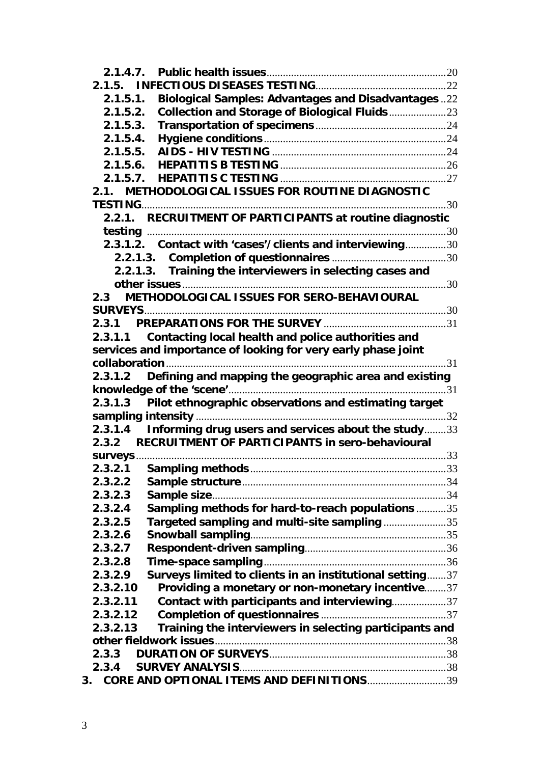| <b>Biological Samples: Advantages and Disadvantages22</b><br>2.1.5.1.          |  |
|--------------------------------------------------------------------------------|--|
| Collection and Storage of Biological Fluids 23<br>2.1.5.2.                     |  |
| 2.1.5.3.                                                                       |  |
| 2.1.5.4.                                                                       |  |
|                                                                                |  |
|                                                                                |  |
|                                                                                |  |
| 2.1. METHODOLOGICAL ISSUES FOR ROUTINE DIAGNOSTIC                              |  |
|                                                                                |  |
|                                                                                |  |
|                                                                                |  |
| 2.3.1.2. Contact with 'cases'/clients and interviewing30                       |  |
|                                                                                |  |
| 2.2.1.3. Training the interviewers in selecting cases and                      |  |
|                                                                                |  |
| METHODOLOGICAL ISSUES FOR SERO-BEHAVIOURAL<br>2.3                              |  |
|                                                                                |  |
|                                                                                |  |
| 2.3.1.1 Contacting local health and police authorities and                     |  |
| services and importance of looking for very early phase joint<br>collaboration |  |
| Defining and mapping the geographic area and existing<br>2.3.1.2               |  |
|                                                                                |  |
| Pilot ethnographic observations and estimating target<br>2.3.1.3               |  |
|                                                                                |  |
| 2.3.1.4 Informing drug users and services about the study33                    |  |
| 2.3.2 RECRUITMENT OF PARTICIPANTS in sero-behavioural                          |  |
|                                                                                |  |
| 2.3.2.1                                                                        |  |
| 2.3.2.2                                                                        |  |
| 2.3.2.3                                                                        |  |
| Sampling methods for hard-to-reach populations 35<br>2.3.2.4                   |  |
| Targeted sampling and multi-site sampling 35<br>2.3.2.5                        |  |
| 2.3.2.6                                                                        |  |
| 2.3.2.7                                                                        |  |
| 2.3.2.8                                                                        |  |
| Surveys limited to clients in an institutional setting37<br>2.3.2.9            |  |
| Providing a monetary or non-monetary incentive37<br>2.3.2.10                   |  |
| Contact with participants and interviewing37<br>2.3.2.11                       |  |
| 2.3.2.12                                                                       |  |
| Training the interviewers in selecting participants and<br>2.3.2.13            |  |
|                                                                                |  |
| 2.3.3<br>2.3.4                                                                 |  |
| CORE AND OPTIONAL ITEMS AND DEFINITIONS39<br>3.                                |  |
|                                                                                |  |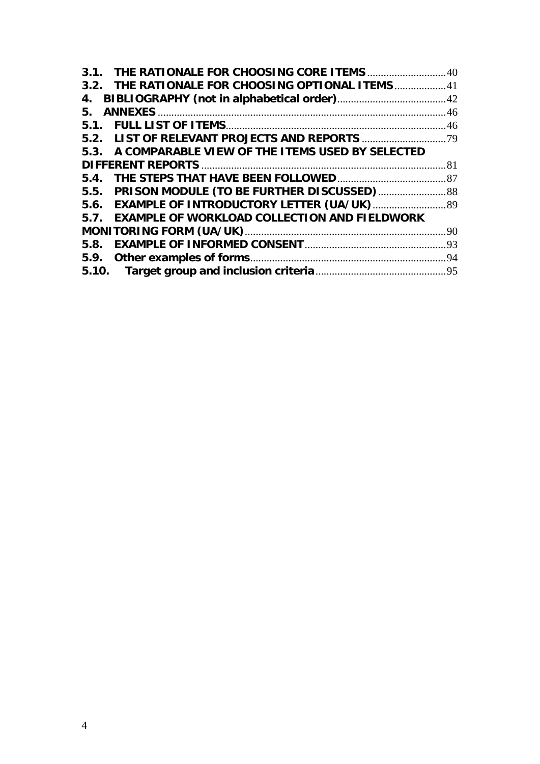| 3.2. THE RATIONALE FOR CHOOSING OPTIONAL ITEMS41     |  |  |  |  |  |
|------------------------------------------------------|--|--|--|--|--|
| 4.                                                   |  |  |  |  |  |
| 5.                                                   |  |  |  |  |  |
|                                                      |  |  |  |  |  |
|                                                      |  |  |  |  |  |
| 5.3. A COMPARABLE VIEW OF THE ITEMS USED BY SELECTED |  |  |  |  |  |
|                                                      |  |  |  |  |  |
|                                                      |  |  |  |  |  |
|                                                      |  |  |  |  |  |
| 5.6. EXAMPLE OF INTRODUCTORY LETTER (UA/UK)  89      |  |  |  |  |  |
| 5.7. EXAMPLE OF WORKLOAD COLLECTION AND FIELDWORK    |  |  |  |  |  |
|                                                      |  |  |  |  |  |
|                                                      |  |  |  |  |  |
|                                                      |  |  |  |  |  |
|                                                      |  |  |  |  |  |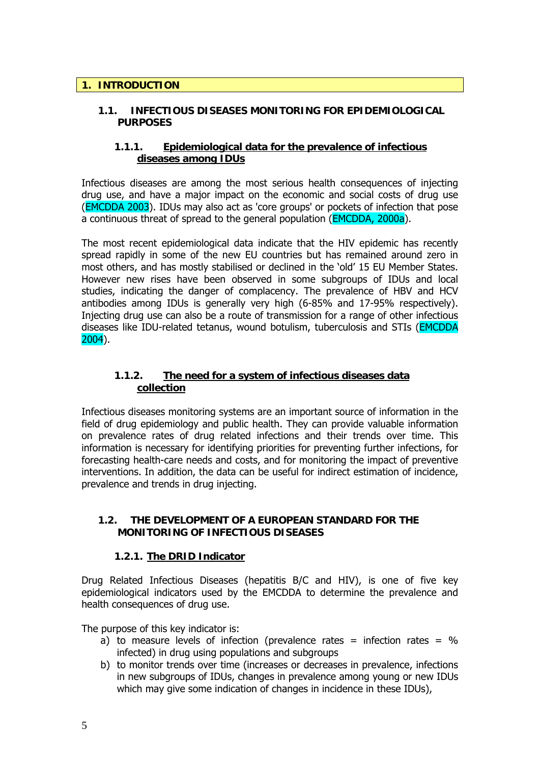### <span id="page-5-0"></span>**1. INTRODUCTION**

### **1.1. INFECTIOUS DISEASES MONITORING FOR EPIDEMIOLOGICAL PURPOSES**

### **1.1.1. Epidemiological data for the prevalence of infectious diseases among IDUs**

Infectious diseases are among the most serious health consequences of injecting drug use, and have a major impact on the economic and social costs of drug use (EMCDDA 2003). IDUs may also act as 'core groups' or pockets of infection that pose a continuous threat of spread to the general population (EMCDDA, 2000a).

The most recent epidemiological data indicate that the HIV epidemic has recently spread rapidly in some of the new EU countries but has remained around zero in most others, and has mostly stabilised or declined in the 'old' 15 EU Member States. However new rises have been observed in some subgroups of IDUs and local studies, indicating the danger of complacency. The prevalence of HBV and HCV antibodies among IDUs is generally very high (6-85% and 17-95% respectively). Injecting drug use can also be a route of transmission for a range of other infectious diseases like IDU-related tetanus, wound botulism, tuberculosis and STIs (EMCDDA 2004).

### **1.1.2. The need for a system of infectious diseases data collection**

Infectious diseases monitoring systems are an important source of information in the field of drug epidemiology and public health. They can provide valuable information on prevalence rates of drug related infections and their trends over time. This information is necessary for identifying priorities for preventing further infections, for forecasting health-care needs and costs, and for monitoring the impact of preventive interventions. In addition, the data can be useful for indirect estimation of incidence, prevalence and trends in drug injecting.

### **1.2. THE DEVELOPMENT OF A EUROPEAN STANDARD FOR THE MONITORING OF INFECTIOUS DISEASES**

# **1.2.1. The DRID Indicator**

Drug Related Infectious Diseases (hepatitis B/C and HIV), is one of five key epidemiological indicators used by the EMCDDA to determine the prevalence and health consequences of drug use.

The purpose of this key indicator is:

- a) to measure levels of infection (prevalence rates = infection rates =  $\%$ infected) in drug using populations and subgroups
- b) to monitor trends over time (increases or decreases in prevalence, infections in new subgroups of IDUs, changes in prevalence among young or new IDUs which may give some indication of changes in incidence in these IDUs),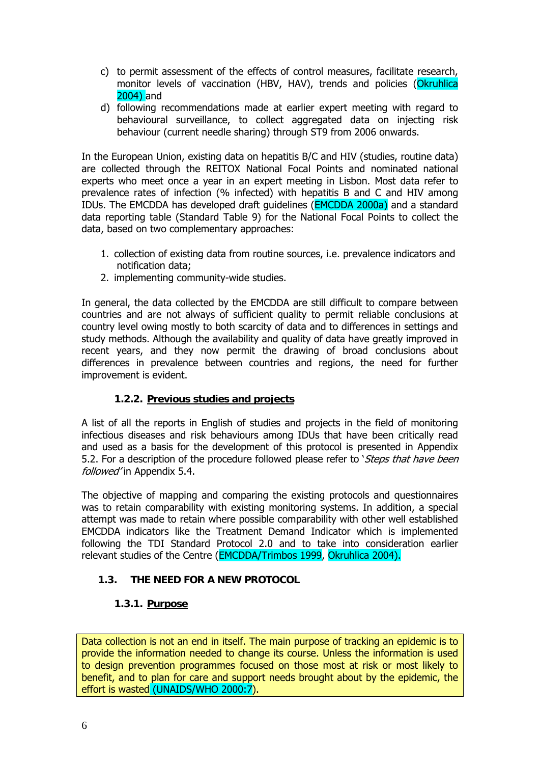- <span id="page-6-0"></span>c) to permit assessment of the effects of control measures, facilitate research, monitor levels of vaccination (HBV, HAV), trends and policies (Okruhlica 2004) and
- d) following recommendations made at earlier expert meeting with regard to behavioural surveillance, to collect aggregated data on injecting risk behaviour (current needle sharing) through ST9 from 2006 onwards.

In the European Union, existing data on hepatitis B/C and HIV (studies, routine data) are collected through the REITOX National Focal Points and nominated national experts who meet once a year in an expert meeting in Lisbon. Most data refer to prevalence rates of infection (% infected) with hepatitis B and C and HIV among IDUs. The EMCDDA has developed draft guidelines (EMCDDA 2000a) and a standard data reporting table (Standard Table 9) for the National Focal Points to collect the data, based on two complementary approaches:

- 1. collection of existing data from routine sources, i.e. prevalence indicators and notification data;
- 2. implementing community-wide studies.

In general, the data collected by the EMCDDA are still difficult to compare between countries and are not always of sufficient quality to permit reliable conclusions at country level owing mostly to both scarcity of data and to differences in settings and study methods. Although the availability and quality of data have greatly improved in recent years, and they now permit the drawing of broad conclusions about differences in prevalence between countries and regions, the need for further improvement is evident.

# **1.2.2. Previous studies and projects**

A list of all the reports in English of studies and projects in the field of monitoring infectious diseases and risk behaviours among IDUs that have been critically read and used as a basis for the development of this protocol is presented in Appendix 5.2. For a description of the procedure followed please refer to *Steps that have been* followed'in Appendix 5.4.

The objective of mapping and comparing the existing protocols and questionnaires was to retain comparability with existing monitoring systems. In addition, a special attempt was made to retain where possible comparability with other well established EMCDDA indicators like the Treatment Demand Indicator which is implemented following the TDI Standard Protocol 2.0 and to take into consideration earlier relevant studies of the Centre (EMCDDA/Trimbos 1999, Okruhlica 2004).

# **1.3. THE NEED FOR A NEW PROTOCOL**

### **1.3.1. Purpose**

Data collection is not an end in itself. The main purpose of tracking an epidemic is to provide the information needed to change its course. Unless the information is used to design prevention programmes focused on those most at risk or most likely to benefit, and to plan for care and support needs brought about by the epidemic, the effort is wasted (UNAIDS/WHO 2000:7).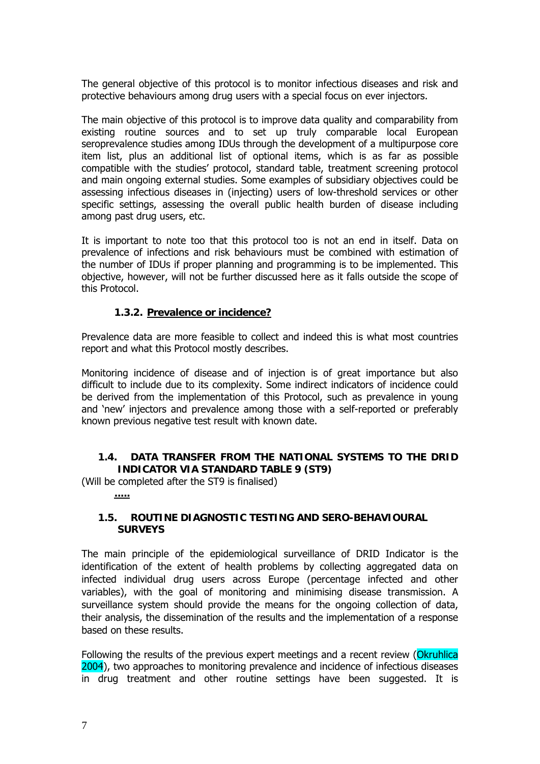<span id="page-7-0"></span>The general objective of this protocol is to monitor infectious diseases and risk and protective behaviours among drug users with a special focus on ever injectors.

The main objective of this protocol is to improve data quality and comparability from existing routine sources and to set up truly comparable local European seroprevalence studies among IDUs through the development of a multipurpose core item list, plus an additional list of optional items, which is as far as possible compatible with the studies' protocol, standard table, treatment screening protocol and main ongoing external studies. Some examples of subsidiary objectives could be assessing infectious diseases in (injecting) users of low-threshold services or other specific settings, assessing the overall public health burden of disease including among past drug users, etc.

It is important to note too that this protocol too is not an end in itself. Data on prevalence of infections and risk behaviours must be combined with estimation of the number of IDUs if proper planning and programming is to be implemented. This objective, however, will not be further discussed here as it falls outside the scope of this Protocol.

### **1.3.2. Prevalence or incidence?**

Prevalence data are more feasible to collect and indeed this is what most countries report and what this Protocol mostly describes.

Monitoring incidence of disease and of injection is of great importance but also difficult to include due to its complexity. Some indirect indicators of incidence could be derived from the implementation of this Protocol, such as prevalence in young and 'new' injectors and prevalence among those with a self-reported or preferably known previous negative test result with known date.

### **1.4. DATA TRANSFER FROM THE NATIONAL SYSTEMS TO THE DRID INDICATOR VIA STANDARD TABLE 9 (ST9)**

(Will be completed after the ST9 is finalised)

**.....**

### **1.5. ROUTINE DIAGNOSTIC TESTING AND SERO-BEHAVIOURAL SURVEYS**

The main principle of the epidemiological surveillance of DRID Indicator is the identification of the extent of health problems by collecting aggregated data on infected individual drug users across Europe (percentage infected and other variables), with the goal of monitoring and minimising disease transmission. A surveillance system should provide the means for the ongoing collection of data, their analysis, the dissemination of the results and the implementation of a response based on these results.

Following the results of the previous expert meetings and a recent review (Okruhlica 2004), two approaches to monitoring prevalence and incidence of infectious diseases in drug treatment and other routine settings have been suggested. It is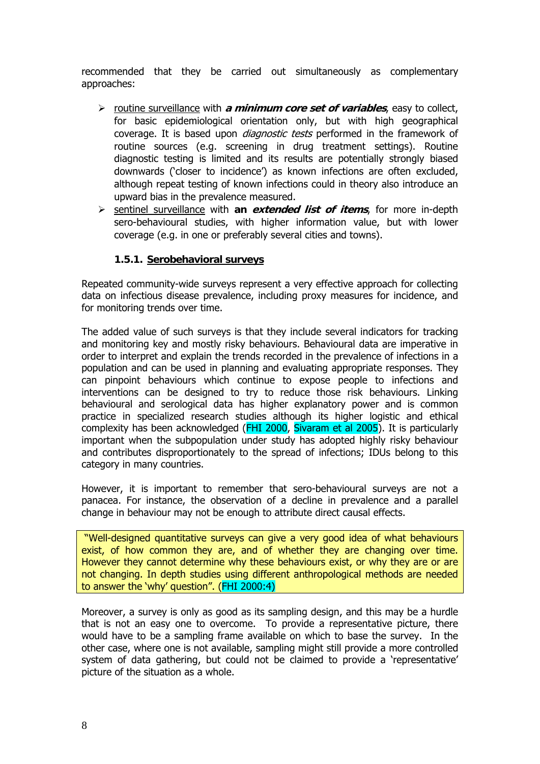<span id="page-8-0"></span>recommended that they be carried out simultaneously as complementary approaches:

- ¾ routine surveillance with **a minimum core set of variables**, easy to collect, for basic epidemiological orientation only, but with high geographical coverage. It is based upon *diagnostic tests* performed in the framework of routine sources (e.g. screening in drug treatment settings). Routine diagnostic testing is limited and its results are potentially strongly biased downwards ('closer to incidence') as known infections are often excluded, although repeat testing of known infections could in theory also introduce an upward bias in the prevalence measured.
- ¾ sentinel surveillance with **an extended list of items**, for more in-depth sero-behavioural studies, with higher information value, but with lower coverage (e.g. in one or preferably several cities and towns).

### **1.5.1. Serobehavioral surveys**

Repeated community-wide surveys represent a very effective approach for collecting data on infectious disease prevalence, including proxy measures for incidence, and for monitoring trends over time.

The added value of such surveys is that they include several indicators for tracking and monitoring key and mostly risky behaviours. Behavioural data are imperative in order to interpret and explain the trends recorded in the prevalence of infections in a population and can be used in planning and evaluating appropriate responses. They can pinpoint behaviours which continue to expose people to infections and interventions can be designed to try to reduce those risk behaviours. Linking behavioural and serological data has higher explanatory power and is common practice in specialized research studies although its higher logistic and ethical complexity has been acknowledged (FHI 2000, Sivaram et al 2005). It is particularly important when the subpopulation under study has adopted highly risky behaviour and contributes disproportionately to the spread of infections; IDUs belong to this category in many countries.

However, it is important to remember that sero-behavioural surveys are not a panacea. For instance, the observation of a decline in prevalence and a parallel change in behaviour may not be enough to attribute direct causal effects.

 "Well-designed quantitative surveys can give a very good idea of what behaviours exist, of how common they are, and of whether they are changing over time. However they cannot determine why these behaviours exist, or why they are or are not changing. In depth studies using different anthropological methods are needed to answer the 'why' question". (FHI 2000:4)

Moreover, a survey is only as good as its sampling design, and this may be a hurdle that is not an easy one to overcome. To provide a representative picture, there would have to be a sampling frame available on which to base the survey. In the other case, where one is not available, sampling might still provide a more controlled system of data gathering, but could not be claimed to provide a 'representative' picture of the situation as a whole.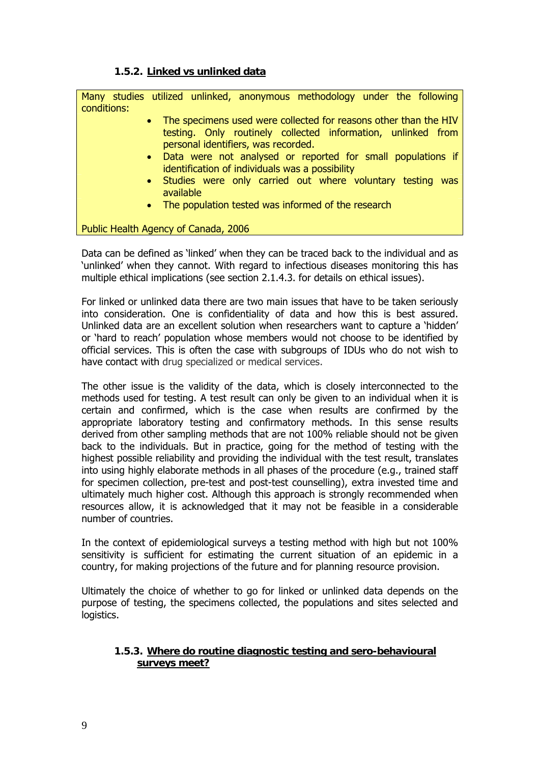### **1.5.2. Linked vs unlinked data**

<span id="page-9-0"></span>Many studies utilized unlinked, anonymous methodology under the following conditions:

- The specimens used were collected for reasons other than the HIV testing. Only routinely collected information, unlinked from personal identifiers, was recorded.
	- Data were not analysed or reported for small populations if identification of individuals was a possibility
	- Studies were only carried out where voluntary testing was available
	- The population tested was informed of the research

Public Health Agency of Canada, 2006

Data can be defined as 'linked' when they can be traced back to the individual and as 'unlinked' when they cannot. With regard to infectious diseases monitoring this has multiple ethical implications (see section 2.1.4.3. for details on ethical issues).

For linked or unlinked data there are two main issues that have to be taken seriously into consideration. One is confidentiality of data and how this is best assured. Unlinked data are an excellent solution when researchers want to capture a 'hidden' or 'hard to reach' population whose members would not choose to be identified by official services. This is often the case with subgroups of IDUs who do not wish to have contact with drug specialized or medical services.

The other issue is the validity of the data, which is closely interconnected to the methods used for testing. A test result can only be given to an individual when it is certain and confirmed, which is the case when results are confirmed by the appropriate laboratory testing and confirmatory methods. In this sense results derived from other sampling methods that are not 100% reliable should not be given back to the individuals. But in practice, going for the method of testing with the highest possible reliability and providing the individual with the test result, translates into using highly elaborate methods in all phases of the procedure (e.g., trained staff for specimen collection, pre-test and post-test counselling), extra invested time and ultimately much higher cost. Although this approach is strongly recommended when resources allow, it is acknowledged that it may not be feasible in a considerable number of countries.

In the context of epidemiological surveys a testing method with high but not 100% sensitivity is sufficient for estimating the current situation of an epidemic in a country, for making projections of the future and for planning resource provision.

Ultimately the choice of whether to go for linked or unlinked data depends on the purpose of testing, the specimens collected, the populations and sites selected and logistics.

### **1.5.3. Where do routine diagnostic testing and sero-behavioural surveys meet?**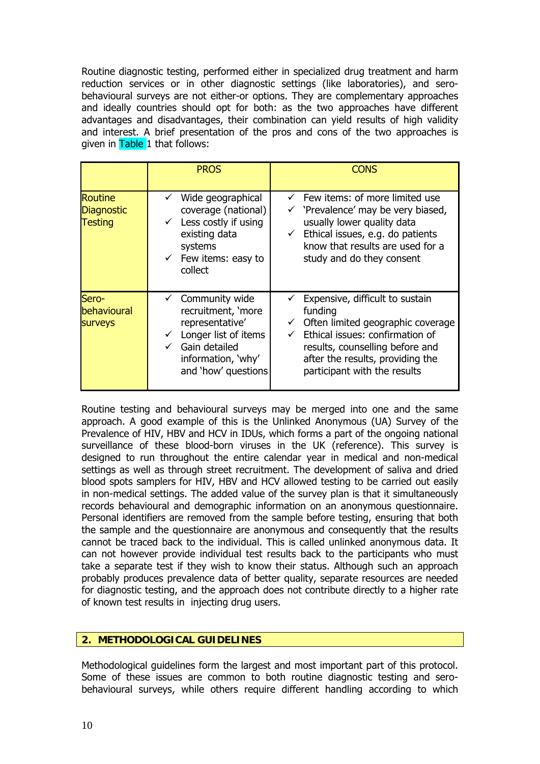<span id="page-10-0"></span>Routine diagnostic testing, performed either in specialized drug treatment and harm reduction services or in other diagnostic settings (like laboratories), and serobehavioural surveys are not either-or options. They are complementary approaches and ideally countries should opt for both: as the two approaches have different advantages and disadvantages, their combination can yield results of high validity and interest. A brief presentation of the pros and cons of the two approaches is given in Table 1 that follows:

|                                                       | <b>PROS</b>                                                                                                                                             | Cons                                                                                                                                                                                                                                         |  |  |
|-------------------------------------------------------|---------------------------------------------------------------------------------------------------------------------------------------------------------|----------------------------------------------------------------------------------------------------------------------------------------------------------------------------------------------------------------------------------------------|--|--|
| <b>Routine</b><br><b>Diagnostic</b><br><b>Testing</b> | Wide geographical<br>coverage (national)<br>$\checkmark$ Less costly if using<br>existing data<br>systems<br>$\checkmark$ Few items: easy to<br>collect | $\checkmark$ Few items: of more limited use<br>$\checkmark$ 'Prevalence' may be very biased,<br>usually lower quality data<br>$\checkmark$ Ethical issues, e.g. do patients<br>know that results are used for a<br>study and do they consent |  |  |
| Sero-<br>behavioural<br><b>Surveys</b>                | Community wide<br>recruitment, 'more<br>representative'<br>Longer list of items<br>Gain detailed<br>information, 'why'<br>and 'how' questions           | Expensive, difficult to sustain<br>funding<br>$\checkmark$ Often limited geographic coverage<br>Ethical issues: confirmation of<br>results, counselling before and<br>after the results, providing the<br>participant with the results       |  |  |

Routine testing and behavioural surveys may be merged into one and the same approach. A good example of this is the Unlinked Anonymous (UA) Survey of the Prevalence of HIV, HBV and HCV in IDUs, which forms a part of the ongoing national surveillance of these blood-born viruses in the UK (reference). This survey is designed to run throughout the entire calendar year in medical and non-medical settings as well as through street recruitment. The development of saliva and dried blood spots samplers for HIV, HBV and HCV allowed testing to be carried out easily in non-medical settings. The added value of the survey plan is that it simultaneously records behavioural and demographic information on an anonymous questionnaire. Personal identifiers are removed from the sample before testing, ensuring that both the sample and the questionnaire are anonymous and consequently that the results cannot be traced back to the individual. This is called unlinked anonymous data. It can not however provide individual test results back to the participants who must take a separate test if they wish to know their status. Although such an approach probably produces prevalence data of better quality, separate resources are needed for diagnostic testing, and the approach does not contribute directly to a higher rate of known test results in injecting drug users.

# **2. METHODOLOGICAL GUIDELINES**

Methodological guidelines form the largest and most important part of this protocol. Some of these issues are common to both routine diagnostic testing and serobehavioural surveys, while others require different handling according to which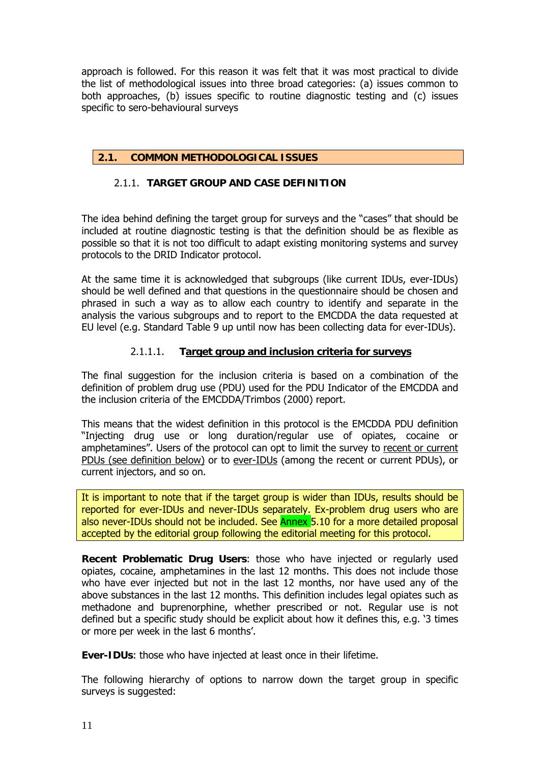<span id="page-11-0"></span>approach is followed. For this reason it was felt that it was most practical to divide the list of methodological issues into three broad categories: (a) issues common to both approaches, (b) issues specific to routine diagnostic testing and (c) issues specific to sero-behavioural surveys

# **2.1. COMMON METHODOLOGICAL ISSUES**

### 2.1.1. **TARGET GROUP AND CASE DEFINITION**

The idea behind defining the target group for surveys and the "cases" that should be included at routine diagnostic testing is that the definition should be as flexible as possible so that it is not too difficult to adapt existing monitoring systems and survey protocols to the DRID Indicator protocol.

At the same time it is acknowledged that subgroups (like current IDUs, ever-IDUs) should be well defined and that questions in the questionnaire should be chosen and phrased in such a way as to allow each country to identify and separate in the analysis the various subgroups and to report to the EMCDDA the data requested at EU level (e.g. Standard Table 9 up until now has been collecting data for ever-IDUs).

### 2.1.1.1. **Target group and inclusion criteria for surveys**

The final suggestion for the inclusion criteria is based on a combination of the definition of problem drug use (PDU) used for the PDU Indicator of the EMCDDA and the inclusion criteria of the EMCDDA/Trimbos (2000) report.

This means that the widest definition in this protocol is the EMCDDA PDU definition "Injecting drug use or long duration/regular use of opiates, cocaine or amphetamines". Users of the protocol can opt to limit the survey to recent or current PDUs (see definition below) or to ever-IDUs (among the recent or current PDUs), or current injectors, and so on.

It is important to note that if the target group is wider than IDUs, results should be reported for ever-IDUs and never-IDUs separately. Ex-problem drug users who are also never-IDUs should not be included. See Annex 5.10 for a more detailed proposal accepted by the editorial group following the editorial meeting for this protocol.

**Recent Problematic Drug Users**: those who have injected or regularly used opiates, cocaine, amphetamines in the last 12 months. This does not include those who have ever injected but not in the last 12 months, nor have used any of the above substances in the last 12 months. This definition includes legal opiates such as methadone and buprenorphine, whether prescribed or not. Regular use is not defined but a specific study should be explicit about how it defines this, e.g. '3 times or more per week in the last 6 months'.

**Ever-IDUs**: those who have injected at least once in their lifetime.

The following hierarchy of options to narrow down the target group in specific surveys is suggested: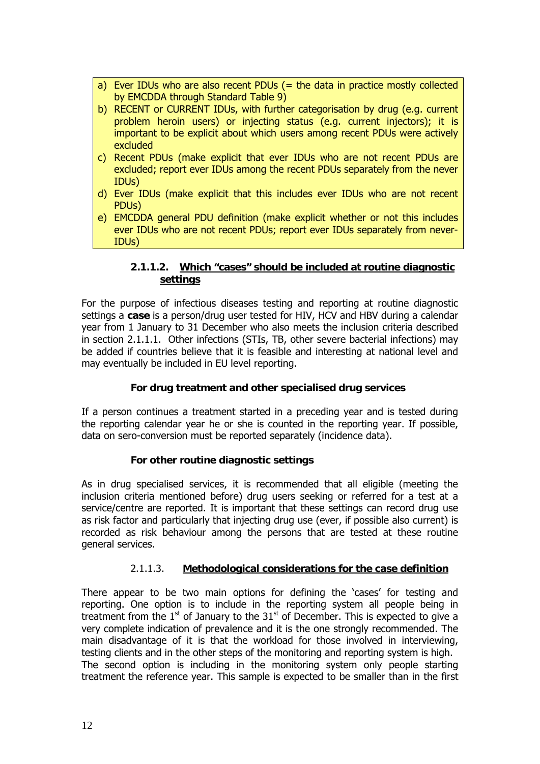- <span id="page-12-0"></span>a) Ever IDUs who are also recent PDUs (= the data in practice mostly collected by EMCDDA through Standard Table 9)
- b) RECENT or CURRENT IDUs, with further categorisation by drug (e.g. current problem heroin users) or injecting status (e.g. current injectors); it is important to be explicit about which users among recent PDUs were actively excluded
- c) Recent PDUs (make explicit that ever IDUs who are not recent PDUs are excluded; report ever IDUs among the recent PDUs separately from the never IDUs)
- d) Ever IDUs (make explicit that this includes ever IDUs who are not recent PDUs)
- e) EMCDDA general PDU definition (make explicit whether or not this includes ever IDUs who are not recent PDUs; report ever IDUs separately from never-IDUs)

# **2.1.1.2. Which "cases" should be included at routine diagnostic settings**

For the purpose of infectious diseases testing and reporting at routine diagnostic settings a **case** is a person/drug user tested for HIV, HCV and HBV during a calendar year from 1 January to 31 December who also meets the inclusion criteria described in section 2.1.1.1. Other infections (STIs, TB, other severe bacterial infections) may be added if countries believe that it is feasible and interesting at national level and may eventually be included in EU level reporting.

# **For drug treatment and other specialised drug services**

If a person continues a treatment started in a preceding year and is tested during the reporting calendar year he or she is counted in the reporting year. If possible, data on sero-conversion must be reported separately (incidence data).

# **For other routine diagnostic settings**

As in drug specialised services, it is recommended that all eligible (meeting the inclusion criteria mentioned before) drug users seeking or referred for a test at a service/centre are reported. It is important that these settings can record drug use as risk factor and particularly that injecting drug use (ever, if possible also current) is recorded as risk behaviour among the persons that are tested at these routine general services.

# 2.1.1.3. **Methodological considerations for the case definition**

There appear to be two main options for defining the 'cases' for testing and reporting. One option is to include in the reporting system all people being in treatment from the  $1<sup>st</sup>$  of January to the  $31<sup>st</sup>$  of December. This is expected to give a very complete indication of prevalence and it is the one strongly recommended. The main disadvantage of it is that the workload for those involved in interviewing, testing clients and in the other steps of the monitoring and reporting system is high. The second option is including in the monitoring system only people starting treatment the reference year. This sample is expected to be smaller than in the first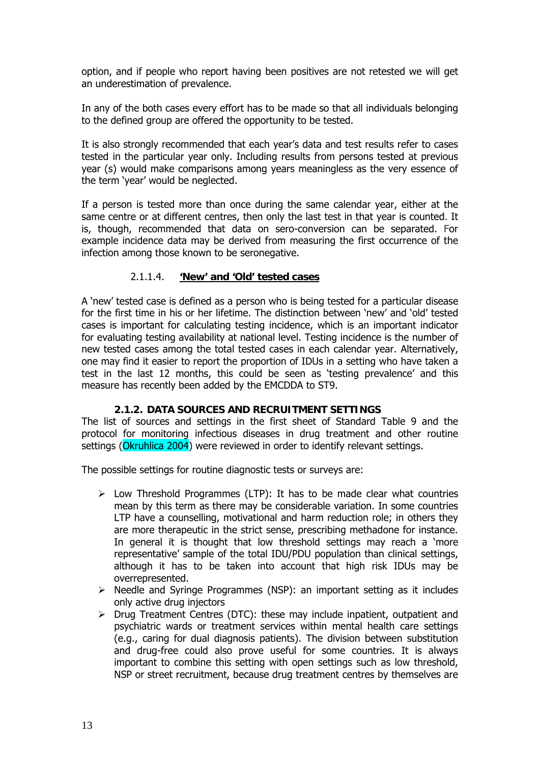<span id="page-13-0"></span>option, and if people who report having been positives are not retested we will get an underestimation of prevalence.

In any of the both cases every effort has to be made so that all individuals belonging to the defined group are offered the opportunity to be tested.

It is also strongly recommended that each year's data and test results refer to cases tested in the particular year only. Including results from persons tested at previous year (s) would make comparisons among years meaningless as the very essence of the term 'year' would be neglected.

If a person is tested more than once during the same calendar year, either at the same centre or at different centres, then only the last test in that year is counted. It is, though, recommended that data on sero-conversion can be separated. For example incidence data may be derived from measuring the first occurrence of the infection among those known to be seronegative.

### 2.1.1.4. **'New' and 'Old' tested cases**

A 'new' tested case is defined as a person who is being tested for a particular disease for the first time in his or her lifetime. The distinction between 'new' and 'old' tested cases is important for calculating testing incidence, which is an important indicator for evaluating testing availability at national level. Testing incidence is the number of new tested cases among the total tested cases in each calendar year. Alternatively, one may find it easier to report the proportion of IDUs in a setting who have taken a test in the last 12 months, this could be seen as 'testing prevalence' and this measure has recently been added by the EMCDDA to ST9.

### **2.1.2. DATA SOURCES AND RECRUITMENT SETTINGS**

The list of sources and settings in the first sheet of Standard Table 9 and the protocol for monitoring infectious diseases in drug treatment and other routine settings (Okruhlica 2004) were reviewed in order to identify relevant settings.

The possible settings for routine diagnostic tests or surveys are:

- $\triangleright$  Low Threshold Programmes (LTP): It has to be made clear what countries mean by this term as there may be considerable variation. In some countries LTP have a counselling, motivational and harm reduction role; in others they are more therapeutic in the strict sense, prescribing methadone for instance. In general it is thought that low threshold settings may reach a 'more representative' sample of the total IDU/PDU population than clinical settings, although it has to be taken into account that high risk IDUs may be overrepresented.
- $\triangleright$  Needle and Syringe Programmes (NSP): an important setting as it includes only active drug injectors
- $\triangleright$  Drug Treatment Centres (DTC): these may include inpatient, outpatient and psychiatric wards or treatment services within mental health care settings (e.g., caring for dual diagnosis patients). The division between substitution and drug-free could also prove useful for some countries. It is always important to combine this setting with open settings such as low threshold, NSP or street recruitment, because drug treatment centres by themselves are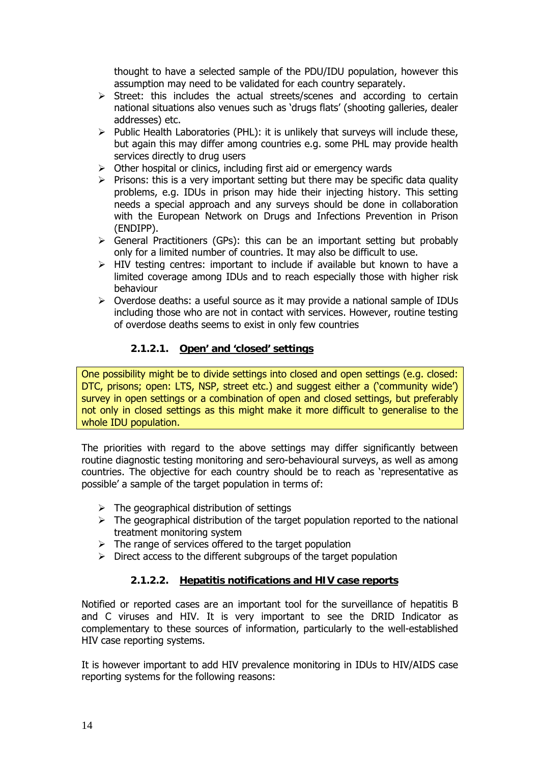<span id="page-14-0"></span>thought to have a selected sample of the PDU/IDU population, however this assumption may need to be validated for each country separately.

- $\triangleright$  Street: this includes the actual streets/scenes and according to certain national situations also venues such as 'drugs flats' (shooting galleries, dealer addresses) etc.
- $\triangleright$  Public Health Laboratories (PHL): it is unlikely that surveys will include these, but again this may differ among countries e.g. some PHL may provide health services directly to drug users
- $\triangleright$  Other hospital or clinics, including first aid or emergency wards
- $\triangleright$  Prisons: this is a very important setting but there may be specific data quality problems, e.g. IDUs in prison may hide their injecting history. This setting needs a special approach and any surveys should be done in collaboration with the European Network on Drugs and Infections Prevention in Prison (ENDIPP).
- $\triangleright$  General Practitioners (GPs): this can be an important setting but probably only for a limited number of countries. It may also be difficult to use.
- $\triangleright$  HIV testing centres: important to include if available but known to have a limited coverage among IDUs and to reach especially those with higher risk behaviour
- $\triangleright$  Overdose deaths: a useful source as it may provide a national sample of IDUs including those who are not in contact with services. However, routine testing of overdose deaths seems to exist in only few countries

# **2.1.2.1. Open' and 'closed' settings**

One possibility might be to divide settings into closed and open settings (e.g. closed: DTC, prisons; open: LTS, NSP, street etc.) and suggest either a ('community wide') survey in open settings or a combination of open and closed settings, but preferably not only in closed settings as this might make it more difficult to generalise to the whole IDU population.

The priorities with regard to the above settings may differ significantly between routine diagnostic testing monitoring and sero-behavioural surveys, as well as among countries. The objective for each country should be to reach as 'representative as possible' a sample of the target population in terms of:

- $\triangleright$  The geographical distribution of settings
- $\triangleright$  The geographical distribution of the target population reported to the national treatment monitoring system
- $\triangleright$  The range of services offered to the target population
- $\triangleright$  Direct access to the different subgroups of the target population

# **2.1.2.2. Hepatitis notifications and HIV case reports**

Notified or reported cases are an important tool for the surveillance of hepatitis B and C viruses and HIV. It is very important to see the DRID Indicator as complementary to these sources of information, particularly to the well-established HIV case reporting systems.

It is however important to add HIV prevalence monitoring in IDUs to HIV/AIDS case reporting systems for the following reasons: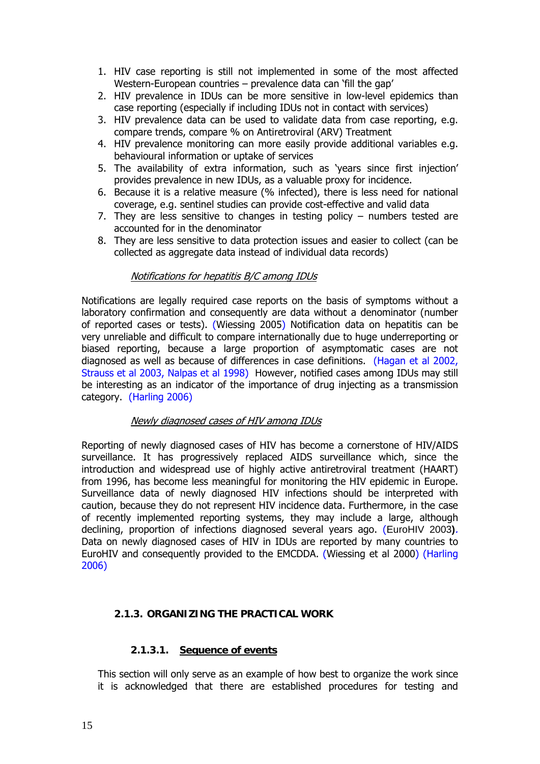- <span id="page-15-0"></span>1. HIV case reporting is still not implemented in some of the most affected Western-European countries – prevalence data can 'fill the gap'
- 2. HIV prevalence in IDUs can be more sensitive in low-level epidemics than case reporting (especially if including IDUs not in contact with services)
- 3. HIV prevalence data can be used to validate data from case reporting, e.g. compare trends, compare % on Antiretroviral (ARV) Treatment
- 4. HIV prevalence monitoring can more easily provide additional variables e.g. behavioural information or uptake of services
- 5. The availability of extra information, such as 'years since first injection' provides prevalence in new IDUs, as a valuable proxy for incidence.
- 6. Because it is a relative measure (% infected), there is less need for national coverage, e.g. sentinel studies can provide cost-effective and valid data
- 7. They are less sensitive to changes in testing policy numbers tested are accounted for in the denominator
- 8. They are less sensitive to data protection issues and easier to collect (can be collected as aggregate data instead of individual data records)

### Notifications for hepatitis B/C among IDUs

Notifications are legally required case reports on the basis of symptoms without a laboratory confirmation and consequently are data without a denominator (number of reported cases or tests). (Wiessing 2005) Notification data on hepatitis can be very unreliable and difficult to compare internationally due to huge underreporting or biased reporting, because a large proportion of asymptomatic cases are not diagnosed as well as because of differences in case definitions. (Hagan et al 2002, Strauss et al 2003, Nalpas et al 1998) However, notified cases among IDUs may still be interesting as an indicator of the importance of drug injecting as a transmission category. (Harling 2006)

### Newly diagnosed cases of HIV among IDUs

Reporting of newly diagnosed cases of HIV has become a cornerstone of HIV/AIDS surveillance. It has progressively replaced AIDS surveillance which, since the introduction and widespread use of highly active antiretroviral treatment (HAART) from 1996, has become less meaningful for monitoring the HIV epidemic in Europe. Surveillance data of newly diagnosed HIV infections should be interpreted with caution, because they do not represent HIV incidence data. Furthermore, in the case of recently implemented reporting systems, they may include a large, although declining, proportion of infections diagnosed several years ago. (EuroHIV 2003**)**. Data on newly diagnosed cases of HIV in IDUs are reported by many countries to EuroHIV and consequently provided to the EMCDDA. (Wiessing et al 2000) (Harling 2006)

### **2.1.3. ORGANIZING THE PRACTICAL WORK**

### **2.1.3.1. Sequence of events**

This section will only serve as an example of how best to organize the work since it is acknowledged that there are established procedures for testing and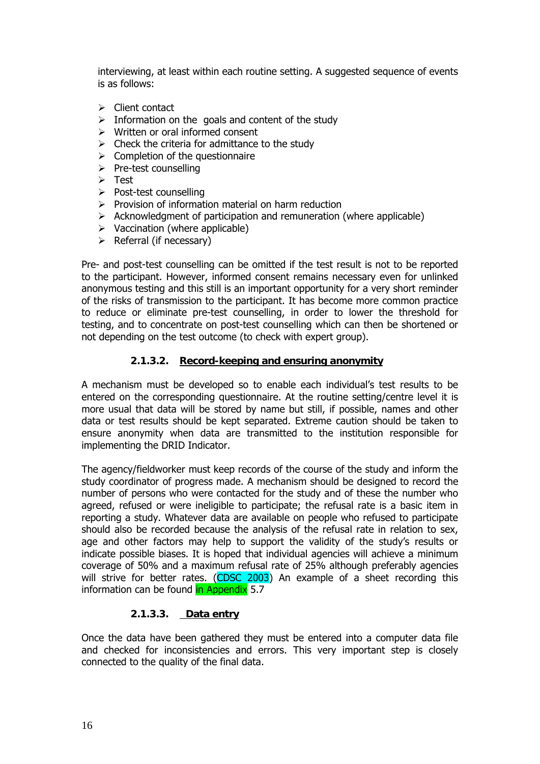<span id="page-16-0"></span>interviewing, at least within each routine setting. A suggested sequence of events is as follows:

- $\triangleright$  Client contact
- $\triangleright$  Information on the goals and content of the study
- $\triangleright$  Written or oral informed consent
- $\triangleright$  Check the criteria for admittance to the study
- $\triangleright$  Completion of the questionnaire
- $\triangleright$  Pre-test counselling
- $\triangleright$  Test
- ¾ Post-test counselling
- $\triangleright$  Provision of information material on harm reduction
- $\triangleright$  Acknowledgment of participation and remuneration (where applicable)
- $\triangleright$  Vaccination (where applicable)
- $\triangleright$  Referral (if necessary)

Pre- and post-test counselling can be omitted if the test result is not to be reported to the participant. However, informed consent remains necessary even for unlinked anonymous testing and this still is an important opportunity for a very short reminder of the risks of transmission to the participant. It has become more common practice to reduce or eliminate pre-test counselling, in order to lower the threshold for testing, and to concentrate on post-test counselling which can then be shortened or not depending on the test outcome (to check with expert group).

### **2.1.3.2. Record-keeping and ensuring anonymity**

A mechanism must be developed so to enable each individual's test results to be entered on the corresponding questionnaire. At the routine setting/centre level it is more usual that data will be stored by name but still, if possible, names and other data or test results should be kept separated. Extreme caution should be taken to ensure anonymity when data are transmitted to the institution responsible for implementing the DRID Indicator.

The agency/fieldworker must keep records of the course of the study and inform the study coordinator of progress made. A mechanism should be designed to record the number of persons who were contacted for the study and of these the number who agreed, refused or were ineligible to participate; the refusal rate is a basic item in reporting a study. Whatever data are available on people who refused to participate should also be recorded because the analysis of the refusal rate in relation to sex, age and other factors may help to support the validity of the study's results or indicate possible biases. It is hoped that individual agencies will achieve a minimum coverage of 50% and a maximum refusal rate of 25% although preferably agencies will strive for better rates. (CDSC 2003) An example of a sheet recording this information can be found in Appendix 5.7

### **2.1.3.3. Data entry**

Once the data have been gathered they must be entered into a computer data file and checked for inconsistencies and errors. This very important step is closely connected to the quality of the final data.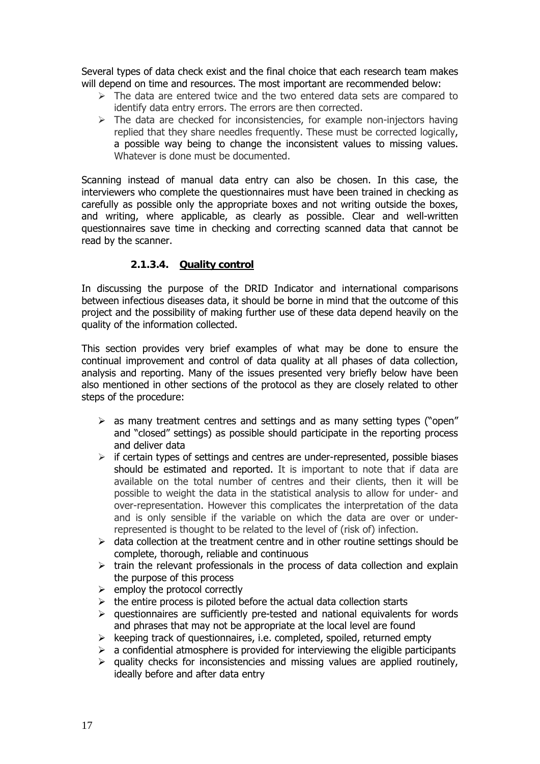<span id="page-17-0"></span>Several types of data check exist and the final choice that each research team makes will depend on time and resources. The most important are recommended below:

- $\geq$  The data are entered twice and the two entered data sets are compared to identify data entry errors. The errors are then corrected.
- $\triangleright$  The data are checked for inconsistencies, for example non-injectors having replied that they share needles frequently. These must be corrected logically, a possible way being to change the inconsistent values to missing values. Whatever is done must be documented.

Scanning instead of manual data entry can also be chosen. In this case, the interviewers who complete the questionnaires must have been trained in checking as carefully as possible only the appropriate boxes and not writing outside the boxes, and writing, where applicable, as clearly as possible. Clear and well-written questionnaires save time in checking and correcting scanned data that cannot be read by the scanner.

### **2.1.3.4. Quality control**

In discussing the purpose of the DRID Indicator and international comparisons between infectious diseases data, it should be borne in mind that the outcome of this project and the possibility of making further use of these data depend heavily on the quality of the information collected.

This section provides very brief examples of what may be done to ensure the continual improvement and control of data quality at all phases of data collection, analysis and reporting. Many of the issues presented very briefly below have been also mentioned in other sections of the protocol as they are closely related to other steps of the procedure:

- ¾ as many treatment centres and settings and as many setting types ("open" and "closed" settings) as possible should participate in the reporting process and deliver data
- $\triangleright$  if certain types of settings and centres are under-represented, possible biases should be estimated and reported. It is important to note that if data are available on the total number of centres and their clients, then it will be possible to weight the data in the statistical analysis to allow for under- and over-representation. However this complicates the interpretation of the data and is only sensible if the variable on which the data are over or underrepresented is thought to be related to the level of (risk of) infection.
- $\geq$  data collection at the treatment centre and in other routine settings should be complete, thorough, reliable and continuous
- $\triangleright$  train the relevant professionals in the process of data collection and explain the purpose of this process
- $\triangleright$  employ the protocol correctly
- $\triangleright$  the entire process is piloted before the actual data collection starts
- $\triangleright$  questionnaires are sufficiently pre-tested and national equivalents for words and phrases that may not be appropriate at the local level are found
- $\triangleright$  keeping track of questionnaires, i.e. completed, spoiled, returned empty
- $\geq$  a confidential atmosphere is provided for interviewing the eligible participants
- $\triangleright$  quality checks for inconsistencies and missing values are applied routinely, ideally before and after data entry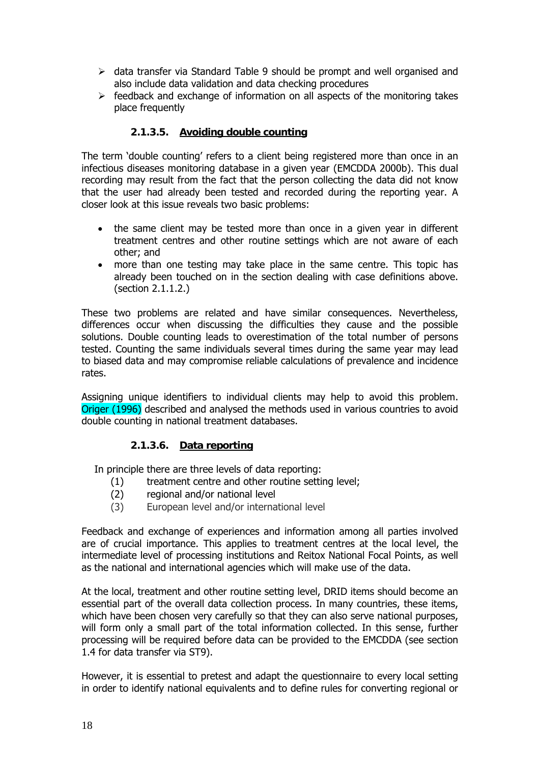- <span id="page-18-0"></span> $\triangleright$  data transfer via Standard Table 9 should be prompt and well organised and also include data validation and data checking procedures
- $\triangleright$  feedback and exchange of information on all aspects of the monitoring takes place frequently

# **2.1.3.5. Avoiding double counting**

The term 'double counting' refers to a client being registered more than once in an infectious diseases monitoring database in a given year (EMCDDA 2000b). This dual recording may result from the fact that the person collecting the data did not know that the user had already been tested and recorded during the reporting year. A closer look at this issue reveals two basic problems:

- the same client may be tested more than once in a given year in different treatment centres and other routine settings which are not aware of each other; and
- more than one testing may take place in the same centre. This topic has already been touched on in the section dealing with case definitions above. (section 2.1.1.2.)

These two problems are related and have similar consequences. Nevertheless, differences occur when discussing the difficulties they cause and the possible solutions. Double counting leads to overestimation of the total number of persons tested. Counting the same individuals several times during the same year may lead to biased data and may compromise reliable calculations of prevalence and incidence rates.

Assigning unique identifiers to individual clients may help to avoid this problem. Origer (1996) described and analysed the methods used in various countries to avoid double counting in national treatment databases.

### **2.1.3.6. Data reporting**

In principle there are three levels of data reporting:

- (1) treatment centre and other routine setting level;
- (2) regional and/or national level
- (3) European level and/or international level

Feedback and exchange of experiences and information among all parties involved are of crucial importance. This applies to treatment centres at the local level, the intermediate level of processing institutions and Reitox National Focal Points, as well as the national and international agencies which will make use of the data.

At the local, treatment and other routine setting level, DRID items should become an essential part of the overall data collection process. In many countries, these items, which have been chosen very carefully so that they can also serve national purposes, will form only a small part of the total information collected. In this sense, further processing will be required before data can be provided to the EMCDDA (see section 1.4 for data transfer via ST9).

However, it is essential to pretest and adapt the questionnaire to every local setting in order to identify national equivalents and to define rules for converting regional or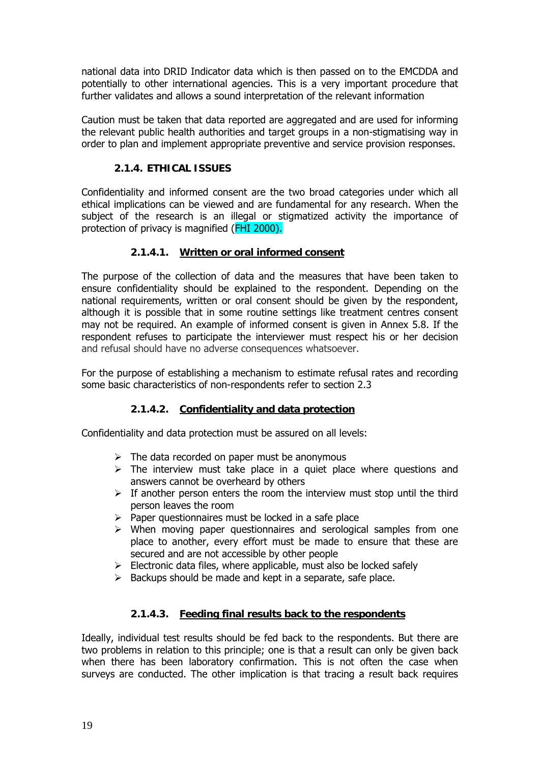<span id="page-19-0"></span>national data into DRID Indicator data which is then passed on to the EMCDDA and potentially to other international agencies. This is a very important procedure that further validates and allows a sound interpretation of the relevant information

Caution must be taken that data reported are aggregated and are used for informing the relevant public health authorities and target groups in a non-stigmatising way in order to plan and implement appropriate preventive and service provision responses.

# **2.1.4. ETHICAL ISSUES**

Confidentiality and informed consent are the two broad categories under which all ethical implications can be viewed and are fundamental for any research. When the subject of the research is an illegal or stigmatized activity the importance of protection of privacy is magnified (FHI 2000).

### **2.1.4.1. Written or oral informed consent**

The purpose of the collection of data and the measures that have been taken to ensure confidentiality should be explained to the respondent. Depending on the national requirements, written or oral consent should be given by the respondent, although it is possible that in some routine settings like treatment centres consent may not be required. An example of informed consent is given in Annex 5.8. If the respondent refuses to participate the interviewer must respect his or her decision and refusal should have no adverse consequences whatsoever.

For the purpose of establishing a mechanism to estimate refusal rates and recording some basic characteristics of non-respondents refer to section 2.3

### **2.1.4.2. Confidentiality and data protection**

Confidentiality and data protection must be assured on all levels:

- $\triangleright$  The data recorded on paper must be anonymous
- $\triangleright$  The interview must take place in a quiet place where questions and answers cannot be overheard by others
- $\triangleright$  If another person enters the room the interview must stop until the third person leaves the room
- $\triangleright$  Paper questionnaires must be locked in a safe place
- $\triangleright$  When moving paper questionnaires and serological samples from one place to another, every effort must be made to ensure that these are secured and are not accessible by other people
- $\triangleright$  Electronic data files, where applicable, must also be locked safely
- $\triangleright$  Backups should be made and kept in a separate, safe place.

### **2.1.4.3. Feeding final results back to the respondents**

Ideally, individual test results should be fed back to the respondents. But there are two problems in relation to this principle; one is that a result can only be given back when there has been laboratory confirmation. This is not often the case when surveys are conducted. The other implication is that tracing a result back requires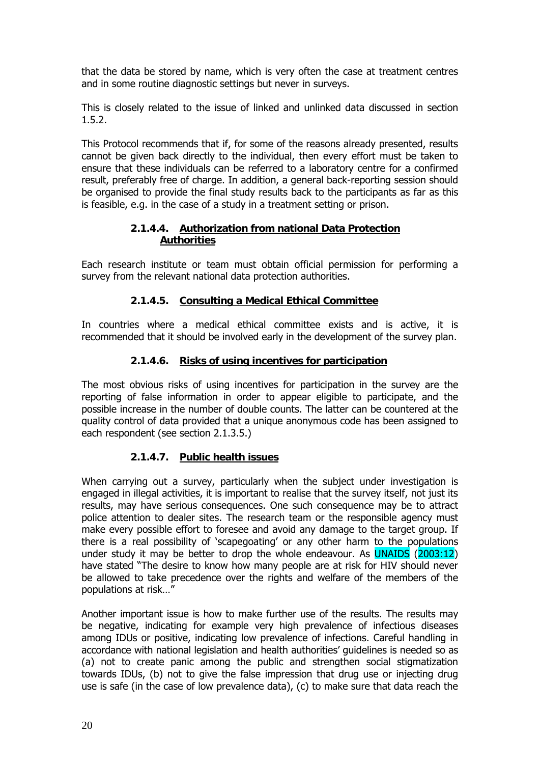<span id="page-20-0"></span>that the data be stored by name, which is very often the case at treatment centres and in some routine diagnostic settings but never in surveys.

This is closely related to the issue of linked and unlinked data discussed in section 1.5.2.

This Protocol recommends that if, for some of the reasons already presented, results cannot be given back directly to the individual, then every effort must be taken to ensure that these individuals can be referred to a laboratory centre for a confirmed result, preferably free of charge. In addition, a general back-reporting session should be organised to provide the final study results back to the participants as far as this is feasible, e.g. in the case of a study in a treatment setting or prison.

# **2.1.4.4. Authorization from national Data Protection Authorities**

Each research institute or team must obtain official permission for performing a survey from the relevant national data protection authorities.

# **2.1.4.5. Consulting a Medical Ethical Committee**

In countries where a medical ethical committee exists and is active, it is recommended that it should be involved early in the development of the survey plan.

# **2.1.4.6. Risks of using incentives for participation**

The most obvious risks of using incentives for participation in the survey are the reporting of false information in order to appear eligible to participate, and the possible increase in the number of double counts. The latter can be countered at the quality control of data provided that a unique anonymous code has been assigned to each respondent (see section 2.1.3.5.)

# **2.1.4.7. Public health issues**

When carrying out a survey, particularly when the subject under investigation is engaged in illegal activities, it is important to realise that the survey itself, not just its results, may have serious consequences. One such consequence may be to attract police attention to dealer sites. The research team or the responsible agency must make every possible effort to foresee and avoid any damage to the target group. If there is a real possibility of 'scapegoating' or any other harm to the populations under study it may be better to drop the whole endeavour. As UNAIDS (2003:12) have stated "The desire to know how many people are at risk for HIV should never be allowed to take precedence over the rights and welfare of the members of the populations at risk…"

Another important issue is how to make further use of the results. The results may be negative, indicating for example very high prevalence of infectious diseases among IDUs or positive, indicating low prevalence of infections. Careful handling in accordance with national legislation and health authorities' guidelines is needed so as (a) not to create panic among the public and strengthen social stigmatization towards IDUs, (b) not to give the false impression that drug use or injecting drug use is safe (in the case of low prevalence data), (c) to make sure that data reach the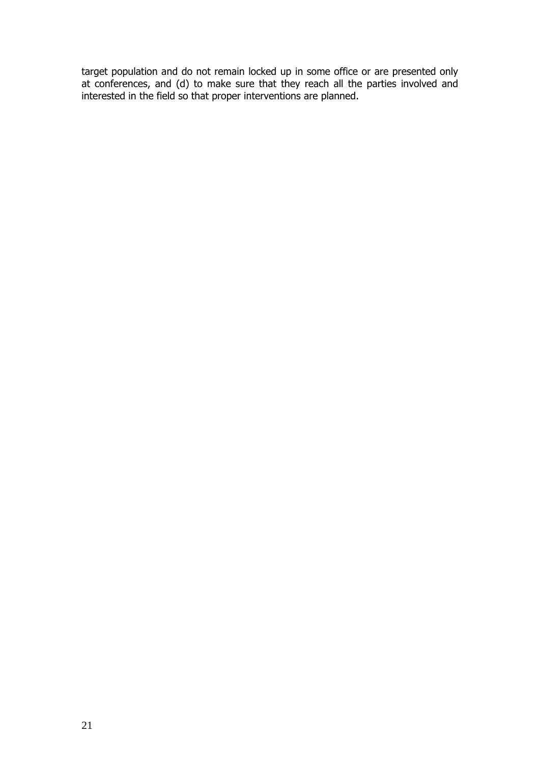target population and do not remain locked up in some office or are presented only at conferences, and (d) to make sure that they reach all the parties involved and interested in the field so that proper interventions are planned.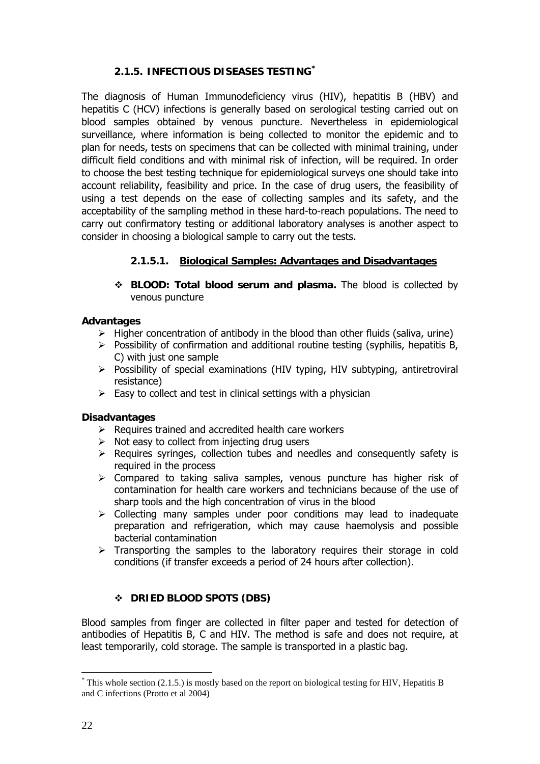# **2.1.5. INFECTIOUS DISEASES TESTING\***

<span id="page-22-0"></span>The diagnosis of Human Immunodeficiency virus (HIV), hepatitis B (HBV) and hepatitis C (HCV) infections is generally based on serological testing carried out on blood samples obtained by venous puncture. Nevertheless in epidemiological surveillance, where information is being collected to monitor the epidemic and to plan for needs, tests on specimens that can be collected with minimal training, under difficult field conditions and with minimal risk of infection, will be required. In order to choose the best testing technique for epidemiological surveys one should take into account reliability, feasibility and price. In the case of drug users, the feasibility of using a test depends on the ease of collecting samples and its safety, and the acceptability of the sampling method in these hard-to-reach populations. The need to carry out confirmatory testing or additional laboratory analyses is another aspect to consider in choosing a biological sample to carry out the tests.

# **2.1.5.1. Biological Samples: Advantages and Disadvantages**

 **BLOOD: Total blood serum and plasma.** The blood is collected by venous puncture

### **Advantages**

- $\triangleright$  Higher concentration of antibody in the blood than other fluids (saliva, urine)
- $\triangleright$  Possibility of confirmation and additional routine testing (syphilis, hepatitis B, C) with just one sample
- $\triangleright$  Possibility of special examinations (HIV typing, HIV subtyping, antiretroviral resistance)
- $\triangleright$  Easy to collect and test in clinical settings with a physician

### **Disadvantages**

- $\triangleright$  Requires trained and accredited health care workers
- $\triangleright$  Not easy to collect from injecting drug users
- $\triangleright$  Requires syringes, collection tubes and needles and consequently safety is required in the process
- $\triangleright$  Compared to taking saliva samples, venous puncture has higher risk of contamination for health care workers and technicians because of the use of sharp tools and the high concentration of virus in the blood
- $\triangleright$  Collecting many samples under poor conditions may lead to inadequate preparation and refrigeration, which may cause haemolysis and possible bacterial contamination
- $\triangleright$  Transporting the samples to the laboratory requires their storage in cold conditions (if transfer exceeds a period of 24 hours after collection).

# **DRIED BLOOD SPOTS (DBS)**

Blood samples from finger are collected in filter paper and tested for detection of antibodies of Hepatitis B, C and HIV. The method is safe and does not require, at least temporarily, cold storage. The sample is transported in a plastic bag.

<sup>&</sup>lt;u>.</u> \* This whole section (2.1.5.) is mostly based on the report on biological testing for HIV, Hepatitis B and C infections (Protto et al 2004)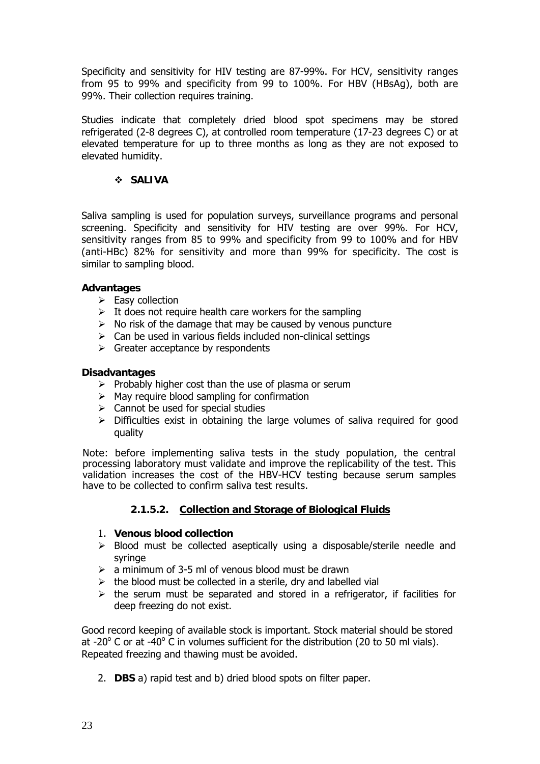Specificity and sensitivity for HIV testing are 87-99%. For HCV, sensitivity ranges from 95 to 99% and specificity from 99 to 100%. For HBV (HBsAg), both are 99%. Their collection requires training.

Studies indicate that completely dried blood spot specimens may be stored refrigerated (2-8 degrees C), at controlled room temperature (17-23 degrees C) or at elevated temperature for up to three months as long as they are not exposed to elevated humidity.

### **SALIVA**

Saliva sampling is used for population surveys, surveillance programs and personal screening. Specificity and sensitivity for HIV testing are over 99%. For HCV, sensitivity ranges from 85 to 99% and specificity from 99 to 100% and for HBV (anti-HBc) 82% for sensitivity and more than 99% for specificity. The cost is similar to sampling blood.

### **Advantages**

- $\triangleright$  Easy collection
- $\triangleright$  It does not require health care workers for the sampling
- $\triangleright$  No risk of the damage that may be caused by venous puncture
- $\triangleright$  Can be used in various fields included non-clinical settings
- $\triangleright$  Greater acceptance by respondents

### **Disadvantages**

- $\triangleright$  Probably higher cost than the use of plasma or serum
- $\triangleright$  May require blood sampling for confirmation
- $\triangleright$  Cannot be used for special studies
- $\triangleright$  Difficulties exist in obtaining the large volumes of saliva required for good quality

Note: before implementing saliva tests in the study population, the central processing laboratory must validate and improve the replicability of the test. This validation increases the cost of the HBV-HCV testing because serum samples have to be collected to confirm saliva test results.

### **2.1.5.2. Collection and Storage of Biological Fluids**

### 1. **Venous blood collection**

- $\triangleright$  Blood must be collected aseptically using a disposable/sterile needle and syringe
- $\geq$  a minimum of 3-5 ml of venous blood must be drawn
- $\triangleright$  the blood must be collected in a sterile, dry and labelled vial
- $\triangleright$  the serum must be separated and stored in a refrigerator, if facilities for deep freezing do not exist.

Good record keeping of available stock is important. Stock material should be stored at -20 $^{\circ}$  C or at -40 $^{\circ}$  C in volumes sufficient for the distribution (20 to 50 ml vials). Repeated freezing and thawing must be avoided.

2. **DBS** a) rapid test and b) dried blood spots on filter paper.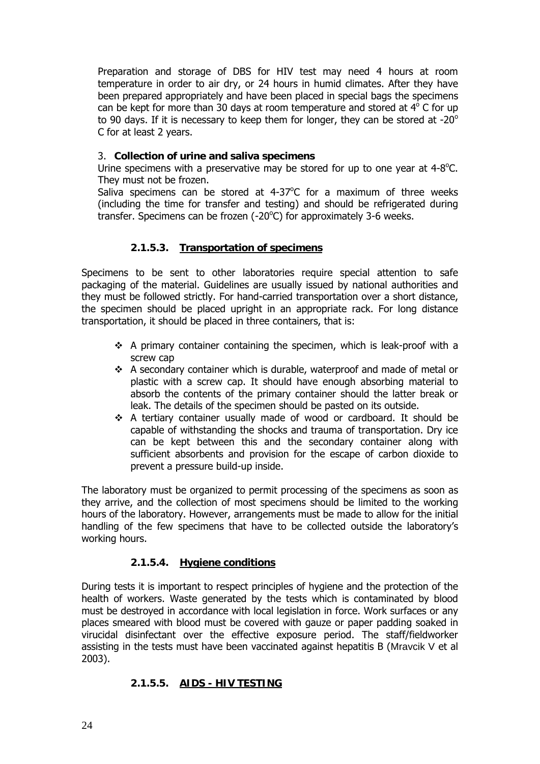Preparation and storage of DBS for HIV test may need 4 hours at room temperature in order to air dry, or 24 hours in humid climates. After they have been prepared appropriately and have been placed in special bags the specimens can be kept for more than 30 days at room temperature and stored at  $4^{\circ}$  C for up to 90 days. If it is necessary to keep them for longer, they can be stored at -20 $^{\circ}$ C for at least 2 years.

### 3. **Collection of urine and saliva specimens**

Urine specimens with a preservative may be stored for up to one year at  $4-8^{\circ}$ C. They must not be frozen.

Saliva specimens can be stored at  $4-37^{\circ}$ C for a maximum of three weeks (including the time for transfer and testing) and should be refrigerated during transfer. Specimens can be frozen (-20°C) for approximately 3-6 weeks.

### **2.1.5.3. Transportation of specimens**

Specimens to be sent to other laboratories require special attention to safe packaging of the material. Guidelines are usually issued by national authorities and they must be followed strictly. For hand-carried transportation over a short distance, the specimen should be placed upright in an appropriate rack. For long distance transportation, it should be placed in three containers, that is:

- $\div$  A primary container containing the specimen, which is leak-proof with a screw cap
- $\div$  A secondary container which is durable, waterproof and made of metal or plastic with a screw cap. It should have enough absorbing material to absorb the contents of the primary container should the latter break or leak. The details of the specimen should be pasted on its outside.
- A tertiary container usually made of wood or cardboard. It should be capable of withstanding the shocks and trauma of transportation. Dry ice can be kept between this and the secondary container along with sufficient absorbents and provision for the escape of carbon dioxide to prevent a pressure build-up inside.

The laboratory must be organized to permit processing of the specimens as soon as they arrive, and the collection of most specimens should be limited to the working hours of the laboratory. However, arrangements must be made to allow for the initial handling of the few specimens that have to be collected outside the laboratory's working hours.

# **2.1.5.4. Hygiene conditions**

During tests it is important to respect principles of hygiene and the protection of the health of workers. Waste generated by the tests which is contaminated by blood must be destroyed in accordance with local legislation in force. Work surfaces or any places smeared with blood must be covered with gauze or paper padding soaked in virucidal disinfectant over the effective exposure period. The staff/fieldworker assisting in the tests must have been vaccinated against hepatitis B (Mravcik V et al 2003).

### **2.1.5.5. AIDS - HIV TESTING**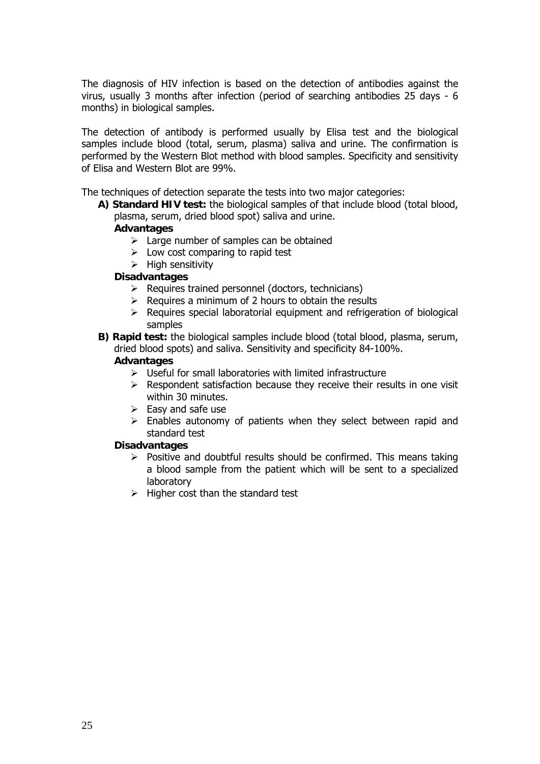The diagnosis of HIV infection is based on the detection of antibodies against the virus, usually 3 months after infection (period of searching antibodies 25 days - 6 months) in biological samples.

The detection of antibody is performed usually by Elisa test and the biological samples include blood (total, serum, plasma) saliva and urine. The confirmation is performed by the Western Blot method with blood samples. Specificity and sensitivity of Elisa and Western Blot are 99%.

The techniques of detection separate the tests into two major categories:

**A) Standard HIV test:** the biological samples of that include blood (total blood, plasma, serum, dried blood spot) saliva and urine.

#### **Advantages**

- $\triangleright$  Large number of samples can be obtained
- $\triangleright$  Low cost comparing to rapid test
- $\triangleright$  High sensitivity

#### **Disadvantages**

- $\triangleright$  Requires trained personnel (doctors, technicians)
- $\triangleright$  Requires a minimum of 2 hours to obtain the results
- $\triangleright$  Requires special laboratorial equipment and refrigeration of biological samples
- **B) Rapid test:** the biological samples include blood (total blood, plasma, serum, dried blood spots) and saliva. Sensitivity and specificity 84-100%.

#### **Advantages**

- $\triangleright$  Useful for small laboratories with limited infrastructure
- $\triangleright$  Respondent satisfaction because they receive their results in one visit within 30 minutes.
- $\triangleright$  Easy and safe use
- $\triangleright$  Enables autonomy of patients when they select between rapid and standard test

#### **Disadvantages**

- $\triangleright$  Positive and doubtful results should be confirmed. This means taking a blood sample from the patient which will be sent to a specialized laboratory
- $\triangleright$  Higher cost than the standard test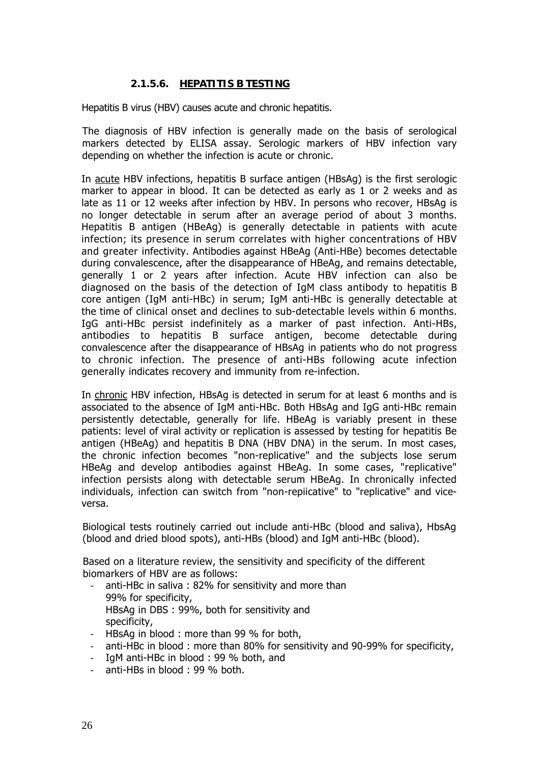# **2.1.5.6. HEPATITIS B TESTING**

Hepatitis B virus (HBV) causes acute and chronic hepatitis.

The diagnosis of HBV infection is generally made on the basis of serological markers detected by ELISA assay. Serologic markers of HBV infection vary depending on whether the infection is acute or chronic.

In acute HBV infections, hepatitis B surface antigen (HBsAg) is the first serologic marker to appear in blood. It can be detected as early as 1 or 2 weeks and as late as 11 or 12 weeks after infection by HBV. In persons who recover, HBsAg is no longer detectable in serum after an average period of about 3 months. Hepatitis B antigen (HBeAg) is generally detectable in patients with acute infection; its presence in serum correlates with higher concentrations of HBV and greater infectivity. Antibodies against HBeAg (Anti-HBe) becomes detectable during convalescence, after the disappearance of HBeAg, and remains detectable, generally 1 or 2 years after infection. Acute HBV infection can also be diagnosed on the basis of the detection of IgM class antibody to hepatitis B core antigen (IgM anti-HBc) in serum; IgM anti-HBc is generally detectable at the time of clinical onset and declines to sub-detectable levels within 6 months. IgG anti-HBc persist indefinitely as a marker of past infection. Anti-HBs, antibodies to hepatitis B surface antigen, become detectable during convalescence after the disappearance of HBsAg in patients who do not progress to chronic infection. The presence of anti-HBs following acute infection generally indicates recovery and immunity from re-infection.

In chronic HBV infection, HBsAg is detected in serum for at least 6 months and is associated to the absence of IgM anti-HBc. Both HBsAg and IgG anti-HBc remain persistently detectable, generally for life. HBeAg is variably present in these patients: level of viral activity or replication is assessed by testing for hepatitis Be antigen (HBeAg) and hepatitis B DNA (HBV DNA) in the serum. In most cases, the chronic infection becomes "non-replicative" and the subjects lose serum HBeAg and develop antibodies against HBeAg. In some cases, "replicative" infection persists along with detectable serum HBeAg. In chronically infected individuals, infection can switch from "non-repiicative" to "replicative" and viceversa.

Biological tests routinely carried out include anti-HBc (blood and saliva), HbsAg (blood and dried blood spots), anti-HBs (blood) and IgM anti-HBc (blood).

Based on a literature review, the sensitivity and specificity of the different biomarkers of HBV are as follows:

- anti-HBc in saliva : 82% for sensitivity and more than 99% for specificity, HBsAg in DBS : 99%, both for sensitivity and specificity,
- HBsAg in blood : more than 99 % for both,
- anti-HBc in blood : more than 80% for sensitivity and 90-99% for specificity,
- IgM anti-HBc in blood : 99 % both, and
- anti-HBs in blood : 99 % both.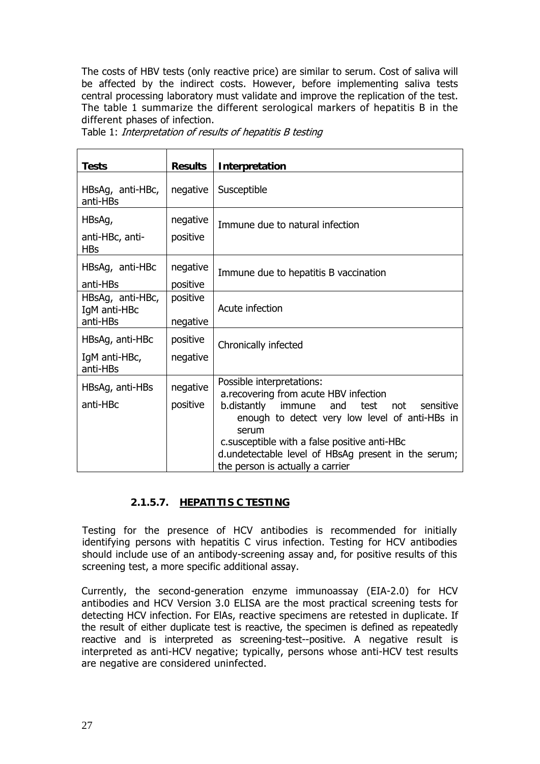The costs of HBV tests (only reactive price) are similar to serum. Cost of saliva will be affected by the indirect costs. However, before implementing saliva tests central processing laboratory must validate and improve the replication of the test. The table 1 summarize the different serological markers of hepatitis B in the different phases of infection.

| <b>Tests</b>                                 | <b>Results</b>       | Interpretation                                                                                                                                                                                                                                                                                                                       |
|----------------------------------------------|----------------------|--------------------------------------------------------------------------------------------------------------------------------------------------------------------------------------------------------------------------------------------------------------------------------------------------------------------------------------|
| HBsAg, anti-HBc,<br>anti-HBs                 | negative             | Susceptible                                                                                                                                                                                                                                                                                                                          |
| HBsAg,<br>anti-HBc, anti-<br><b>HBs</b>      | negative<br>positive | Immune due to natural infection                                                                                                                                                                                                                                                                                                      |
| HBsAg, anti-HBc<br>anti-HBs                  | negative<br>positive | Immune due to hepatitis B vaccination                                                                                                                                                                                                                                                                                                |
| HBsAg, anti-HBc,<br>IgM anti-HBc<br>anti-HBs | positive<br>negative | Acute infection                                                                                                                                                                                                                                                                                                                      |
| HBsAg, anti-HBc<br>IgM anti-HBc,<br>anti-HBs | positive<br>negative | Chronically infected                                                                                                                                                                                                                                                                                                                 |
| HBsAg, anti-HBs<br>anti-HBc                  | negative<br>positive | Possible interpretations:<br>a.recovering from acute HBV infection<br>b.distantly<br>sensitive<br>immune<br>test<br>and<br>not<br>enough to detect very low level of anti-HBs in<br>serum<br>c.susceptible with a false positive anti-HBc<br>d.undetectable level of HBsAg present in the serum;<br>the person is actually a carrier |

Table 1: Interpretation of results of hepatitis B testing

# **2.1.5.7. HEPATITIS C TESTING**

Testing for the presence of HCV antibodies is recommended for initially identifying persons with hepatitis C virus infection. Testing for HCV antibodies should include use of an antibody-screening assay and, for positive results of this screening test, a more specific additional assay.

Currently, the second-generation enzyme immunoassay (EIA-2.0) for HCV antibodies and HCV Version 3.0 ELISA are the most practical screening tests for detecting HCV infection. For ElAs, reactive specimens are retested in duplicate. If the result of either duplicate test is reactive, the specimen is defined as repeatedly reactive and is interpreted as screening-test--positive. A negative result is interpreted as anti-HCV negative; typically, persons whose anti-HCV test results are negative are considered uninfected.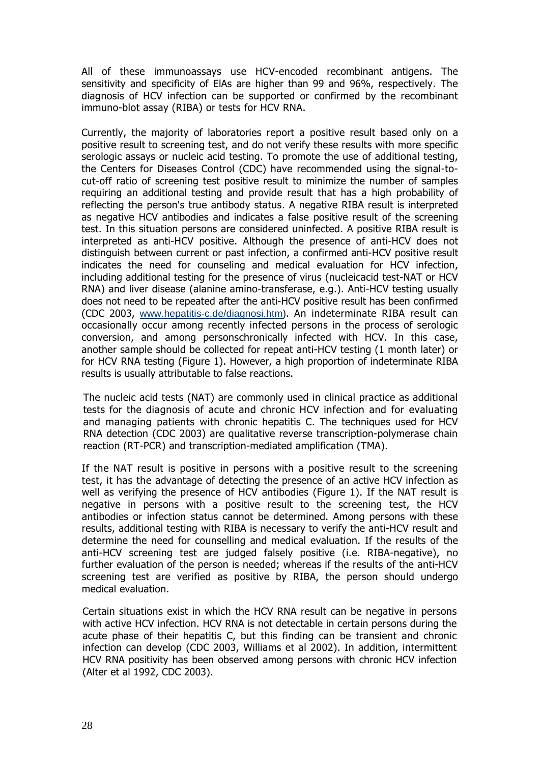All of these immunoassays use HCV-encoded recombinant antigens. The sensitivity and specificity of ElAs are higher than 99 and 96%, respectively. The diagnosis of HCV infection can be supported or confirmed by the recombinant immuno-blot assay (RIBA) or tests for HCV RNA.

Currently, the majority of laboratories report a positive result based only on a positive result to screening test, and do not verify these results with more specific serologic assays or nucleic acid testing. To promote the use of additional testing, the Centers for Diseases Control (CDC) have recommended using the signal-tocut-off ratio of screening test positive result to minimize the number of samples requiring an additional testing and provide result that has a high probability of reflecting the person's true antibody status. A negative RIBA result is interpreted as negative HCV antibodies and indicates a false positive result of the screening test. In this situation persons are considered uninfected. A positive RIBA result is interpreted as anti-HCV positive. Although the presence of anti-HCV does not distinguish between current or past infection, a confirmed anti-HCV positive result indicates the need for counseling and medical evaluation for HCV infection, including additional testing for the presence of virus (nucleicacid test-NAT or HCV RNA) and liver disease (alanine amino-transferase, e.g.). Anti-HCV testing usually does not need to be repeated after the anti-HCV positive result has been confirmed (CDC 2003, www.hepatitis-c.de/diagnosi.htm). An indeterminate RIBA result can occasionally occur among recently infected persons in the process of serologic conversion, and among personschronically infected with HCV. In this case, another sample should be collected for repeat anti-HCV testing (1 month later) or for HCV RNA testing (Figure 1). However, a high proportion of indeterminate RIBA results is usually attributable to false reactions.

The nucleic acid tests (NAT) are commonly used in clinical practice as additional tests for the diagnosis of acute and chronic HCV infection and for evaluating and managing patients with chronic hepatitis C. The techniques used for HCV RNA detection (CDC 2003) are qualitative reverse transcription-polymerase chain reaction (RT-PCR) and transcription-mediated amplification (TMA).

If the NAT result is positive in persons with a positive result to the screening test, it has the advantage of detecting the presence of an active HCV infection as well as verifying the presence of HCV antibodies (Figure 1). If the NAT result is negative in persons with a positive result to the screening test, the HCV antibodies or infection status cannot be determined. Among persons with these results, additional testing with RIBA is necessary to verify the anti-HCV result and determine the need for counselling and medical evaluation. If the results of the anti-HCV screening test are judged falsely positive (i.e. RIBA-negative), no further evaluation of the person is needed; whereas if the results of the anti-HCV screening test are verified as positive by RIBA, the person should undergo medical evaluation.

Certain situations exist in which the HCV RNA result can be negative in persons with active HCV infection. HCV RNA is not detectable in certain persons during the acute phase of their hepatitis C, but this finding can be transient and chronic infection can develop (CDC 2003, Williams et al 2002). In addition, intermittent HCV RNA positivity has been observed among persons with chronic HCV infection (Alter et al 1992, CDC 2003).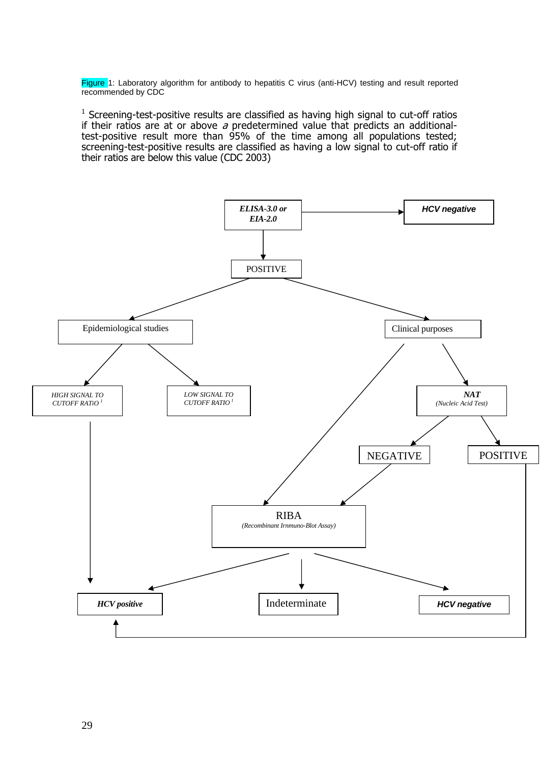Figure 1: Laboratory algorithm for antibody to hepatitis C virus (anti-HCV) testing and result reported recommended by CDC

<sup>1</sup> Screening-test-positive results are classified as having high signal to cut-off ratios if their ratios are at or above  $a$  predetermined value that predicts an additionaltest-positive result more than 95% of the time among all populations tested; screening-test-positive results are classified as having a low signal to cut-off ratio if their ratios are below this value (CDC 2003)

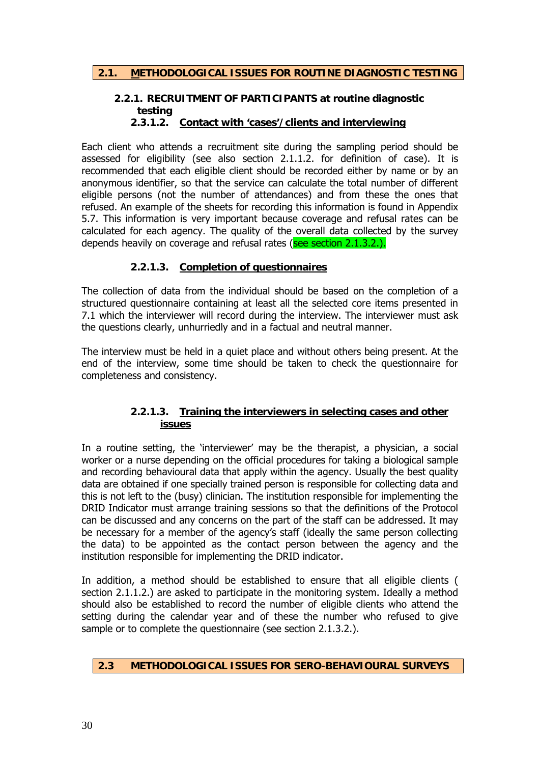# **2.2.1. RECRUITMENT OF PARTICIPANTS at routine diagnostic testing**

### **2.3.1.2. Contact with 'cases'/clients and interviewing**

Each client who attends a recruitment site during the sampling period should be assessed for eligibility (see also section 2.1.1.2. for definition of case). It is recommended that each eligible client should be recorded either by name or by an anonymous identifier, so that the service can calculate the total number of different eligible persons (not the number of attendances) and from these the ones that refused. An example of the sheets for recording this information is found in Appendix 5.7. This information is very important because coverage and refusal rates can be calculated for each agency. The quality of the overall data collected by the survey depends heavily on coverage and refusal rates (see section 2.1.3.2.).

### **2.2.1.3. Completion of questionnaires**

The collection of data from the individual should be based on the completion of a structured questionnaire containing at least all the selected core items presented in 7.1 which the interviewer will record during the interview. The interviewer must ask the questions clearly, unhurriedly and in a factual and neutral manner.

The interview must be held in a quiet place and without others being present. At the end of the interview, some time should be taken to check the questionnaire for completeness and consistency.

### **2.2.1.3. Training the interviewers in selecting cases and other issues**

In a routine setting, the 'interviewer' may be the therapist, a physician, a social worker or a nurse depending on the official procedures for taking a biological sample and recording behavioural data that apply within the agency. Usually the best quality data are obtained if one specially trained person is responsible for collecting data and this is not left to the (busy) clinician. The institution responsible for implementing the DRID Indicator must arrange training sessions so that the definitions of the Protocol can be discussed and any concerns on the part of the staff can be addressed. It may be necessary for a member of the agency's staff (ideally the same person collecting the data) to be appointed as the contact person between the agency and the institution responsible for implementing the DRID indicator.

In addition, a method should be established to ensure that all eligible clients ( section 2.1.1.2.) are asked to participate in the monitoring system. Ideally a method should also be established to record the number of eligible clients who attend the setting during the calendar year and of these the number who refused to give sample or to complete the questionnaire (see section 2.1.3.2.).

### **2.3 METHODOLOGICAL ISSUES FOR SERO-BEHAVIOURAL SURVEYS**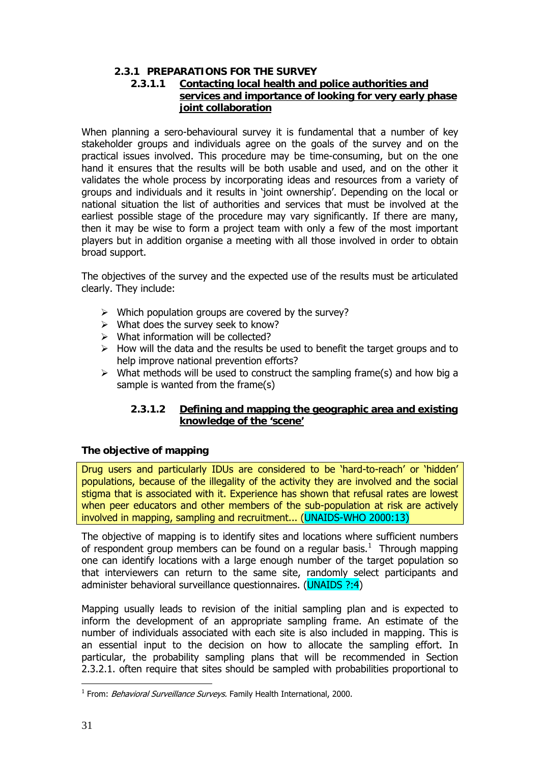# **2.3.1 PREPARATIONS FOR THE SURVEY**

# **2.3.1.1 Contacting local health and police authorities and services and importance of looking for very early phase joint collaboration**

When planning a sero-behavioural survey it is fundamental that a number of key stakeholder groups and individuals agree on the goals of the survey and on the practical issues involved. This procedure may be time-consuming, but on the one hand it ensures that the results will be both usable and used, and on the other it validates the whole process by incorporating ideas and resources from a variety of groups and individuals and it results in 'joint ownership'. Depending on the local or national situation the list of authorities and services that must be involved at the earliest possible stage of the procedure may vary significantly. If there are many, then it may be wise to form a project team with only a few of the most important players but in addition organise a meeting with all those involved in order to obtain broad support.

The objectives of the survey and the expected use of the results must be articulated clearly. They include:

- $\triangleright$  Which population groups are covered by the survey?
- $\triangleright$  What does the survey seek to know?
- $\triangleright$  What information will be collected?
- $\triangleright$  How will the data and the results be used to benefit the target groups and to help improve national prevention efforts?
- $\triangleright$  What methods will be used to construct the sampling frame(s) and how big a sample is wanted from the frame(s)

### **2.3.1.2 Defining and mapping the geographic area and existing knowledge of the 'scene'**

### **The objective of mapping**

Drug users and particularly IDUs are considered to be 'hard-to-reach' or 'hidden' populations, because of the illegality of the activity they are involved and the social stigma that is associated with it. Experience has shown that refusal rates are lowest when peer educators and other members of the sub-population at risk are actively involved in mapping, sampling and recruitment... (UNAIDS-WHO 2000:13)

The objective of mapping is to identify sites and locations where sufficient numbers of respondent group members can be found on a regular basis. $<sup>1</sup>$  Through mapping</sup> one can identify locations with a large enough number of the target population so that interviewers can return to the same site, randomly select participants and administer behavioral surveillance questionnaires. (UNAIDS ?:4)

Mapping usually leads to revision of the initial sampling plan and is expected to inform the development of an appropriate sampling frame. An estimate of the number of individuals associated with each site is also included in mapping. This is an essential input to the decision on how to allocate the sampling effort. In particular, the probability sampling plans that will be recommended in Section 2.3.2.1. often require that sites should be sampled with probabilities proportional to

<sup>1</sup> <sup>1</sup> From: *Behavioral Surveillance Surveys.* Family Health International, 2000.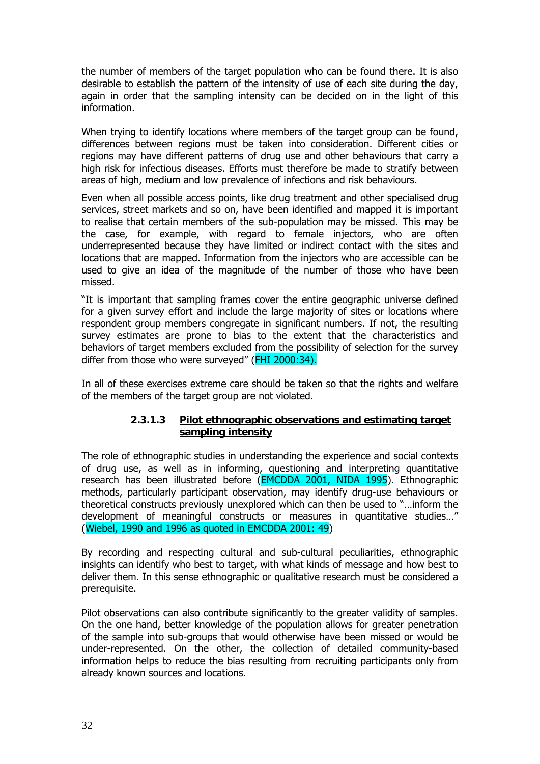the number of members of the target population who can be found there. It is also desirable to establish the pattern of the intensity of use of each site during the day, again in order that the sampling intensity can be decided on in the light of this information.

When trying to identify locations where members of the target group can be found, differences between regions must be taken into consideration. Different cities or regions may have different patterns of drug use and other behaviours that carry a high risk for infectious diseases. Efforts must therefore be made to stratify between areas of high, medium and low prevalence of infections and risk behaviours.

Even when all possible access points, like drug treatment and other specialised drug services, street markets and so on, have been identified and mapped it is important to realise that certain members of the sub-population may be missed. This may be the case, for example, with regard to female injectors, who are often underrepresented because they have limited or indirect contact with the sites and locations that are mapped. Information from the injectors who are accessible can be used to give an idea of the magnitude of the number of those who have been missed.

"It is important that sampling frames cover the entire geographic universe defined for a given survey effort and include the large majority of sites or locations where respondent group members congregate in significant numbers. If not, the resulting survey estimates are prone to bias to the extent that the characteristics and behaviors of target members excluded from the possibility of selection for the survey differ from those who were surveyed" (FHI 2000:34).

In all of these exercises extreme care should be taken so that the rights and welfare of the members of the target group are not violated.

### **2.3.1.3 Pilot ethnographic observations and estimating target sampling intensity**

The role of ethnographic studies in understanding the experience and social contexts of drug use, as well as in informing, questioning and interpreting quantitative research has been illustrated before (EMCDDA 2001, NIDA 1995). Ethnographic methods, particularly participant observation, may identify drug-use behaviours or theoretical constructs previously unexplored which can then be used to "…inform the development of meaningful constructs or measures in quantitative studies…" (Wiebel, 1990 and 1996 as quoted in EMCDDA 2001: 49)

By recording and respecting cultural and sub-cultural peculiarities, ethnographic insights can identify who best to target, with what kinds of message and how best to deliver them. In this sense ethnographic or qualitative research must be considered a prerequisite.

Pilot observations can also contribute significantly to the greater validity of samples. On the one hand, better knowledge of the population allows for greater penetration of the sample into sub-groups that would otherwise have been missed or would be under-represented. On the other, the collection of detailed community-based information helps to reduce the bias resulting from recruiting participants only from already known sources and locations.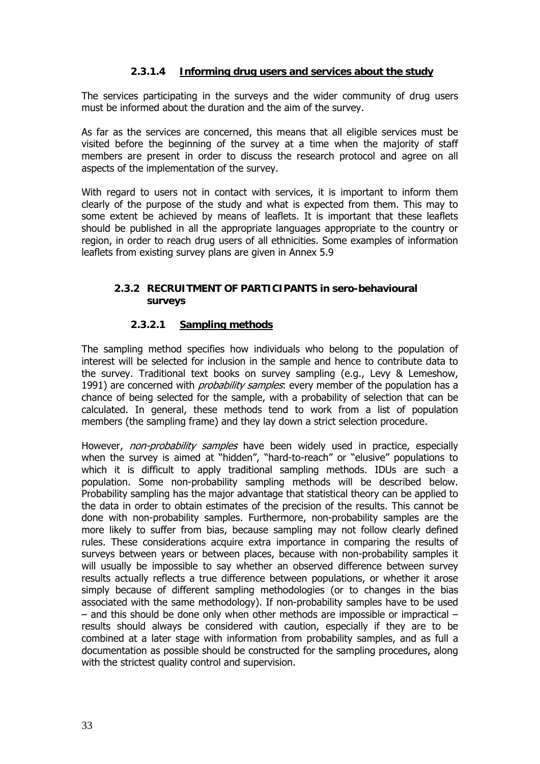# **2.3.1.4 Informing drug users and services about the study**

The services participating in the surveys and the wider community of drug users must be informed about the duration and the aim of the survey.

As far as the services are concerned, this means that all eligible services must be visited before the beginning of the survey at a time when the majority of staff members are present in order to discuss the research protocol and agree on all aspects of the implementation of the survey.

With regard to users not in contact with services, it is important to inform them clearly of the purpose of the study and what is expected from them. This may to some extent be achieved by means of leaflets. It is important that these leaflets should be published in all the appropriate languages appropriate to the country or region, in order to reach drug users of all ethnicities. Some examples of information leaflets from existing survey plans are given in Annex 5.9

### **2.3.2 RECRUITMENT OF PARTICIPANTS in sero-behavioural surveys**

### **2.3.2.1 Sampling methods**

The sampling method specifies how individuals who belong to the population of interest will be selected for inclusion in the sample and hence to contribute data to the survey. Traditional text books on survey sampling (e.g., Levy & Lemeshow, 1991) are concerned with *probability samples*: every member of the population has a chance of being selected for the sample, with a probability of selection that can be calculated. In general, these methods tend to work from a list of population members (the sampling frame) and they lay down a strict selection procedure.

However, non-probability samples have been widely used in practice, especially when the survey is aimed at "hidden", "hard-to-reach" or "elusive" populations to which it is difficult to apply traditional sampling methods. IDUs are such a population. Some non-probability sampling methods will be described below. Probability sampling has the major advantage that statistical theory can be applied to the data in order to obtain estimates of the precision of the results. This cannot be done with non-probability samples. Furthermore, non-probability samples are the more likely to suffer from bias, because sampling may not follow clearly defined rules. These considerations acquire extra importance in comparing the results of surveys between years or between places, because with non-probability samples it will usually be impossible to say whether an observed difference between survey results actually reflects a true difference between populations, or whether it arose simply because of different sampling methodologies (or to changes in the bias associated with the same methodology). If non-probability samples have to be used – and this should be done only when other methods are impossible or impractical – results should always be considered with caution, especially if they are to be combined at a later stage with information from probability samples, and as full a documentation as possible should be constructed for the sampling procedures, along with the strictest quality control and supervision.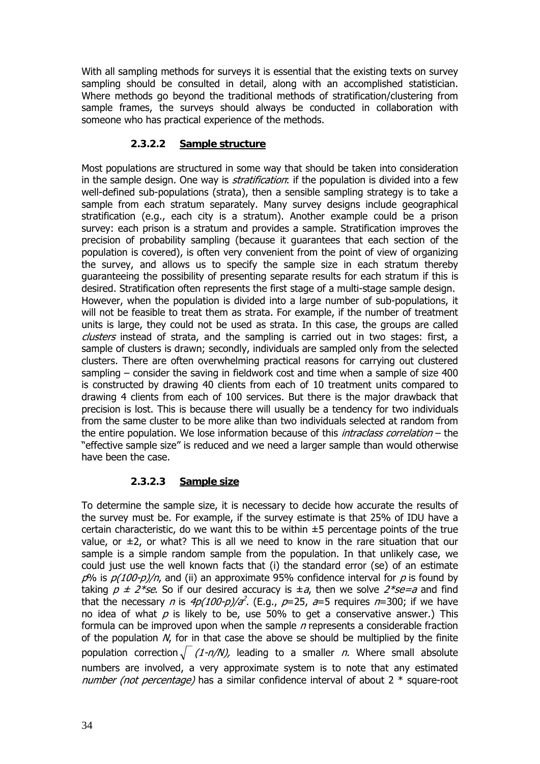With all sampling methods for surveys it is essential that the existing texts on survey sampling should be consulted in detail, along with an accomplished statistician. Where methods go beyond the traditional methods of stratification/clustering from sample frames, the surveys should always be conducted in collaboration with someone who has practical experience of the methods.

# **2.3.2.2 Sample structure**

Most populations are structured in some way that should be taken into consideration in the sample design. One way is *stratification*: if the population is divided into a few well-defined sub-populations (strata), then a sensible sampling strategy is to take a sample from each stratum separately. Many survey designs include geographical stratification (e.g., each city is a stratum). Another example could be a prison survey: each prison is a stratum and provides a sample. Stratification improves the precision of probability sampling (because it guarantees that each section of the population is covered), is often very convenient from the point of view of organizing the survey, and allows us to specify the sample size in each stratum thereby guaranteeing the possibility of presenting separate results for each stratum if this is desired. Stratification often represents the first stage of a multi-stage sample design. However, when the population is divided into a large number of sub-populations, it will not be feasible to treat them as strata. For example, if the number of treatment units is large, they could not be used as strata. In this case, the groups are called clusters instead of strata, and the sampling is carried out in two stages: first, a sample of clusters is drawn; secondly, individuals are sampled only from the selected clusters. There are often overwhelming practical reasons for carrying out clustered sampling – consider the saving in fieldwork cost and time when a sample of size 400 is constructed by drawing 40 clients from each of 10 treatment units compared to drawing 4 clients from each of 100 services. But there is the major drawback that precision is lost. This is because there will usually be a tendency for two individuals from the same cluster to be more alike than two individuals selected at random from the entire population. We lose information because of this *intraclass correlation* – the "effective sample size" is reduced and we need a larger sample than would otherwise have been the case.

# **2.3.2.3 Sample size**

To determine the sample size, it is necessary to decide how accurate the results of the survey must be. For example, if the survey estimate is that 25% of IDU have a certain characteristic, do we want this to be within  $\pm 5$  percentage points of the true value, or  $\pm$ 2, or what? This is all we need to know in the rare situation that our sample is a simple random sample from the population. In that unlikely case, we could just use the well known facts that (i) the standard error (se) of an estimate  $p\%$  is  $p(100-p)/n$ , and (ii) an approximate 95% confidence interval for p is found by taking  $p \pm 2$ \*se. So if our desired accuracy is  $\pm a$ , then we solve  $2$ \*se=a and find that the necessary *n* is  $4p(100-p)/a^2$ . (E.g.,  $p=25$ ,  $a=5$  requires  $n=300$ ; if we have no idea of what  $p$  is likely to be, use 50% to get a conservative answer.) This formula can be improved upon when the sample  $n$  represents a considerable fraction of the population  $N$ , for in that case the above se should be multiplied by the finite population correction  $\sqrt{(1-n/N)}$ , leading to a smaller *n*. Where small absolute numbers are involved, a very approximate system is to note that any estimated number (not percentage) has a similar confidence interval of about  $2 *$  square-root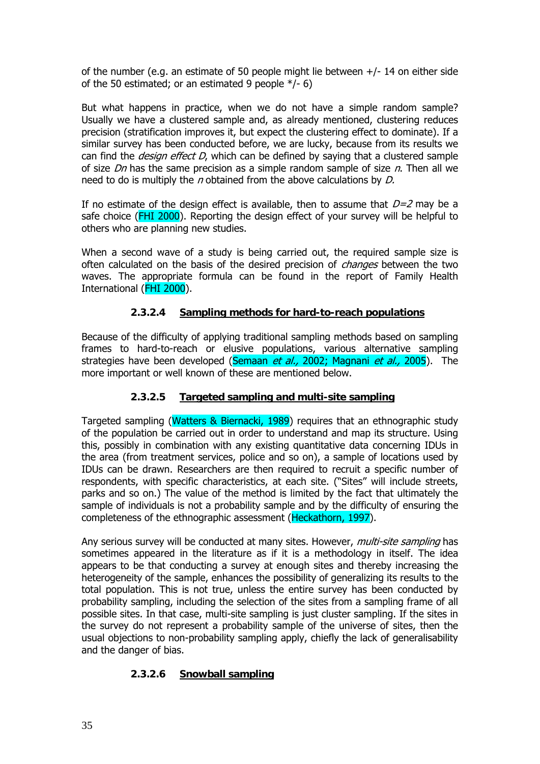of the number (e.g. an estimate of 50 people might lie between +/- 14 on either side of the 50 estimated; or an estimated 9 people \*/- 6)

But what happens in practice, when we do not have a simple random sample? Usually we have a clustered sample and, as already mentioned, clustering reduces precision (stratification improves it, but expect the clustering effect to dominate). If a similar survey has been conducted before, we are lucky, because from its results we can find the *design effect D*, which can be defined by saying that a clustered sample of size  $Dn$  has the same precision as a simple random sample of size  $n$ . Then all we need to do is multiply the *n* obtained from the above calculations by  $D$ .

If no estimate of the design effect is available, then to assume that  $D=2$  may be a safe choice (FHI 2000). Reporting the design effect of your survey will be helpful to others who are planning new studies.

When a second wave of a study is being carried out, the required sample size is often calculated on the basis of the desired precision of *changes* between the two waves. The appropriate formula can be found in the report of Family Health International (FHI 2000).

# **2.3.2.4 Sampling methods for hard-to-reach populations**

Because of the difficulty of applying traditional sampling methods based on sampling frames to hard-to-reach or elusive populations, various alternative sampling strategies have been developed (Semaan et al., 2002; Magnani et al., 2005). The more important or well known of these are mentioned below.

# **2.3.2.5 Targeted sampling and multi-site sampling**

Targeted sampling (Watters & Biernacki, 1989) requires that an ethnographic study of the population be carried out in order to understand and map its structure. Using this, possibly in combination with any existing quantitative data concerning IDUs in the area (from treatment services, police and so on), a sample of locations used by IDUs can be drawn. Researchers are then required to recruit a specific number of respondents, with specific characteristics, at each site. ("Sites" will include streets, parks and so on.) The value of the method is limited by the fact that ultimately the sample of individuals is not a probability sample and by the difficulty of ensuring the completeness of the ethnographic assessment (Heckathorn, 1997).

Any serious survey will be conducted at many sites. However, *multi-site sampling* has sometimes appeared in the literature as if it is a methodology in itself. The idea appears to be that conducting a survey at enough sites and thereby increasing the heterogeneity of the sample, enhances the possibility of generalizing its results to the total population. This is not true, unless the entire survey has been conducted by probability sampling, including the selection of the sites from a sampling frame of all possible sites. In that case, multi-site sampling is just cluster sampling. If the sites in the survey do not represent a probability sample of the universe of sites, then the usual objections to non-probability sampling apply, chiefly the lack of generalisability and the danger of bias.

### **2.3.2.6 Snowball sampling**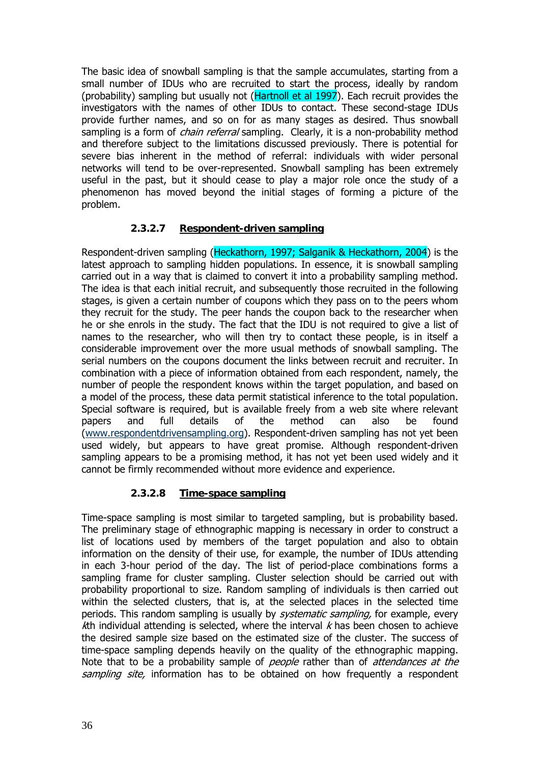The basic idea of snowball sampling is that the sample accumulates, starting from a small number of IDUs who are recruited to start the process, ideally by random (probability) sampling but usually not (Hartnoll et al 1997). Each recruit provides the investigators with the names of other IDUs to contact. These second-stage IDUs provide further names, and so on for as many stages as desired. Thus snowball sampling is a form of *chain referral* sampling. Clearly, it is a non-probability method and therefore subject to the limitations discussed previously. There is potential for severe bias inherent in the method of referral: individuals with wider personal networks will tend to be over-represented. Snowball sampling has been extremely useful in the past, but it should cease to play a major role once the study of a phenomenon has moved beyond the initial stages of forming a picture of the problem.

# **2.3.2.7 Respondent-driven sampling**

Respondent-driven sampling (Heckathorn, 1997; Salganik & Heckathorn, 2004) is the latest approach to sampling hidden populations. In essence, it is snowball sampling carried out in a way that is claimed to convert it into a probability sampling method. The idea is that each initial recruit, and subsequently those recruited in the following stages, is given a certain number of coupons which they pass on to the peers whom they recruit for the study. The peer hands the coupon back to the researcher when he or she enrols in the study. The fact that the IDU is not required to give a list of names to the researcher, who will then try to contact these people, is in itself a considerable improvement over the more usual methods of snowball sampling. The serial numbers on the coupons document the links between recruit and recruiter. In combination with a piece of information obtained from each respondent, namely, the number of people the respondent knows within the target population, and based on a model of the process, these data permit statistical inference to the total population. Special software is required, but is available freely from a web site where relevant papers and full details of the method can also be found (www.respondentdrivensampling.org). Respondent-driven sampling has not yet been used widely, but appears to have great promise. Although respondent-driven sampling appears to be a promising method, it has not yet been used widely and it cannot be firmly recommended without more evidence and experience.

# **2.3.2.8 Time-space sampling**

Time-space sampling is most similar to targeted sampling, but is probability based. The preliminary stage of ethnographic mapping is necessary in order to construct a list of locations used by members of the target population and also to obtain information on the density of their use, for example, the number of IDUs attending in each 3-hour period of the day. The list of period-place combinations forms a sampling frame for cluster sampling. Cluster selection should be carried out with probability proportional to size. Random sampling of individuals is then carried out within the selected clusters, that is, at the selected places in the selected time periods. This random sampling is usually by *systematic sampling*, for example, every kth individual attending is selected, where the interval  $k$  has been chosen to achieve the desired sample size based on the estimated size of the cluster. The success of time-space sampling depends heavily on the quality of the ethnographic mapping. Note that to be a probability sample of *people* rather than of *attendances at the* sampling site, information has to be obtained on how frequently a respondent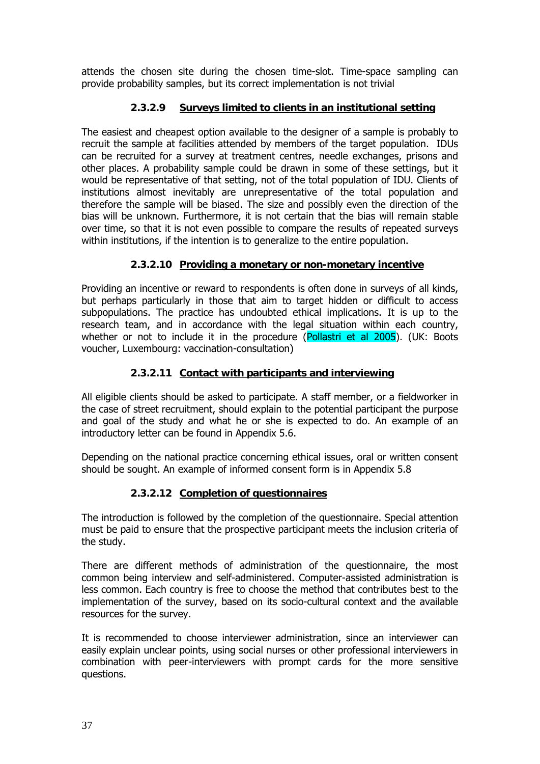attends the chosen site during the chosen time-slot. Time-space sampling can provide probability samples, but its correct implementation is not trivial

# **2.3.2.9 Surveys limited to clients in an institutional setting**

The easiest and cheapest option available to the designer of a sample is probably to recruit the sample at facilities attended by members of the target population. IDUs can be recruited for a survey at treatment centres, needle exchanges, prisons and other places. A probability sample could be drawn in some of these settings, but it would be representative of that setting, not of the total population of IDU. Clients of institutions almost inevitably are unrepresentative of the total population and therefore the sample will be biased. The size and possibly even the direction of the bias will be unknown. Furthermore, it is not certain that the bias will remain stable over time, so that it is not even possible to compare the results of repeated surveys within institutions, if the intention is to generalize to the entire population.

# **2.3.2.10 Providing a monetary or non-monetary incentive**

Providing an incentive or reward to respondents is often done in surveys of all kinds, but perhaps particularly in those that aim to target hidden or difficult to access subpopulations. The practice has undoubted ethical implications. It is up to the research team, and in accordance with the legal situation within each country, whether or not to include it in the procedure (Pollastri et al 2005). (UK: Boots voucher, Luxembourg: vaccination-consultation)

# **2.3.2.11 Contact with participants and interviewing**

All eligible clients should be asked to participate. A staff member, or a fieldworker in the case of street recruitment, should explain to the potential participant the purpose and goal of the study and what he or she is expected to do. An example of an introductory letter can be found in Appendix 5.6.

Depending on the national practice concerning ethical issues, oral or written consent should be sought. An example of informed consent form is in Appendix 5.8

# **2.3.2.12 Completion of questionnaires**

The introduction is followed by the completion of the questionnaire. Special attention must be paid to ensure that the prospective participant meets the inclusion criteria of the study.

There are different methods of administration of the questionnaire, the most common being interview and self-administered. Computer-assisted administration is less common. Each country is free to choose the method that contributes best to the implementation of the survey, based on its socio-cultural context and the available resources for the survey.

It is recommended to choose interviewer administration, since an interviewer can easily explain unclear points, using social nurses or other professional interviewers in combination with peer-interviewers with prompt cards for the more sensitive questions.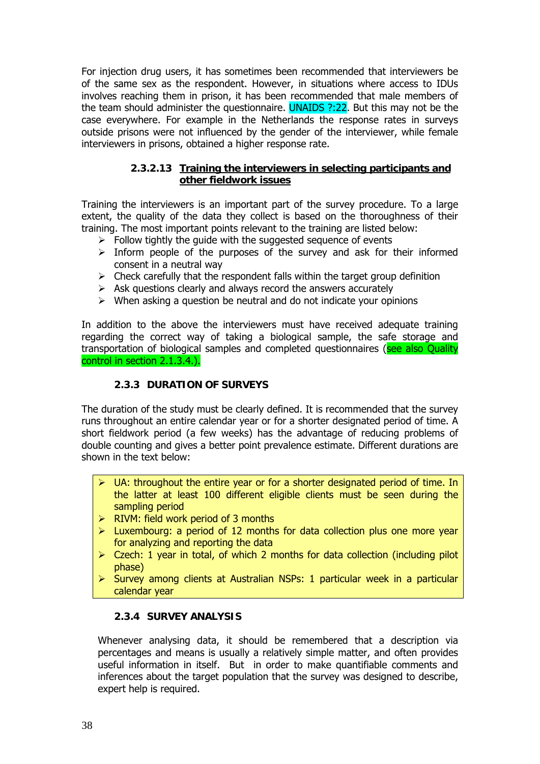For injection drug users, it has sometimes been recommended that interviewers be of the same sex as the respondent. However, in situations where access to IDUs involves reaching them in prison, it has been recommended that male members of the team should administer the questionnaire. UNAIDS ?:22. But this may not be the case everywhere. For example in the Netherlands the response rates in surveys outside prisons were not influenced by the gender of the interviewer, while female interviewers in prisons, obtained a higher response rate.

# **2.3.2.13 Training the interviewers in selecting participants and other fieldwork issues**

Training the interviewers is an important part of the survey procedure. To a large extent, the quality of the data they collect is based on the thoroughness of their training. The most important points relevant to the training are listed below:

- $\triangleright$  Follow tightly the guide with the suggested sequence of events
- $\triangleright$  Inform people of the purposes of the survey and ask for their informed consent in a neutral way
- $\triangleright$  Check carefully that the respondent falls within the target group definition
- $\triangleright$  Ask questions clearly and always record the answers accurately
- $\triangleright$  When asking a question be neutral and do not indicate your opinions

In addition to the above the interviewers must have received adequate training regarding the correct way of taking a biological sample, the safe storage and transportation of biological samples and completed questionnaires (see also Quality control in section 2.1.3.4.).

## **2.3.3 DURATION OF SURVEYS**

The duration of the study must be clearly defined. It is recommended that the survey runs throughout an entire calendar year or for a shorter designated period of time. A short fieldwork period (a few weeks) has the advantage of reducing problems of double counting and gives a better point prevalence estimate. Different durations are shown in the text below:

- $\triangleright$  UA: throughout the entire year or for a shorter designated period of time. In the latter at least 100 different eligible clients must be seen during the sampling period
- $\triangleright$  RIVM: field work period of 3 months
- $\triangleright$  Luxembourg: a period of 12 months for data collection plus one more year for analyzing and reporting the data
- $\triangleright$  Czech: 1 year in total, of which 2 months for data collection (including pilot phase)
- $\triangleright$  Survey among clients at Australian NSPs: 1 particular week in a particular calendar year

## **2.3.4 SURVEY ANALYSIS**

Whenever analysing data, it should be remembered that a description via percentages and means is usually a relatively simple matter, and often provides useful information in itself. But in order to make quantifiable comments and inferences about the target population that the survey was designed to describe, expert help is required.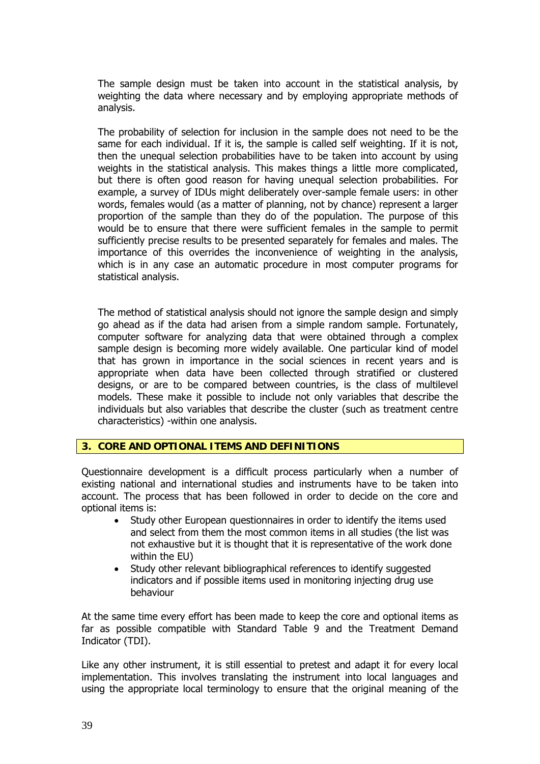The sample design must be taken into account in the statistical analysis, by weighting the data where necessary and by employing appropriate methods of analysis.

The probability of selection for inclusion in the sample does not need to be the same for each individual. If it is, the sample is called self weighting. If it is not, then the unequal selection probabilities have to be taken into account by using weights in the statistical analysis. This makes things a little more complicated, but there is often good reason for having unequal selection probabilities. For example, a survey of IDUs might deliberately over-sample female users: in other words, females would (as a matter of planning, not by chance) represent a larger proportion of the sample than they do of the population. The purpose of this would be to ensure that there were sufficient females in the sample to permit sufficiently precise results to be presented separately for females and males. The importance of this overrides the inconvenience of weighting in the analysis, which is in any case an automatic procedure in most computer programs for statistical analysis.

The method of statistical analysis should not ignore the sample design and simply go ahead as if the data had arisen from a simple random sample. Fortunately, computer software for analyzing data that were obtained through a complex sample design is becoming more widely available. One particular kind of model that has grown in importance in the social sciences in recent years and is appropriate when data have been collected through stratified or clustered designs, or are to be compared between countries, is the class of multilevel models. These make it possible to include not only variables that describe the individuals but also variables that describe the cluster (such as treatment centre characteristics) -within one analysis.

## **3. CORE AND OPTIONAL ITEMS AND DEFINITIONS**

Questionnaire development is a difficult process particularly when a number of existing national and international studies and instruments have to be taken into account. The process that has been followed in order to decide on the core and optional items is:

- Study other European questionnaires in order to identify the items used and select from them the most common items in all studies (the list was not exhaustive but it is thought that it is representative of the work done within the EU)
- Study other relevant bibliographical references to identify suggested indicators and if possible items used in monitoring injecting drug use behaviour

At the same time every effort has been made to keep the core and optional items as far as possible compatible with Standard Table 9 and the Treatment Demand Indicator (TDI).

Like any other instrument, it is still essential to pretest and adapt it for every local implementation. This involves translating the instrument into local languages and using the appropriate local terminology to ensure that the original meaning of the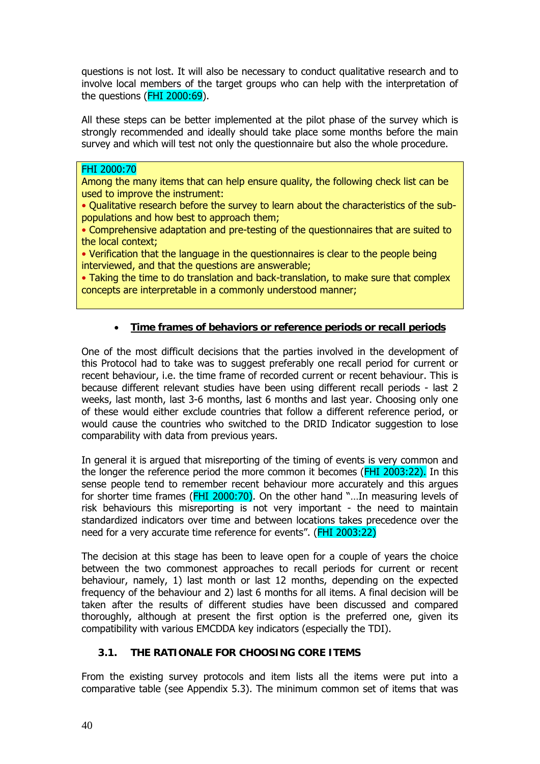questions is not lost. It will also be necessary to conduct qualitative research and to involve local members of the target groups who can help with the interpretation of the questions (FHI 2000:69).

All these steps can be better implemented at the pilot phase of the survey which is strongly recommended and ideally should take place some months before the main survey and which will test not only the questionnaire but also the whole procedure.

## FHI 2000:70

Among the many items that can help ensure quality, the following check list can be used to improve the instrument:

• Qualitative research before the survey to learn about the characteristics of the subpopulations and how best to approach them;

• Comprehensive adaptation and pre-testing of the questionnaires that are suited to the local context;

• Verification that the language in the questionnaires is clear to the people being interviewed, and that the questions are answerable;

• Taking the time to do translation and back-translation, to make sure that complex concepts are interpretable in a commonly understood manner;

# • **Time frames of behaviors or reference periods or recall periods**

One of the most difficult decisions that the parties involved in the development of this Protocol had to take was to suggest preferably one recall period for current or recent behaviour, i.e. the time frame of recorded current or recent behaviour. This is because different relevant studies have been using different recall periods - last 2 weeks, last month, last 3-6 months, last 6 months and last year. Choosing only one of these would either exclude countries that follow a different reference period, or would cause the countries who switched to the DRID Indicator suggestion to lose comparability with data from previous years.

In general it is argued that misreporting of the timing of events is very common and the longer the reference period the more common it becomes (FHI 2003:22). In this sense people tend to remember recent behaviour more accurately and this argues for shorter time frames (FHI 2000:70). On the other hand "…In measuring levels of risk behaviours this misreporting is not very important - the need to maintain standardized indicators over time and between locations takes precedence over the need for a very accurate time reference for events". (FHI 2003:22)

The decision at this stage has been to leave open for a couple of years the choice between the two commonest approaches to recall periods for current or recent behaviour, namely, 1) last month or last 12 months, depending on the expected frequency of the behaviour and 2) last 6 months for all items. A final decision will be taken after the results of different studies have been discussed and compared thoroughly, although at present the first option is the preferred one, given its compatibility with various EMCDDA key indicators (especially the TDI).

## **3.1. THE RATIONALE FOR CHOOSING CORE ITEMS**

From the existing survey protocols and item lists all the items were put into a comparative table (see Appendix 5.3). The minimum common set of items that was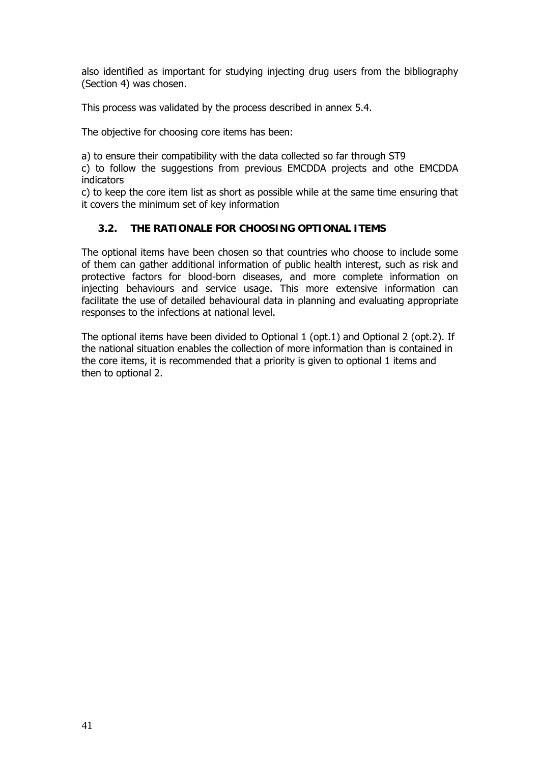also identified as important for studying injecting drug users from the bibliography (Section 4) was chosen.

This process was validated by the process described in annex 5.4.

The objective for choosing core items has been:

a) to ensure their compatibility with the data collected so far through ST9

c) to follow the suggestions from previous EMCDDA projects and othe EMCDDA indicators

c) to keep the core item list as short as possible while at the same time ensuring that it covers the minimum set of key information

# **3.2. THE RATIONALE FOR CHOOSING OPTIONAL ITEMS**

The optional items have been chosen so that countries who choose to include some of them can gather additional information of public health interest, such as risk and protective factors for blood-born diseases, and more complete information on injecting behaviours and service usage. This more extensive information can facilitate the use of detailed behavioural data in planning and evaluating appropriate responses to the infections at national level.

The optional items have been divided to Optional 1 (opt.1) and Optional 2 (opt.2). If the national situation enables the collection of more information than is contained in the core items, it is recommended that a priority is given to optional 1 items and then to optional 2.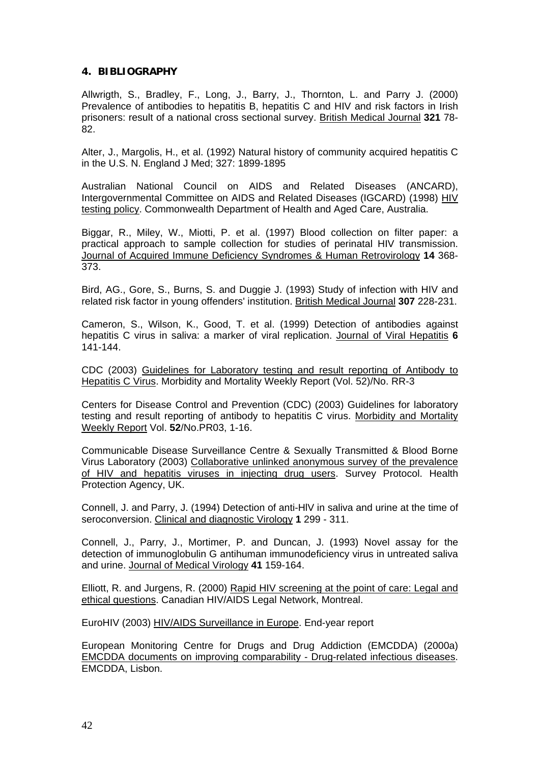## **4. BIBLIOGRAPHY**

Allwrigth, S., Bradley, F., Long, J., Barry, J., Thornton, L. and Parry J. (2000) Prevalence of antibodies to hepatitis B, hepatitis C and HIV and risk factors in Irish prisoners: result of a national cross sectional survey. British Medical Journal **321** 78- 82.

Alter, J., Margolis, H., et al. (1992) Natural history of community acquired hepatitis C in the U.S. N. England J Med; 327: 1899-1895

Australian National Council on AIDS and Related Diseases (ANCARD), Intergovernmental Committee on AIDS and Related Diseases (IGCARD) (1998) HIV testing policy. Commonwealth Department of Health and Aged Care, Australia.

Biggar, R., Miley, W., Miotti, P. et al. (1997) Blood collection on filter paper: a practical approach to sample collection for studies of perinatal HIV transmission. Journal of Acquired Immune Deficiency Syndromes & Human Retrovirology **14** 368- 373.

Bird, AG., Gore, S., Burns, S. and Duggie J. (1993) Study of infection with HIV and related risk factor in young offenders' institution. British Medical Journal **307** 228-231.

Cameron, S., Wilson, K., Good, T. et al. (1999) Detection of antibodies against hepatitis C virus in saliva: a marker of viral replication. Journal of Viral Hepatitis **6** 141-144.

CDC (2003) Guidelines for Laboratory testing and result reporting of Antibody to Hepatitis C Virus. Morbidity and Mortality Weekly Report (Vol. 52)/No. RR-3

Centers for Disease Control and Prevention (CDC) (2003) Guidelines for laboratory testing and result reporting of antibody to hepatitis C virus. Morbidity and Mortality Weekly Report Vol. **52**/No.PR03, 1-16.

Communicable Disease Surveillance Centre & Sexually Transmitted & Blood Borne Virus Laboratory (2003) Collaborative unlinked anonymous survey of the prevalence of HIV and hepatitis viruses in injecting drug users. Survey Protocol. Health Protection Agency, UK.

Connell, J. and Parry, J. (1994) Detection of anti-HlV in saliva and urine at the time of seroconversion. Clinical and diagnostic Virology **1** 299 - 311.

Connell, J., Parry, J., Mortimer, P. and Duncan, J. (1993) Novel assay for the detection of immunoglobulin G antihuman immunodeficiency virus in untreated saliva and urine. Journal of Medical Virology **41** 159-164.

Elliott, R. and Jurgens, R. (2000) Rapid HIV screening at the point of care: Legal and ethical questions. Canadian HIV/AIDS Legal Network, Montreal.

EuroHIV (2003) HIV/AIDS Surveillance in Europe. End-year report

European Monitoring Centre for Drugs and Drug Addiction (EMCDDA) (2000a) EMCDDA documents on improving comparability - Drug-related infectious diseases. EMCDDA, Lisbon.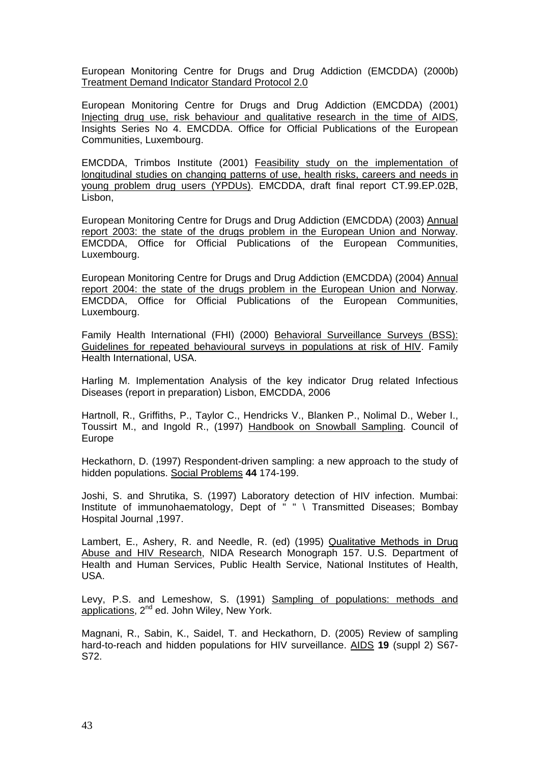European Monitoring Centre for Drugs and Drug Addiction (EMCDDA) (2000b) Treatment Demand Indicator Standard Protocol 2.0

European Monitoring Centre for Drugs and Drug Addiction (EMCDDA) (2001) Injecting drug use, risk behaviour and qualitative research in the time of AIDS, Insights Series No 4. EMCDDA. Office for Official Publications of the European Communities, Luxembourg.

EMCDDA, Trimbos Institute (2001) Feasibility study on the implementation of longitudinal studies on changing patterns of use, health risks, careers and needs in young problem drug users (YPDUs). EMCDDA, draft final report CT.99.EP.02B, Lisbon,

European Monitoring Centre for Drugs and Drug Addiction (EMCDDA) (2003) Annual report 2003: the state of the drugs problem in the European Union and Norway. EMCDDA, Office for Official Publications of the European Communities, Luxembourg.

European Monitoring Centre for Drugs and Drug Addiction (EMCDDA) (2004) Annual report 2004: the state of the drugs problem in the European Union and Norway. EMCDDA, Office for Official Publications of the European Communities, Luxembourg.

Family Health International (FHI) (2000) Behavioral Surveillance Surveys (BSS): Guidelines for repeated behavioural surveys in populations at risk of HIV. Family Health International, USA.

Harling M. Implementation Analysis of the key indicator Drug related Infectious Diseases (report in preparation) Lisbon, EMCDDA, 2006

Hartnoll, R., Griffiths, P., Taylor C., Hendricks V., Blanken P., Nolimal D., Weber I., Toussirt M., and Ingold R., (1997) Handbook on Snowball Sampling. Council of Europe

Heckathorn, D. (1997) Respondent-driven sampling: a new approach to the study of hidden populations. Social Problems **44** 174-199.

Joshi, S. and Shrutika, S. (1997) Laboratory detection of HIV infection. Mumbai: Institute of immunohaematology, Dept of " " \ Transmitted Diseases; Bombay Hospital Journal ,1997.

Lambert, E., Ashery, R. and Needle, R. (ed) (1995) Qualitative Methods in Drug Abuse and HIV Research, NIDA Research Monograph 157. U.S. Department of Health and Human Services, Public Health Service, National Institutes of Health, USA.

Levy, P.S. and Lemeshow, S. (1991) Sampling of populations: methods and applications, 2<sup>nd</sup> ed. John Wiley, New York.

Magnani, R., Sabin, K., Saidel, T. and Heckathorn, D. (2005) Review of sampling hard-to-reach and hidden populations for HIV surveillance. AIDS **19** (suppl 2) S67- S72.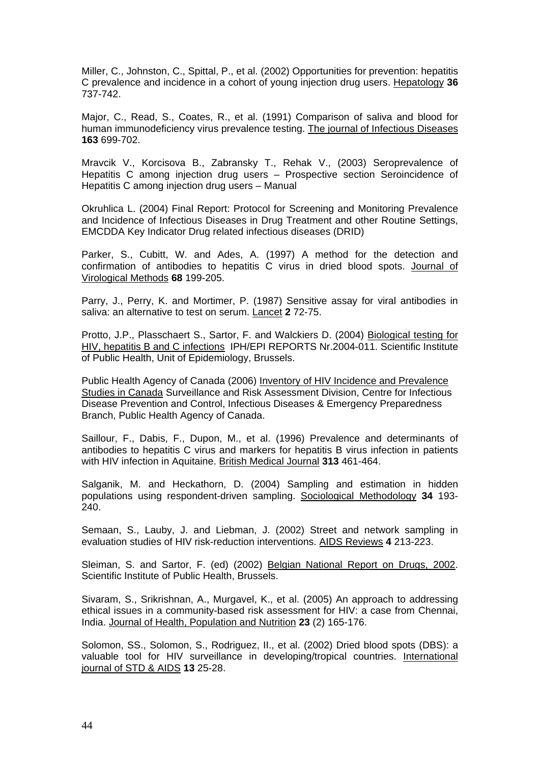Miller, C., Johnston, C., Spittal, P., et al. (2002) Opportunities for prevention: hepatitis C prevalence and incidence in a cohort of young injection drug users. Hepatology **36** 737-742.

Major, C., Read, S., Coates, R., et al. (1991) Comparison of saliva and blood for human immunodeficiency virus prevalence testing. The journal of Infectious Diseases **163** 699-702.

Mravcik V., Korcisova B., Zabransky T., Rehak V., (2003) Seroprevalence of Hepatitis C among injection drug users – Prospective section Seroincidence of Hepatitis C among injection drug users – Manual

Okruhlica L. (2004) Final Report: Protocol for Screening and Monitoring Prevalence and Incidence of Infectious Diseases in Drug Treatment and other Routine Settings, EMCDDA Key Indicator Drug related infectious diseases (DRID)

Parker, S., Cubitt, W. and Ades, A. (1997) A method for the detection and confirmation of antibodies to hepatitis C virus in dried blood spots. Journal of Virological Methods **68** 199-205.

Parry, J., Perry, K. and Mortimer, P. (1987) Sensitive assay for viral antibodies in saliva: an alternative to test on serum. Lancet **2** 72-75.

Protto, J.P., Plasschaert S., Sartor, F. and Walckiers D. (2004) Biological testing for HIV, hepatitis B and C infections IPH/EPI REPORTS Nr.2004-011. Scientific Institute of Public Health, Unit of Epidemiology, Brussels.

Public Health Agency of Canada (2006) Inventory of HIV Incidence and Prevalence Studies in Canada Surveillance and Risk Assessment Division, Centre for Infectious Disease Prevention and Control, Infectious Diseases & Emergency Preparedness Branch, Public Health Agency of Canada.

Saillour, F., Dabis, F., Dupon, M., et al. (1996) Prevalence and determinants of antibodies to hepatitis C virus and markers for hepatitis B virus infection in patients with HIV infection in Aquitaine. British Medical Journal **313** 461-464.

Salganik, M. and Heckathorn, D. (2004) Sampling and estimation in hidden populations using respondent-driven sampling. Sociological Methodology **34** 193- 240.

Semaan, S., Lauby, J. and Liebman, J. (2002) Street and network sampling in evaluation studies of HIV risk-reduction interventions. AIDS Reviews **4** 213-223.

Sleiman, S. and Sartor, F. (ed) (2002) Belgian National Report on Drugs, 2002. Scientific Institute of Public Health, Brussels.

Sivaram, S., Srikrishnan, A., Murgavel, K., et al. (2005) An approach to addressing ethical issues in a community-based risk assessment for HIV: a case from Chennai, India. Journal of Health, Population and Nutrition **23** (2) 165-176.

Solomon, SS., Solomon, S., Rodriguez, II., et al. (2002) Dried blood spots (DBS): a valuable tool for HIV surveillance in developing/tropical countries. International journal of STD & AIDS **13** 25-28.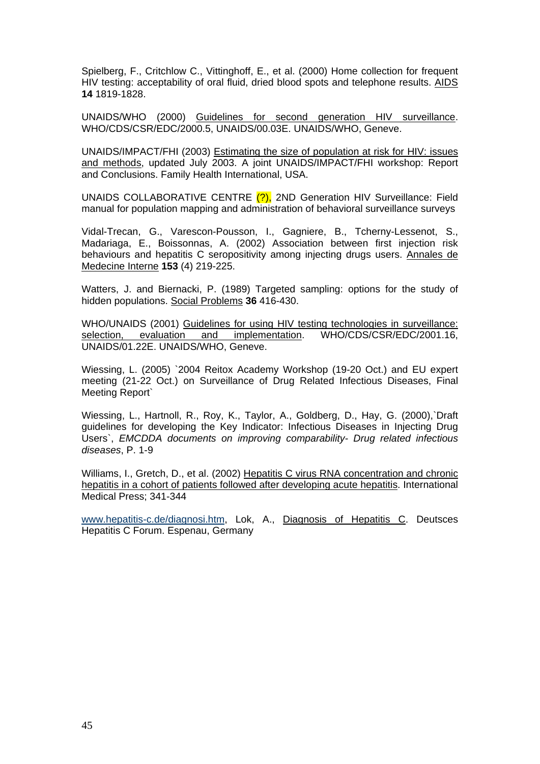Spielberg, F., Critchlow C., Vittinghoff, E., et al. (2000) Home collection for frequent HIV testing: acceptability of oral fluid, dried blood spots and telephone results. AIDS **14** 1819-1828.

UNAIDS/WHO (2000) Guidelines for second generation HIV surveillance. WHO/CDS/CSR/EDC/2000.5, UNAIDS/00.03E. UNAIDS/WHO, Geneve.

UNAIDS/IMPACT/FHI (2003) Estimating the size of population at risk for HIV: issues and methods, updated July 2003. A joint UNAIDS/IMPACT/FHI workshop: Report and Conclusions. Family Health International, USA.

UNAIDS COLLABORATIVE CENTRE (?), 2ND Generation HIV Surveillance: Field manual for population mapping and administration of behavioral surveillance surveys

Vidal-Trecan, G., Varescon-Pousson, I., Gagniere, B., Tcherny-Lessenot, S., Madariaga, E., Boissonnas, A. (2002) Association between first injection risk behaviours and hepatitis C seropositivity among injecting drugs users. Annales de Medecine Interne **153** (4) 219-225.

Watters, J. and Biernacki, P. (1989) Targeted sampling: options for the study of hidden populations. Social Problems **36** 416-430.

WHO/UNAIDS (2001) Guidelines for using HIV testing technologies in surveillance: selection, evaluation and implementation. WHO/CDS/CSR/EDC/2001.16, UNAIDS/01.22E. UNAIDS/WHO, Geneve.

Wiessing, L. (2005) `2004 Reitox Academy Workshop (19-20 Oct.) and EU expert meeting (21-22 Oct.) on Surveillance of Drug Related Infectious Diseases, Final Meeting Report`

Wiessing, L., Hartnoll, R., Roy, K., Taylor, A., Goldberg, D., Hay, G. (2000),`Draft guidelines for developing the Key Indicator: Infectious Diseases in Injecting Drug Users`, *EMCDDA documents on improving comparability- Drug related infectious diseases*, P. 1-9

Williams, I., Gretch, D., et al. (2002) Hepatitis C virus RNA concentration and chronic hepatitis in a cohort of patients followed after developing acute hepatitis. International Medical Press; 341-344

www.hepatitis-c.de/diagnosi.htm, Lok, A., Diagnosis of Hepatitis C. Deutsces Hepatitis C Forum. Espenau, Germany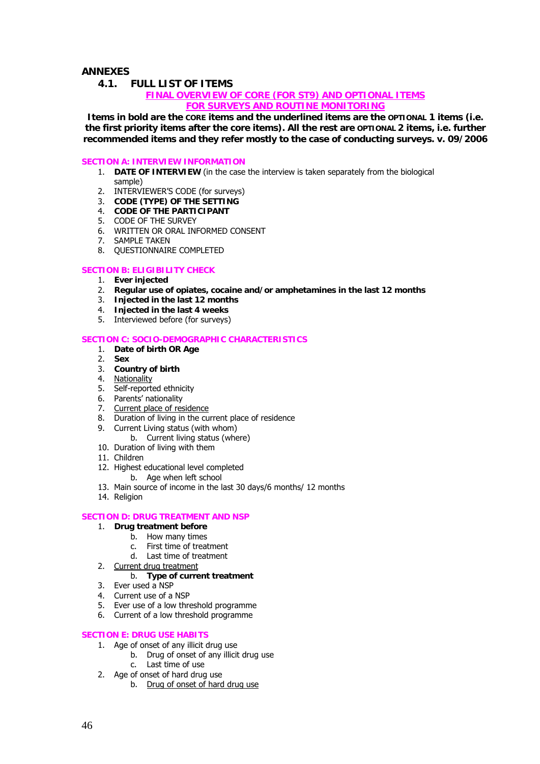### **ANNEXES**

**4.1. FULL LIST OF ITEMS** 

### **FINAL OVERVIEW OF CORE (FOR ST9) AND OPTIONAL ITEMS FOR SURVEYS AND ROUTINE MONITORING**

**Items in bold are the CORE items and the underlined items are the OPTIONAL 1 items (i.e. the first priority items after the core items). All the rest are OPTIONAL 2 items, i.e. further recommended items and they refer mostly to the case of conducting surveys. v. 09/2006** 

#### **SECTION A: INTERVIEW INFORMATION**

- 1. **DATE OF INTERVIEW** (in the case the interview is taken separately from the biological sample)
- 2. INTERVIEWER'S CODE (for surveys)
- 3. **CODE (TYPE) OF THE SETTING**
- 4. **CODE OF THE PARTICIPANT**
- 5. CODE OF THE SURVEY
- 6. WRITTEN OR ORAL INFORMED CONSENT
- 7. SAMPLE TAKEN
- 8. QUESTIONNAIRE COMPLETED

### **SECTION B: ELIGIBILITY CHECK**

- 
- 2. **Regular use of opiates, cocaine and/or amphetamines in the last 12 months**
- 1. **Ever injected**  3. **Injected in the last 12 months**
- 4. **Injected in the last 4 weeks**
- 5. Interviewed before (for surveys)

#### **SECTION C: SOCIO-DEMOGRAPHIC CHARACTERISTICS**

- 1. **Date of birth OR Age**
- 2. **Sex**
- 3. **Country of birth**
- 4. Nationality
- 5. Self-reported ethnicity
- 6. Parents' nationality
- 7. Current place of residence
- 8. Duration of living in the current place of residence
- 9. Current Living status (with whom)
	- b. Current living status (where)
- 10. Duration of living with them
- 11. Children
- 12. Highest educational level completed
	- b. Age when left school
- 13. Main source of income in the last 30 days/6 months/ 12 months
- 14. Religion

#### **SECTION D: DRUG TREATMENT AND NSP**

- 1. **Drug treatment before** 
	- b. How many times
		- c. First time of treatment
		- d. Last time of treatment
- 2. Current drug treatment

### b. **Type of current treatment**

- 3. Ever used a NSP
- 4. Current use of a NSP
- 5. Ever use of a low threshold programme
- 6. Current of a low threshold programme

#### **SECTION E: DRUG USE HABITS**

- 1. Age of onset of any illicit drug use
	- b. Drug of onset of any illicit drug use
	- c. Last time of use
- 2. Age of onset of hard drug use
	- b. Drug of onset of hard drug use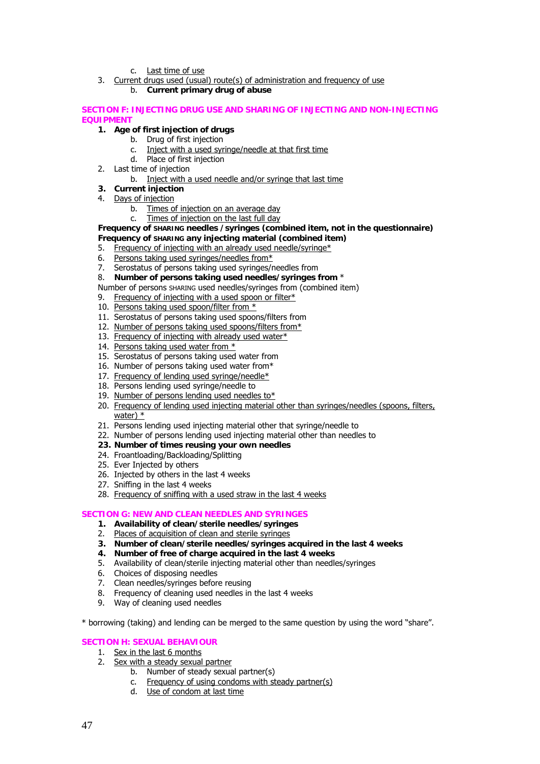c. Last time of use

3. Current drugs used (usual) route(s) of administration and frequency of use b. **Current primary drug of abuse** 

#### **SECTION F: INJECTING DRUG USE AND SHARING OF INJECTING AND NON-INJECTING EQUIPMENT**

### **1. Age of first injection of drugs**

- b. Drug of first injection
- c. Inject with a used syringe/needle at that first time
- d. Place of first injection
- 2. Last time of injection
	- b. Inject with a used needle and/or syringe that last time
- **3. Current injection**
- 4. Days of injection
	- b. Times of injection on an average day<br>c. Times of injection on the last full day
	- Times of injection on the last full day

**Frequency of SHARING needles /syringes (combined item, not in the questionnaire) Frequency of SHARING any injecting material (combined item)** 

- 5. Frequency of injecting with an already used needle/syringe\*
- 6. Persons taking used syringes/needles from\*
- 7. Serostatus of persons taking used syringes/needles from
- 8. **Number of persons taking used needles/syringes from** \*
- Number of persons SHARING used needles/syringes from (combined item)
- 9. Frequency of injecting with a used spoon or filter $*$
- 10. Persons taking used spoon/filter from \*
- 11. Serostatus of persons taking used spoons/filters from
- 12. Number of persons taking used spoons/filters from\*
- 13. Frequency of injecting with already used water\*
- 14. Persons taking used water from \*
- 15. Serostatus of persons taking used water from
- 16. Number of persons taking used water from\*
- 17. Frequency of lending used syringe/needle\*
- 18. Persons lending used syringe/needle to
- 19. Number of persons lending used needles to\*
- 20. Frequency of lending used injecting material other than syringes/needles (spoons, filters, water) \*
- 21. Persons lending used injecting material other that syringe/needle to
- 22. Number of persons lending used injecting material other than needles to
- **23. Number of times reusing your own needles**
- 24. Froantloading/Backloading/Splitting
- 25. Ever Injected by others
- 26. Injected by others in the last 4 weeks
- 27. Sniffing in the last 4 weeks
- 28. Frequency of sniffing with a used straw in the last 4 weeks

### **SECTION G: NEW AND CLEAN NEEDLES AND SYRINGES**

- **1. Availability of clean/sterile needles/syringes**
- 2. Places of acquisition of clean and sterile syringes
- **3. Number of clean/sterile needles/syringes acquired in the last 4 weeks**
- **4. Number of free of charge acquired in the last 4 weeks**
- 5. Availability of clean/sterile injecting material other than needles/syringes
- 6. Choices of disposing needles
- 7. Clean needles/syringes before reusing
- 8. Frequency of cleaning used needles in the last 4 weeks
- 9. Way of cleaning used needles
- \* borrowing (taking) and lending can be merged to the same question by using the word "share".

### **SECTION H: SEXUAL BEHAVIOUR**

- 1. Sex in the last 6 months
- 2. Sex with a steady sexual partner
	- b. Number of steady sexual partner(s)
	- c. Frequency of using condoms with steady partner(s)
	- d. Use of condom at last time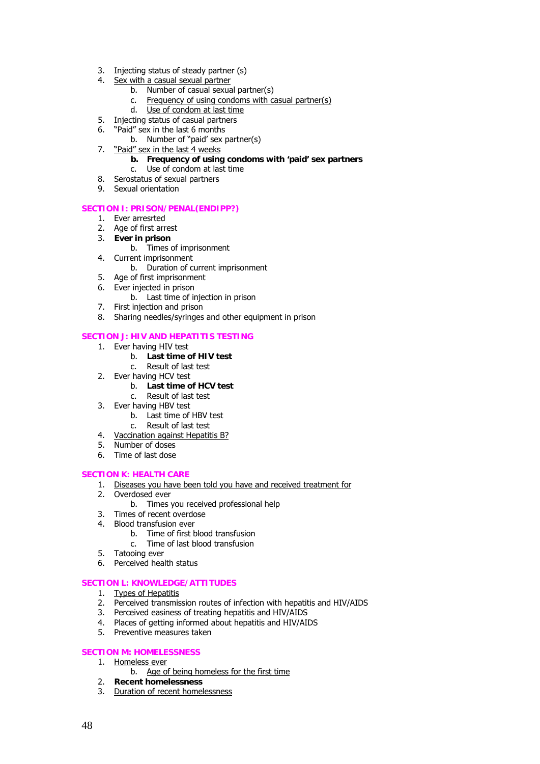- 3. Injecting status of steady partner (s)
- 4. Sex with a casual sexual partner
	- b. Number of casual sexual partner(s)
	- c. Frequency of using condoms with casual partner(s)
	- d. Use of condom at last time
- 5. Injecting status of casual partners
- 6. "Paid" sex in the last 6 months
	- b. Number of "paid' sex partner(s)
- 7. "Paid" sex in the last 4 weeks
	- **b. Frequency of using condoms with 'paid' sex partners**
	- c. Use of condom at last time
- 8. Serostatus of sexual partners
- 9. Sexual orientation

#### **SECTION I: PRISON/PENAL(ENDIPP?)**

- 1. Ever arresrted
- 2. Age of first arrest
- 3. **Ever in prison** 
	- b. Times of imprisonment
- 4. Current imprisonment
	- b. Duration of current imprisonment
- 5. Age of first imprisonment
- 6. Ever injected in prison
	- b. Last time of injection in prison
- 7. First injection and prison
- 8. Sharing needles/syringes and other equipment in prison

### **SECTION J: HIV AND HEPATITIS TESTING**

- 1. Ever having HIV test
	- b. **Last time of HIV test**
	- c. Result of last test
- 2. Ever having HCV test
	- b. **Last time of HCV test**
	- c. Result of last test
- 3. Ever having HBV test
	- b. Last time of HBV test
	- c. Result of last test
- 4. Vaccination against Hepatitis B?
- 5. Number of doses
- 6. Time of last dose

#### **SECTION K: HEALTH CARE**

- 1. Diseases you have been told you have and received treatment for
- 2. Overdosed ever
	- b. Times you received professional help
- 3. Times of recent overdose
- 4. Blood transfusion ever
	- b. Time of first blood transfusion
		- c. Time of last blood transfusion
- 5. Tatooing ever
- 6. Perceived health status

### **SECTION L: KNOWLEDGE/ATTITUDES**

- 1. Types of Hepatitis
- 2. Perceived transmission routes of infection with hepatitis and HIV/AIDS
- 3. Perceived easiness of treating hepatitis and HIV/AIDS
- 4. Places of getting informed about hepatitis and HIV/AIDS
- 5. Preventive measures taken

#### **SECTION M: HOMELESSNESS**

### 1. Homeless ever

- b. Age of being homeless for the first time
- 2. **Recent homelessness**
- 3. Duration of recent homelessness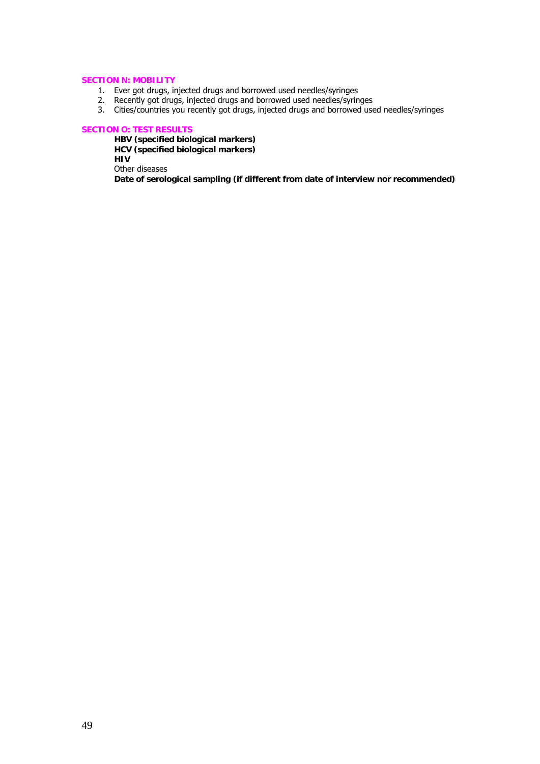### **SECTION N: MOBILITY**

- 1. Ever got drugs, injected drugs and borrowed used needles/syringes
- 2. Recently got drugs, injected drugs and borrowed used needles/syringes
- 3. Cities/countries you recently got drugs, injected drugs and borrowed used needles/syringes

#### **SECTION O: TEST RESULTS**

**HBV (specified biological markers) HCV (specified biological markers) HIV**  Other diseases

**Date of serological sampling (if different from date of interview nor recommended)**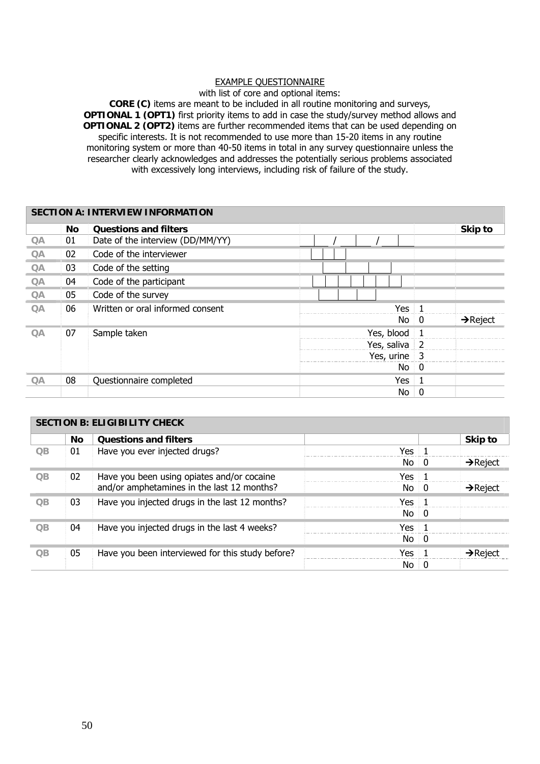### EXAMPLE QUESTIONNAIRE

with list of core and optional items:

**CORE (C)** items are meant to be included in all routine monitoring and surveys, **OPTIONAL 1 (OPT1)** first priority items to add in case the study/survey method allows and **OPTIONAL 2 (OPT2)** items are further recommended items that can be used depending on specific interests. It is not recommended to use more than 15-20 items in any routine monitoring system or more than 40-50 items in total in any survey questionnaire unless the researcher clearly acknowledges and addresses the potentially serious problems associated with excessively long interviews, including risk of failure of the study.

|           | <b>SECTION A: INTERVIEW INFORMATION</b> |                                  |                  |                                        |  |  |  |  |
|-----------|-----------------------------------------|----------------------------------|------------------|----------------------------------------|--|--|--|--|
|           | No                                      | <b>Questions and filters</b>     |                  | Skip to                                |  |  |  |  |
| QA        | 01                                      | Date of the interview (DD/MM/YY) |                  |                                        |  |  |  |  |
| QA        | 02                                      | Code of the interviewer          |                  |                                        |  |  |  |  |
| QA        | 03                                      | Code of the setting              |                  |                                        |  |  |  |  |
| QA        | 04                                      | Code of the participant          |                  |                                        |  |  |  |  |
| QA        | 05                                      | Code of the survey               |                  |                                        |  |  |  |  |
| QA        | 06                                      | Written or oral informed consent | <b>Yes</b>       | $\overline{1}$                         |  |  |  |  |
|           |                                         |                                  | No               | $\rightarrow$ Reject<br>$\overline{0}$ |  |  |  |  |
| <b>QA</b> | 07                                      | Sample taken                     | Yes, blood       |                                        |  |  |  |  |
|           |                                         |                                  | Yes, saliva $ 2$ |                                        |  |  |  |  |
|           |                                         |                                  | Yes, urine 3     |                                        |  |  |  |  |
|           |                                         |                                  | $No$ 0           |                                        |  |  |  |  |
| QA        | 08                                      | Questionnaire completed          | Yes              | $\overline{1}$                         |  |  |  |  |
|           |                                         |                                  | No.              | 0                                      |  |  |  |  |

|                 | <b>SECTION B: ELIGIBILITY CHECK</b> |                                                  |                 |                |                      |  |  |  |
|-----------------|-------------------------------------|--------------------------------------------------|-----------------|----------------|----------------------|--|--|--|
|                 | <b>No</b>                           | <b>Questions and filters</b>                     |                 |                | Skip to              |  |  |  |
| QB              | 01                                  | Have you ever injected drugs?                    | Yes             | $\blacksquare$ |                      |  |  |  |
|                 |                                     |                                                  | No              | - 0            | $\rightarrow$ Reject |  |  |  |
| $\overline{OB}$ | 02 <sub>2</sub>                     | Have you been using opiates and/or cocaine       | Yes             | $\pm$ 1        |                      |  |  |  |
|                 |                                     | and/or amphetamines in the last 12 months?       | No.             | 0              | $\rightarrow$ Reject |  |  |  |
| $\overline{OB}$ | 03                                  | Have you injected drugs in the last 12 months?   | Yes 1           |                |                      |  |  |  |
|                 |                                     |                                                  | No <sub>0</sub> |                |                      |  |  |  |
| $\overline{OB}$ | 04                                  | Have you injected drugs in the last 4 weeks?     | Yes 1           |                |                      |  |  |  |
|                 |                                     |                                                  | $No$ 0          |                |                      |  |  |  |
| $\overline{OB}$ | 05                                  | Have you been interviewed for this study before? | Yes             |                | $\rightarrow$ Reject |  |  |  |
|                 |                                     |                                                  | No.             | 0              |                      |  |  |  |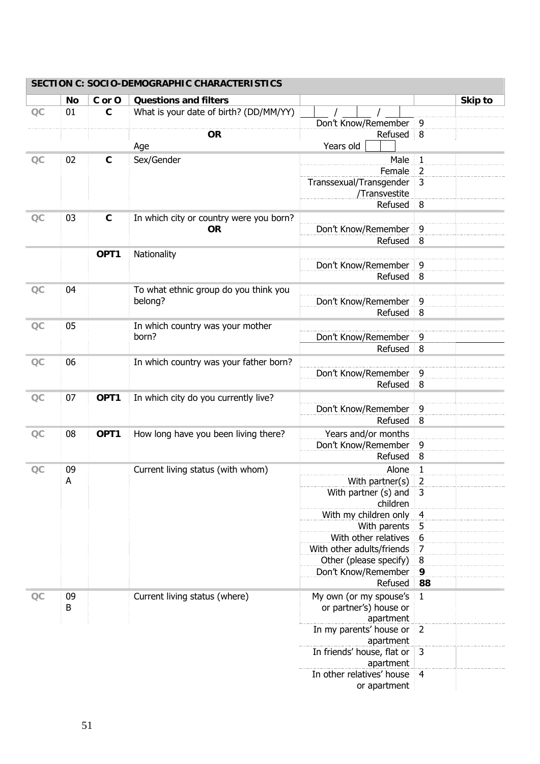|    | No | C or O      | <b>Questions and filters</b>                 |                            |                    | Skip to |
|----|----|-------------|----------------------------------------------|----------------------------|--------------------|---------|
| OC | 01 | $\mathbf c$ | What is your date of birth? (DD/MM/YY)       |                            |                    |         |
|    |    |             |                                              | Don't Know/Remember        | 9                  |         |
|    |    |             | <b>OR</b>                                    | Refused                    | 8                  |         |
|    |    |             | Age                                          | Years old                  |                    |         |
| OC | 02 | $\mathbf C$ | Sex/Gender                                   | Male                       | $\mathbf{1}$       |         |
|    |    |             |                                              | Female                     | $\overline{2}$     |         |
|    |    |             |                                              | Transsexual/Transgender    | 3                  |         |
|    |    |             |                                              | /Transvestite              |                    |         |
|    |    |             |                                              | Refused                    | 8                  |         |
| OC | 03 | $\mathbf C$ | In which city or country were you born?      |                            |                    |         |
|    |    |             | <b>OR</b>                                    | Don't Know/Remember        | 9                  |         |
|    |    |             |                                              | Refused                    | 8                  |         |
|    |    | OPT1        | Nationality                                  |                            |                    |         |
|    |    |             |                                              | Don't Know/Remember        | 9                  |         |
|    |    |             |                                              | Refused                    | 8                  |         |
| OC | 04 |             | To what ethnic group do you think you        |                            |                    |         |
|    |    |             | belong?                                      | Don't Know/Remember        | 9                  |         |
|    |    |             |                                              | Refused                    | 8                  |         |
| OC | 05 |             | In which country was your mother             |                            |                    |         |
|    |    |             | born?                                        | Don't Know/Remember        | 9                  |         |
|    |    |             |                                              | Refused                    | 8                  |         |
| OC | 06 |             | In which country was your father born?       |                            |                    |         |
|    |    |             |                                              | Don't Know/Remember        | 9                  |         |
|    |    |             |                                              | Refused                    | 8                  |         |
|    | 07 | OPT1        | In which city do you currently live?         |                            |                    |         |
| OC |    |             |                                              | Don't Know/Remember        | 9                  |         |
|    |    |             |                                              | Refused                    | 8                  |         |
| OC | 08 |             |                                              | Years and/or months        |                    |         |
|    |    |             | OPT1<br>How long have you been living there? | Don't Know/Remember        | 9                  |         |
|    |    |             |                                              | Refused                    | 8                  |         |
| OC | 09 |             |                                              | Alone                      |                    |         |
|    | A  |             | Current living status (with whom)            | With partner(s)            | 1<br>$\mathcal{P}$ |         |
|    |    |             |                                              | With partner (s) and       | 3                  |         |
|    |    |             |                                              | children                   |                    |         |
|    |    |             |                                              | With my children only      | $\overline{4}$     |         |
|    |    |             |                                              | With parents               | 5                  |         |
|    |    |             |                                              | With other relatives       | 6                  |         |
|    |    |             |                                              | With other adults/friends  | $\overline{7}$     |         |
|    |    |             |                                              | Other (please specify)     | 8                  |         |
|    |    |             |                                              | Don't Know/Remember        | 9                  |         |
|    |    |             |                                              | Refused                    | 88                 |         |
| OC | 09 |             | Current living status (where)                | My own (or my spouse's     | $\mathbf{1}$       |         |
|    | B  |             |                                              | or partner's) house or     |                    |         |
|    |    |             |                                              | apartment                  |                    |         |
|    |    |             |                                              | In my parents' house or    | $\overline{2}$     |         |
|    |    |             |                                              | apartment                  |                    |         |
|    |    |             |                                              | In friends' house, flat or | $\mathbf{3}$       |         |
|    |    |             |                                              | apartment                  |                    |         |
|    |    |             |                                              | In other relatives' house  | 4                  |         |
|    |    |             |                                              | or apartment               |                    |         |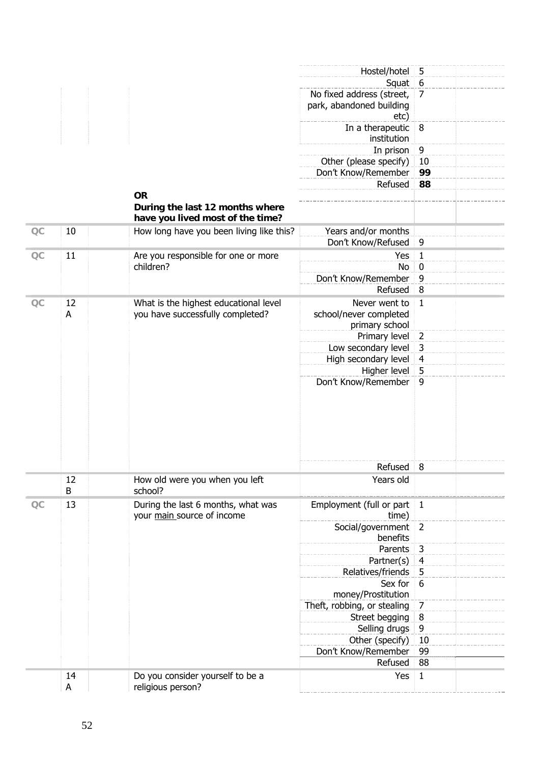|    |         |                                                                                  | Hostel/hotel                                                  | 5                |
|----|---------|----------------------------------------------------------------------------------|---------------------------------------------------------------|------------------|
|    |         |                                                                                  | Squat                                                         | 6                |
|    |         |                                                                                  | No fixed address (street,<br>park, abandoned building<br>etc) | 7                |
|    |         |                                                                                  | In a therapeutic<br>institution                               | 8                |
|    |         |                                                                                  | In prison                                                     | $\boldsymbol{9}$ |
|    |         |                                                                                  | Other (please specify)                                        | 10               |
|    |         |                                                                                  | Don't Know/Remember                                           | 99               |
|    |         |                                                                                  | Refused                                                       | 88               |
|    |         | <b>OR</b><br>During the last 12 months where<br>have you lived most of the time? |                                                               |                  |
| OC | 10      | How long have you been living like this?                                         | Years and/or months                                           |                  |
|    |         |                                                                                  | Don't Know/Refused                                            | 9                |
| QC | 11      | Are you responsible for one or more                                              | Yes                                                           | $\mathbf{1}$     |
|    |         | children?                                                                        | No                                                            | $\bf{0}$         |
|    |         |                                                                                  | Don't Know/Remember                                           | 9                |
|    |         |                                                                                  | Refused                                                       | 8                |
|    | 12      |                                                                                  | Never went to                                                 | $\mathbf{1}$     |
| OC | A       | What is the highest educational level                                            |                                                               |                  |
|    |         | you have successfully completed?                                                 | school/never completed                                        |                  |
|    |         |                                                                                  | primary school                                                | $\overline{2}$   |
|    |         |                                                                                  | Primary level                                                 | $\mathsf 3$      |
|    |         |                                                                                  | Low secondary level                                           |                  |
|    |         |                                                                                  | High secondary level                                          | $\overline{4}$   |
|    |         |                                                                                  | Higher level<br>Don't Know/Remember                           | 5<br>9           |
|    |         |                                                                                  |                                                               |                  |
|    |         |                                                                                  | Refused                                                       | 8                |
|    | 12<br>B | How old were you when you left<br>school?                                        | Years old                                                     |                  |
| OC | 13      | During the last 6 months, what was<br>your main source of income                 | Employment (full or part<br>time)                             | $\mathbf{1}$     |
|    |         |                                                                                  | Social/government<br>benefits                                 | $\overline{2}$   |
|    |         |                                                                                  | Parents                                                       | $\overline{3}$   |
|    |         |                                                                                  | Partner(s)                                                    | $\overline{4}$   |
|    |         |                                                                                  | Relatives/friends                                             | 5                |
|    |         |                                                                                  | Sex for                                                       | 6                |
|    |         |                                                                                  | money/Prostitution                                            |                  |
|    |         |                                                                                  | Theft, robbing, or stealing                                   | 7                |
|    |         |                                                                                  | Street begging                                                | 8                |
|    |         |                                                                                  | Selling drugs                                                 | $\boldsymbol{9}$ |
|    |         |                                                                                  | Other (specify)                                               | 10               |
|    |         |                                                                                  | Don't Know/Remember                                           | 99               |
|    |         |                                                                                  | Refused                                                       | 88               |
|    | 14      | Do you consider yourself to be a                                                 | Yes                                                           | $\mathbf{1}$     |
|    | A       | religious person?                                                                |                                                               |                  |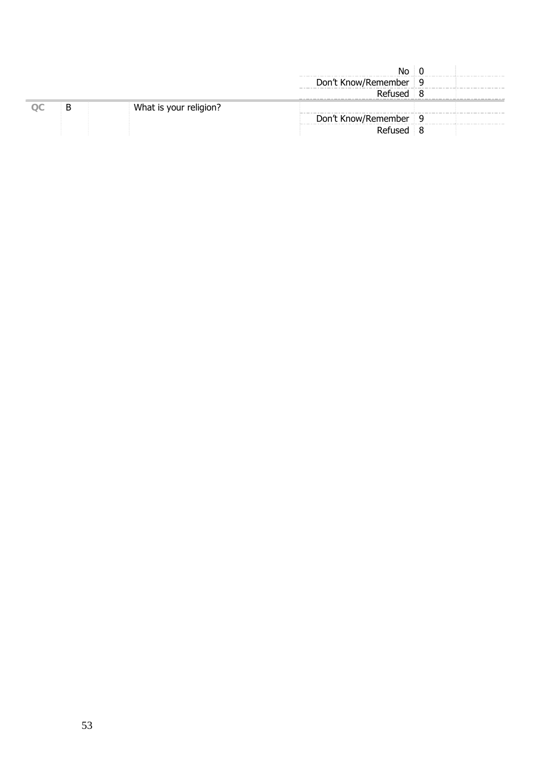|     |   |                        | No                      |  |
|-----|---|------------------------|-------------------------|--|
|     |   |                        | Don't Know/Remember   9 |  |
|     |   |                        | Refused 8               |  |
| OC. | Β | What is your religion? |                         |  |
|     |   |                        | Don't Know/Remember 9   |  |
|     |   |                        | Refused 8               |  |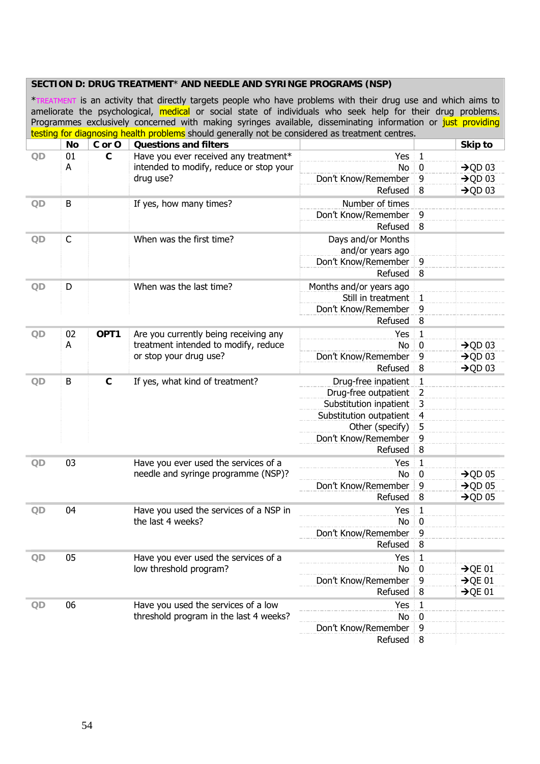|         |                             |                         | SECTION D: DRUG TREATMENT* AND NEEDLE AND SYRINGE PROGRAMS (NSP)<br>*TREATMENT is an activity that directly targets people who have problems with their drug use and which aims to<br>ameliorate the psychological, medical or social state of individuals who seek help for their drug problems.<br>Programmes exclusively concerned with making syringes available, disseminating information or just providing |                         |                     |                     |
|---------|-----------------------------|-------------------------|-------------------------------------------------------------------------------------------------------------------------------------------------------------------------------------------------------------------------------------------------------------------------------------------------------------------------------------------------------------------------------------------------------------------|-------------------------|---------------------|---------------------|
|         |                             |                         | testing for diagnosing health problems should generally not be considered as treatment centres.                                                                                                                                                                                                                                                                                                                   |                         |                     |                     |
|         | <b>No</b>                   | C or O                  | <b>Questions and filters</b>                                                                                                                                                                                                                                                                                                                                                                                      |                         |                     | Skip to             |
| QD      | 01                          | $\mathbf c$             | Have you ever received any treatment*                                                                                                                                                                                                                                                                                                                                                                             | Yes                     | $\mathbf{1}$        |                     |
|         | A                           |                         | intended to modify, reduce or stop your                                                                                                                                                                                                                                                                                                                                                                           | No                      | $\boldsymbol{0}$    | $\rightarrow$ QD 03 |
|         |                             |                         | drug use?                                                                                                                                                                                                                                                                                                                                                                                                         | Don't Know/Remember     | 9                   | $\rightarrow$ QD 03 |
|         |                             |                         |                                                                                                                                                                                                                                                                                                                                                                                                                   | Refused                 | 8                   | $\rightarrow$ QD 03 |
| QD      | B                           |                         | If yes, how many times?                                                                                                                                                                                                                                                                                                                                                                                           | Number of times         |                     |                     |
|         |                             |                         |                                                                                                                                                                                                                                                                                                                                                                                                                   | Don't Know/Remember     | 9                   |                     |
|         |                             |                         |                                                                                                                                                                                                                                                                                                                                                                                                                   | Refused                 | 8                   |                     |
| QD      | $\mathsf{C}$                |                         | When was the first time?                                                                                                                                                                                                                                                                                                                                                                                          | Days and/or Months      |                     |                     |
|         |                             |                         |                                                                                                                                                                                                                                                                                                                                                                                                                   | and/or years ago        |                     |                     |
|         |                             |                         |                                                                                                                                                                                                                                                                                                                                                                                                                   | Don't Know/Remember     | 9                   |                     |
|         |                             |                         |                                                                                                                                                                                                                                                                                                                                                                                                                   | Refused                 | 8                   |                     |
|         |                             |                         |                                                                                                                                                                                                                                                                                                                                                                                                                   |                         |                     |                     |
| D<br>QD |                             | When was the last time? | Months and/or years ago                                                                                                                                                                                                                                                                                                                                                                                           |                         |                     |                     |
|         |                             |                         |                                                                                                                                                                                                                                                                                                                                                                                                                   | Still in treatment      | $\mathbf{1}$        |                     |
|         |                             |                         |                                                                                                                                                                                                                                                                                                                                                                                                                   | Don't Know/Remember     | 9                   |                     |
|         |                             |                         |                                                                                                                                                                                                                                                                                                                                                                                                                   | Refused                 | 8                   |                     |
| OD      | 02                          | OPT <sub>1</sub>        | Are you currently being receiving any                                                                                                                                                                                                                                                                                                                                                                             | Yes                     | $\mathbf{1}$        |                     |
|         | A<br>or stop your drug use? |                         | treatment intended to modify, reduce                                                                                                                                                                                                                                                                                                                                                                              | No                      | $\mathbf 0$         | $\rightarrow$ QD 03 |
|         |                             |                         | Don't Know/Remember                                                                                                                                                                                                                                                                                                                                                                                               | 9                       | $\rightarrow$ QD 03 |                     |
|         |                             |                         |                                                                                                                                                                                                                                                                                                                                                                                                                   | Refused                 | 8                   | $\rightarrow$ QD 03 |
| QD      | B                           | $\mathbf c$             | If yes, what kind of treatment?                                                                                                                                                                                                                                                                                                                                                                                   | Drug-free inpatient     | $\mathbf{1}$        |                     |
|         |                             |                         |                                                                                                                                                                                                                                                                                                                                                                                                                   | Drug-free outpatient    | $\overline{2}$      |                     |
|         |                             |                         |                                                                                                                                                                                                                                                                                                                                                                                                                   | Substitution inpatient  | 3                   |                     |
|         |                             |                         |                                                                                                                                                                                                                                                                                                                                                                                                                   | Substitution outpatient | $\overline{4}$      |                     |
|         |                             |                         |                                                                                                                                                                                                                                                                                                                                                                                                                   | Other (specify)         | 5                   |                     |
|         |                             |                         |                                                                                                                                                                                                                                                                                                                                                                                                                   | Don't Know/Remember     | 9                   |                     |
|         |                             |                         |                                                                                                                                                                                                                                                                                                                                                                                                                   | Refused                 | 8                   |                     |
|         |                             |                         |                                                                                                                                                                                                                                                                                                                                                                                                                   |                         |                     |                     |
| QD      | 03                          |                         | Have you ever used the services of a                                                                                                                                                                                                                                                                                                                                                                              | Yes                     | 1                   |                     |
|         |                             |                         | needle and syringe programme (NSP)?                                                                                                                                                                                                                                                                                                                                                                               | No                      | 0                   | $\rightarrow$ QD 05 |
|         |                             |                         |                                                                                                                                                                                                                                                                                                                                                                                                                   | Don't Know/Remember     | 9                   | $\rightarrow$ OD 05 |
|         |                             |                         |                                                                                                                                                                                                                                                                                                                                                                                                                   | Refused                 | 8                   | $\rightarrow$ QD 05 |
| QD      | 04                          |                         | Have you used the services of a NSP in                                                                                                                                                                                                                                                                                                                                                                            | Yes                     | 1                   |                     |
|         |                             |                         | the last 4 weeks?                                                                                                                                                                                                                                                                                                                                                                                                 | No                      | 0                   |                     |
|         |                             |                         |                                                                                                                                                                                                                                                                                                                                                                                                                   | Don't Know/Remember     | 9                   |                     |
|         |                             |                         |                                                                                                                                                                                                                                                                                                                                                                                                                   | Refused                 | 8                   |                     |
| QD      | 05                          |                         | Have you ever used the services of a                                                                                                                                                                                                                                                                                                                                                                              | Yes                     | $\mathbf{1}$        |                     |
|         |                             |                         | low threshold program?                                                                                                                                                                                                                                                                                                                                                                                            | No                      | $\boldsymbol{0}$    | $\rightarrow$ QE 01 |
|         |                             |                         |                                                                                                                                                                                                                                                                                                                                                                                                                   | Don't Know/Remember     | 9                   | $\rightarrow$ QE 01 |
|         |                             |                         |                                                                                                                                                                                                                                                                                                                                                                                                                   | Refused                 | 8                   | $\rightarrow$ QE 01 |
| QD      | 06                          |                         | Have you used the services of a low                                                                                                                                                                                                                                                                                                                                                                               | Yes                     | $\mathbf{1}$        |                     |
|         |                             |                         | threshold program in the last 4 weeks?                                                                                                                                                                                                                                                                                                                                                                            | No                      | $\boldsymbol{0}$    |                     |
|         |                             |                         |                                                                                                                                                                                                                                                                                                                                                                                                                   |                         |                     |                     |
|         |                             |                         |                                                                                                                                                                                                                                                                                                                                                                                                                   | Don't Know/Remember     | 9                   |                     |
|         |                             |                         |                                                                                                                                                                                                                                                                                                                                                                                                                   | Refused                 | 8                   |                     |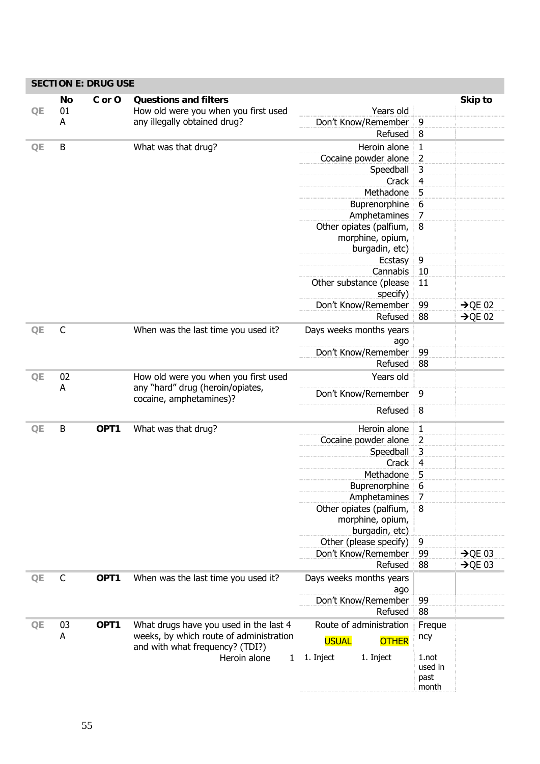| QE | <b>No</b><br>01 | C or O | <b>Questions and filters</b><br>How old were you when you first used | Years old                      |                | Skip to             |
|----|-----------------|--------|----------------------------------------------------------------------|--------------------------------|----------------|---------------------|
|    | A               |        | any illegally obtained drug?                                         | Don't Know/Remember            | 9              |                     |
|    |                 |        |                                                                      | Refused                        | 8              |                     |
|    |                 |        |                                                                      |                                |                |                     |
| QE | B               |        | What was that drug?                                                  | Heroin alone                   | $\mathbf{1}$   |                     |
|    |                 |        |                                                                      | Cocaine powder alone           | $\overline{2}$ |                     |
|    |                 |        |                                                                      | Speedball                      | 3              |                     |
|    |                 |        |                                                                      | Crack                          | $\overline{4}$ |                     |
|    |                 |        |                                                                      | Methadone                      | 5              |                     |
|    |                 |        |                                                                      | Buprenorphine                  | 6              |                     |
|    |                 |        |                                                                      | Amphetamines                   | $\overline{7}$ |                     |
|    |                 |        |                                                                      | Other opiates (palfium,        | 8              |                     |
|    |                 |        |                                                                      | morphine, opium,               |                |                     |
|    |                 |        |                                                                      | burgadin, etc)                 |                |                     |
|    |                 |        |                                                                      | Ecstasy                        | 9              |                     |
|    |                 |        |                                                                      | Cannabis                       | 10             |                     |
|    |                 |        |                                                                      | Other substance (please        | 11             |                     |
|    |                 |        |                                                                      | specify)                       |                |                     |
|    |                 |        |                                                                      | Don't Know/Remember            | 99             | $\rightarrow$ QE 02 |
|    |                 |        |                                                                      | Refused                        | 88             | $\rightarrow$ QE 02 |
| QE | $\mathsf{C}$    |        | When was the last time you used it?                                  | Days weeks months years        |                |                     |
|    |                 |        |                                                                      |                                |                |                     |
|    |                 |        |                                                                      | ago<br>Don't Know/Remember     | 99             |                     |
|    |                 |        |                                                                      |                                |                |                     |
|    |                 |        |                                                                      | Refused                        | 88             |                     |
| QE | 02              |        | How old were you when you first used                                 | Years old                      |                |                     |
|    | A               |        | any "hard" drug (heroin/opiates,<br>cocaine, amphetamines)?          | Don't Know/Remember            | 9              |                     |
|    |                 |        |                                                                      | Refused                        | 8              |                     |
| QE | B               | OPT1   | What was that drug?                                                  | Heroin alone                   | $\mathbf{1}$   |                     |
|    |                 |        |                                                                      | Cocaine powder alone           | 2              |                     |
|    |                 |        |                                                                      | Speedball                      | 3              |                     |
|    |                 |        |                                                                      | Crack                          | $\overline{4}$ |                     |
|    |                 |        |                                                                      | Methadone                      | 5              |                     |
|    |                 |        |                                                                      | Buprenorphine                  | 6              |                     |
|    |                 |        |                                                                      | Amphetamines                   | 7              |                     |
|    |                 |        |                                                                      | Other opiates (palfium,        | 8              |                     |
|    |                 |        |                                                                      |                                |                |                     |
|    |                 |        |                                                                      | morphine, opium,               |                |                     |
|    |                 |        |                                                                      | burgadin, etc)                 |                |                     |
|    |                 |        |                                                                      | Other (please specify)         | 9              |                     |
|    |                 |        |                                                                      | Don't Know/Remember            | 99             | $\rightarrow$ QE 03 |
|    |                 |        |                                                                      | Refused                        | 88             | $\rightarrow$ QE 03 |
| QE | $\mathsf{C}$    | OPT1   | When was the last time you used it?                                  | Days weeks months years<br>ago |                |                     |
|    |                 |        |                                                                      | Don't Know/Remember            | 99             |                     |
|    |                 |        |                                                                      | Refused                        | 88             |                     |
| QE | 03              | OPT1   | What drugs have you used in the last 4                               | Route of administration        | Freque         |                     |
|    | A               |        | weeks, by which route of administration                              |                                |                |                     |
|    |                 |        | and with what frequency? (TDI?)                                      | <b>USUAL</b><br><b>OTHER</b>   | ncy            |                     |
|    |                 |        | Heroin alone<br>1                                                    | 1. Inject<br>1. Inject         | 1.not          |                     |
|    |                 |        |                                                                      |                                | used in        |                     |
|    |                 |        |                                                                      |                                | past           |                     |
|    |                 |        |                                                                      |                                | month          |                     |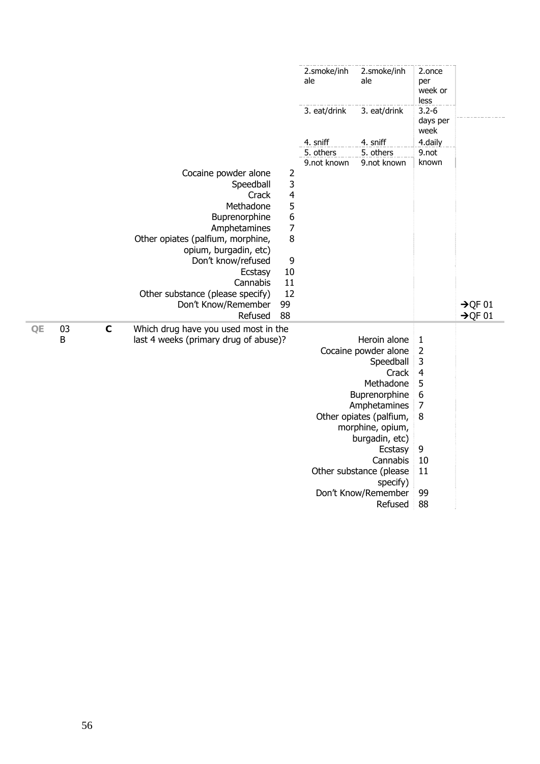|    |    |             |                                       |                  | 2.smoke/inh<br>ale | 2.smoke/inh<br>ale      | 2.once<br>per<br>week or<br>less |                     |
|----|----|-------------|---------------------------------------|------------------|--------------------|-------------------------|----------------------------------|---------------------|
|    |    |             |                                       |                  | 3. eat/drink       | 3. eat/drink            | $3.2 - 6$<br>days per<br>week    |                     |
|    |    |             |                                       |                  | 4. sniff           | 4. sniff                | 4.daily                          |                     |
|    |    |             |                                       |                  | 5. others          | 5. others               | 9.not                            |                     |
|    |    |             |                                       |                  | 9.not known        | 9.not known             | known                            |                     |
|    |    |             | Cocaine powder alone                  | $\overline{2}$   |                    |                         |                                  |                     |
|    |    |             | Speedball                             | 3                |                    |                         |                                  |                     |
|    |    |             | Crack                                 | 4                |                    |                         |                                  |                     |
|    |    |             | Methadone                             | 5                |                    |                         |                                  |                     |
|    |    |             | Buprenorphine                         | $\boldsymbol{6}$ |                    |                         |                                  |                     |
|    |    |             | Amphetamines                          | $\overline{7}$   |                    |                         |                                  |                     |
|    |    |             | Other opiates (palfium, morphine,     | 8                |                    |                         |                                  |                     |
|    |    |             | opium, burgadin, etc)                 |                  |                    |                         |                                  |                     |
|    |    |             | Don't know/refused                    | 9                |                    |                         |                                  |                     |
|    |    |             | Ecstasy                               | 10               |                    |                         |                                  |                     |
|    |    |             | Cannabis                              | 11               |                    |                         |                                  |                     |
|    |    |             | Other substance (please specify)      | 12               |                    |                         |                                  |                     |
|    |    |             | Don't Know/Remember                   | 99               |                    |                         |                                  | $\rightarrow$ QF 01 |
|    |    |             | Refused                               | 88               |                    |                         |                                  | $\rightarrow$ QF 01 |
| QE | 03 | $\mathbf c$ | Which drug have you used most in the  |                  |                    |                         |                                  |                     |
|    | B  |             | last 4 weeks (primary drug of abuse)? |                  |                    | Heroin alone            | $\mathbf{1}$                     |                     |
|    |    |             |                                       |                  |                    | Cocaine powder alone    | $\overline{\mathbf{c}}$          |                     |
|    |    |             |                                       |                  |                    | Speedball               | 3                                |                     |
|    |    |             |                                       |                  |                    | Crack                   | $\overline{4}$                   |                     |
|    |    |             |                                       |                  |                    | Methadone               | 5                                |                     |
|    |    |             |                                       |                  |                    | Buprenorphine           | $\boldsymbol{6}$                 |                     |
|    |    |             |                                       |                  |                    | Amphetamines            | $\overline{7}$                   |                     |
|    |    |             |                                       |                  |                    | Other opiates (palfium, | 8                                |                     |
|    |    |             |                                       |                  |                    | morphine, opium,        |                                  |                     |
|    |    |             |                                       |                  |                    | burgadin, etc)          |                                  |                     |
|    |    |             |                                       |                  |                    | Ecstasy                 | 9                                |                     |
|    |    |             |                                       |                  |                    | Cannabis                | 10                               |                     |
|    |    |             |                                       |                  |                    | Other substance (please | 11                               |                     |
|    |    |             |                                       |                  |                    | specify)                |                                  |                     |
|    |    |             |                                       |                  |                    | Don't Know/Remember     | 99                               |                     |
|    |    |             |                                       |                  |                    | Refused                 | 88                               |                     |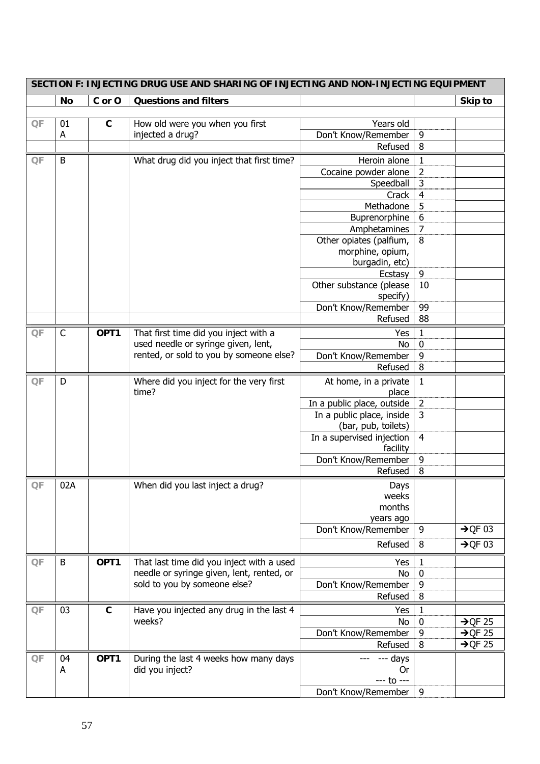| SECTION F: INJECTING DRUG USE AND SHARING OF INJECTING AND NON-INJECTING EQUIPMENT |              |             |                                           |                            |                |                     |  |  |
|------------------------------------------------------------------------------------|--------------|-------------|-------------------------------------------|----------------------------|----------------|---------------------|--|--|
|                                                                                    | No           | C or O      | <b>Questions and filters</b>              |                            |                | Skip to             |  |  |
|                                                                                    |              |             |                                           |                            |                |                     |  |  |
| QF                                                                                 | 01           | $\mathbf c$ | How old were you when you first           | Years old                  |                |                     |  |  |
|                                                                                    | A            |             | injected a drug?                          | Don't Know/Remember        | 9              |                     |  |  |
|                                                                                    |              |             |                                           | Refused                    | 8              |                     |  |  |
| QF                                                                                 | B            |             | What drug did you inject that first time? | Heroin alone               | $\mathbf{1}$   |                     |  |  |
|                                                                                    |              |             |                                           | Cocaine powder alone       | $\overline{c}$ |                     |  |  |
|                                                                                    |              |             |                                           | Speedball                  | 3              |                     |  |  |
|                                                                                    |              |             |                                           | Crack                      | $\overline{4}$ |                     |  |  |
|                                                                                    |              |             |                                           | Methadone                  | 5              |                     |  |  |
|                                                                                    |              |             |                                           | Buprenorphine              | 6              |                     |  |  |
|                                                                                    |              |             |                                           | Amphetamines               | $\overline{7}$ |                     |  |  |
|                                                                                    |              |             |                                           | Other opiates (palfium,    | 8              |                     |  |  |
|                                                                                    |              |             |                                           | morphine, opium,           |                |                     |  |  |
|                                                                                    |              |             |                                           | burgadin, etc)             |                |                     |  |  |
|                                                                                    |              |             |                                           | Ecstasy                    | 9              |                     |  |  |
|                                                                                    |              |             |                                           | Other substance (please    | 10             |                     |  |  |
|                                                                                    |              |             |                                           | specify)                   |                |                     |  |  |
|                                                                                    |              |             |                                           | Don't Know/Remember        | 99             |                     |  |  |
|                                                                                    |              |             |                                           | Refused                    | 88             |                     |  |  |
| QF                                                                                 | $\mathsf{C}$ | OPT1        | That first time did you inject with a     | Yes                        | $\mathbf{1}$   |                     |  |  |
|                                                                                    |              |             | used needle or syringe given, lent,       | No                         | $\bf{0}$       |                     |  |  |
|                                                                                    |              |             | rented, or sold to you by someone else?   | Don't Know/Remember        | 9              |                     |  |  |
|                                                                                    |              |             |                                           | Refused                    | 8              |                     |  |  |
| QF                                                                                 | D            |             | Where did you inject for the very first   | At home, in a private      | $\mathbf{1}$   |                     |  |  |
|                                                                                    |              |             | time?                                     | place                      |                |                     |  |  |
|                                                                                    |              |             |                                           | In a public place, outside | $\overline{2}$ |                     |  |  |
|                                                                                    |              |             |                                           | In a public place, inside  | 3              |                     |  |  |
|                                                                                    |              |             |                                           | (bar, pub, toilets)        |                |                     |  |  |
|                                                                                    |              |             |                                           | In a supervised injection  | $\overline{4}$ |                     |  |  |
|                                                                                    |              |             |                                           | facility                   |                |                     |  |  |
|                                                                                    |              |             |                                           | Don't Know/Remember        | 9              |                     |  |  |
|                                                                                    |              |             |                                           | Refused                    | 8              |                     |  |  |
| OF                                                                                 | 02A          |             | When did you last inject a drug?          | Days                       |                |                     |  |  |
|                                                                                    |              |             |                                           | weeks                      |                |                     |  |  |
|                                                                                    |              |             |                                           | months                     |                |                     |  |  |
|                                                                                    |              |             |                                           | years ago                  |                |                     |  |  |
|                                                                                    |              |             |                                           | Don't Know/Remember        | 9              | $\rightarrow$ QF 03 |  |  |
|                                                                                    |              |             |                                           | Refused                    | 8              | $\rightarrow$ QF 03 |  |  |
| QF                                                                                 | B            | OPT1        | That last time did you inject with a used | Yes                        | 1              |                     |  |  |
|                                                                                    |              |             | needle or syringe given, lent, rented, or | No                         | 0              |                     |  |  |
|                                                                                    |              |             | sold to you by someone else?              | Don't Know/Remember        | 9              |                     |  |  |
|                                                                                    |              |             |                                           | Refused                    | 8              |                     |  |  |
| QF                                                                                 | 03           | $\mathbf c$ | Have you injected any drug in the last 4  | Yes                        | 1              |                     |  |  |
|                                                                                    |              |             | weeks?                                    | No                         | 0              | $\rightarrow$ QF 25 |  |  |
|                                                                                    |              |             |                                           | Don't Know/Remember        | 9              | $\rightarrow$ QF 25 |  |  |
|                                                                                    |              |             |                                           | Refused                    | 8              | $\rightarrow$ QF 25 |  |  |
|                                                                                    |              |             |                                           |                            |                |                     |  |  |
| QF                                                                                 | 04           | OPT1        | During the last 4 weeks how many days     | --- days                   |                |                     |  |  |
|                                                                                    | A            |             | did you inject?                           | 0r                         |                |                     |  |  |
|                                                                                    |              |             |                                           | $--- to ---$               |                |                     |  |  |
|                                                                                    |              |             |                                           | Don't Know/Remember        | 9              |                     |  |  |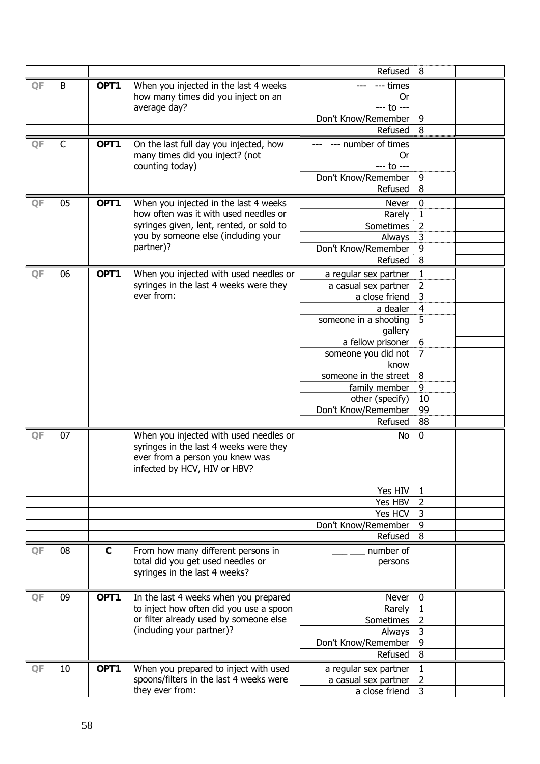|    |    |                  |                                                                                  | Refused                        | 8                              |  |
|----|----|------------------|----------------------------------------------------------------------------------|--------------------------------|--------------------------------|--|
| QF | B  | OPT1             | When you injected in the last 4 weeks                                            | --- times                      |                                |  |
|    |    |                  | how many times did you inject on an                                              | <b>Or</b>                      |                                |  |
|    |    |                  | average day?                                                                     | --- to ---                     |                                |  |
|    |    |                  |                                                                                  | Don't Know/Remember            | 9                              |  |
|    |    |                  |                                                                                  | Refused                        | 8                              |  |
| QF | C  | OPT1             | On the last full day you injected, how                                           | --- number of times            |                                |  |
|    |    |                  | many times did you inject? (not                                                  | 0r                             |                                |  |
|    |    |                  | counting today)                                                                  | --- to ---                     |                                |  |
|    |    |                  |                                                                                  | Don't Know/Remember            | 9                              |  |
|    |    |                  |                                                                                  | Refused                        | 8                              |  |
| QF | 05 | OPT1             | When you injected in the last 4 weeks                                            | Never                          | $\boldsymbol{0}$               |  |
|    |    |                  | how often was it with used needles or                                            | Rarely                         | $\mathbf{1}$                   |  |
|    |    |                  | syringes given, lent, rented, or sold to                                         | Sometimes                      | $\overline{2}$                 |  |
|    |    |                  | you by someone else (including your                                              | Always                         | 3                              |  |
|    |    |                  | partner)?                                                                        | Don't Know/Remember            | 9                              |  |
|    |    |                  |                                                                                  | Refused                        | 8                              |  |
| QF | 06 | OPT <sub>1</sub> | When you injected with used needles or                                           | a regular sex partner          | $\mathbf 1$                    |  |
|    |    |                  | syringes in the last 4 weeks were they                                           | a casual sex partner           | $\overline{2}$                 |  |
|    |    |                  | ever from:                                                                       | a close friend                 | 3                              |  |
|    |    |                  |                                                                                  | a dealer                       | $\overline{4}$                 |  |
|    |    |                  |                                                                                  | someone in a shooting          | 5                              |  |
|    |    |                  |                                                                                  | gallery                        |                                |  |
|    |    |                  |                                                                                  | a fellow prisoner              | 6                              |  |
|    |    |                  |                                                                                  | someone you did not            | $\overline{7}$                 |  |
|    |    |                  |                                                                                  | know                           |                                |  |
|    |    |                  |                                                                                  | someone in the street          | 8                              |  |
|    |    |                  |                                                                                  | family member                  | 9                              |  |
|    |    |                  |                                                                                  | other (specify)                | 10                             |  |
|    |    |                  |                                                                                  | Don't Know/Remember            | 99                             |  |
|    |    |                  |                                                                                  | Refused                        | 88                             |  |
| QF | 07 |                  | When you injected with used needles or                                           | No                             | $\bf{0}$                       |  |
|    |    |                  | syringes in the last 4 weeks were they                                           |                                |                                |  |
|    |    |                  | ever from a person you knew was                                                  |                                |                                |  |
|    |    |                  | infected by HCV, HIV or HBV?                                                     |                                |                                |  |
|    |    |                  |                                                                                  |                                |                                |  |
|    |    |                  |                                                                                  | Yes HIV                        | 1                              |  |
|    |    |                  |                                                                                  | Yes HBV                        | $\overline{2}$                 |  |
|    |    |                  |                                                                                  | Yes HCV                        | 3                              |  |
|    |    |                  |                                                                                  | Don't Know/Remember<br>Refused | 9<br>8                         |  |
|    |    |                  |                                                                                  |                                |                                |  |
| QF | 08 | $\mathbf{C}$     | From how many different persons in                                               | number of                      |                                |  |
|    |    |                  | total did you get used needles or                                                | persons                        |                                |  |
|    |    |                  | syringes in the last 4 weeks?                                                    |                                |                                |  |
|    |    |                  |                                                                                  |                                |                                |  |
| QF | 09 | OPT1             | In the last 4 weeks when you prepared<br>to inject how often did you use a spoon | Never                          | $\boldsymbol{0}$               |  |
|    |    |                  | or filter already used by someone else                                           | Rarely<br>Sometimes            | $\mathbf{1}$<br>$\overline{2}$ |  |
|    |    |                  | (including your partner)?                                                        | Always                         | 3                              |  |
|    |    |                  |                                                                                  | Don't Know/Remember            | 9                              |  |
|    |    |                  |                                                                                  | Refused                        | 8                              |  |
|    |    |                  |                                                                                  |                                |                                |  |
| QF | 10 | OPT1             | When you prepared to inject with used<br>spoons/filters in the last 4 weeks were | a regular sex partner          | $\mathbf{1}$<br>$\overline{2}$ |  |
|    |    |                  | they ever from:                                                                  | a casual sex partner           | 3                              |  |
|    |    |                  |                                                                                  | a close friend                 |                                |  |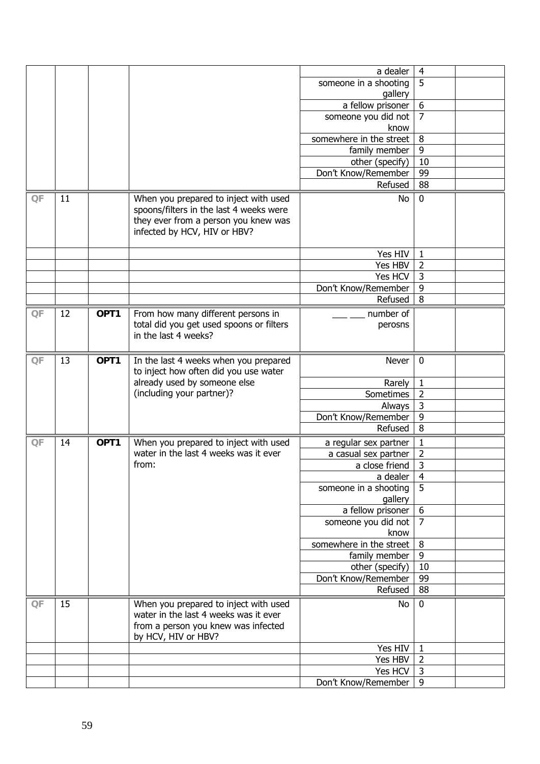|    |    |      |                                                                                                                       | a dealer                         | $\overline{4}$          |  |
|----|----|------|-----------------------------------------------------------------------------------------------------------------------|----------------------------------|-------------------------|--|
|    |    |      |                                                                                                                       | someone in a shooting<br>gallery | 5                       |  |
|    |    |      |                                                                                                                       | a fellow prisoner                | $\boldsymbol{6}$        |  |
|    |    |      |                                                                                                                       | someone you did not              | $\overline{7}$          |  |
|    |    |      |                                                                                                                       | know<br>somewhere in the street  | 8                       |  |
|    |    |      |                                                                                                                       | family member                    | $\overline{9}$          |  |
|    |    |      |                                                                                                                       | other (specify)                  | 10                      |  |
|    |    |      |                                                                                                                       | Don't Know/Remember              | 99                      |  |
|    |    |      |                                                                                                                       | Refused                          | 88                      |  |
| QF | 11 |      | When you prepared to inject with used                                                                                 | <b>No</b>                        | $\mathbf 0$             |  |
|    |    |      | spoons/filters in the last 4 weeks were<br>they ever from a person you knew was<br>infected by HCV, HIV or HBV?       |                                  |                         |  |
|    |    |      |                                                                                                                       | Yes HIV                          | $\mathbf{1}$            |  |
|    |    |      |                                                                                                                       | Yes HBV                          | $\overline{2}$          |  |
|    |    |      |                                                                                                                       | Yes HCV                          | $\overline{3}$          |  |
|    |    |      |                                                                                                                       | Don't Know/Remember              | 9                       |  |
|    |    |      |                                                                                                                       | Refused                          | $\overline{8}$          |  |
| QF | 12 | OPT1 | From how many different persons in<br>total did you get used spoons or filters<br>in the last 4 weeks?                | number of<br>perosns             |                         |  |
| QF | 13 | OPT1 | In the last 4 weeks when you prepared<br>to inject how often did you use water                                        | Never                            | $\bf{0}$                |  |
|    |    |      | already used by someone else                                                                                          | Rarely                           | 1                       |  |
|    |    |      | (including your partner)?                                                                                             | Sometimes                        | $\overline{2}$          |  |
|    |    |      |                                                                                                                       | Always                           | $\overline{3}$          |  |
|    |    |      |                                                                                                                       | Don't Know/Remember              | 9                       |  |
|    |    |      |                                                                                                                       | Refused                          | 8                       |  |
| QF | 14 | OPT1 | When you prepared to inject with used                                                                                 | a regular sex partner            | $\mathbf{1}$            |  |
|    |    |      | water in the last 4 weeks was it ever                                                                                 | a casual sex partner             | $\overline{2}$          |  |
|    |    |      | from:                                                                                                                 | a close friend                   | 3                       |  |
|    |    |      |                                                                                                                       | a dealer                         | $\overline{\mathbf{4}}$ |  |
|    |    |      |                                                                                                                       | someone in a shooting            | $\overline{5}$          |  |
|    |    |      |                                                                                                                       | gallery<br>a fellow prisoner     | $\overline{6}$          |  |
|    |    |      |                                                                                                                       | someone you did not              | $\overline{7}$          |  |
|    |    |      |                                                                                                                       | know                             |                         |  |
|    |    |      |                                                                                                                       | somewhere in the street          | $\overline{8}$          |  |
|    |    |      |                                                                                                                       | family member                    | $\overline{9}$          |  |
|    |    |      |                                                                                                                       | other (specify)                  | 10                      |  |
|    |    |      |                                                                                                                       | Don't Know/Remember              | 99                      |  |
|    |    |      |                                                                                                                       | Refused                          | 88                      |  |
| QF | 15 |      | When you prepared to inject with used<br>water in the last 4 weeks was it ever<br>from a person you knew was infected | No                               | $\pmb{0}$               |  |
|    |    |      | by HCV, HIV or HBV?                                                                                                   |                                  |                         |  |
|    |    |      |                                                                                                                       | Yes HIV                          | $\mathbf{1}$            |  |
|    |    |      |                                                                                                                       | Yes HBV                          | $\overline{2}$          |  |
|    |    |      |                                                                                                                       | Yes HCV                          | $\overline{3}$          |  |
|    |    |      |                                                                                                                       | Don't Know/Remember              | 9                       |  |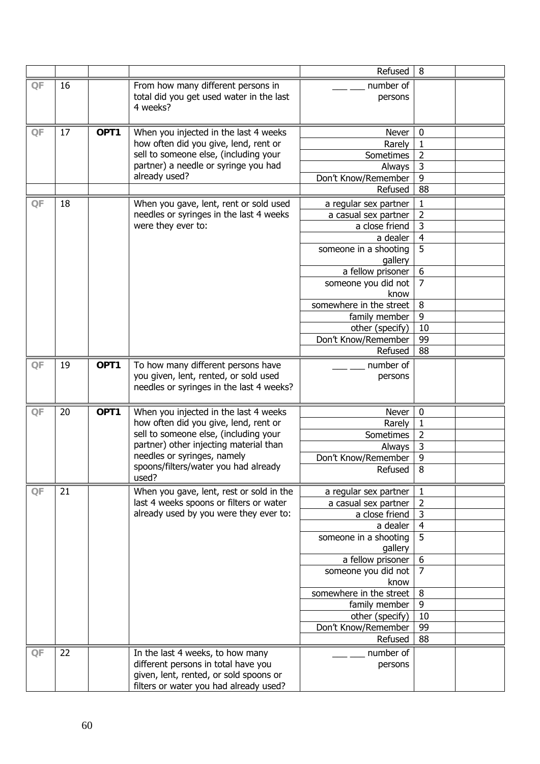|                 |    |      |                                          | Refused                      | 8                   |  |
|-----------------|----|------|------------------------------------------|------------------------------|---------------------|--|
| QF              | 16 |      | From how many different persons in       | number of                    |                     |  |
|                 |    |      | total did you get used water in the last | persons                      |                     |  |
|                 |    |      | 4 weeks?                                 |                              |                     |  |
|                 |    |      |                                          |                              |                     |  |
| $\overline{OF}$ | 17 | OPT1 | When you injected in the last 4 weeks    | Never                        | 0                   |  |
|                 |    |      | how often did you give, lend, rent or    | Rarely                       | $\mathbf{1}$        |  |
|                 |    |      | sell to someone else, (including your    | Sometimes                    | $\overline{2}$      |  |
|                 |    |      | partner) a needle or syringe you had     | Always                       | 3                   |  |
|                 |    |      | already used?                            | Don't Know/Remember          | 9                   |  |
|                 |    |      |                                          | Refused                      | 88                  |  |
| QF              | 18 |      | When you gave, lent, rent or sold used   | a regular sex partner        | 1                   |  |
|                 |    |      | needles or syringes in the last 4 weeks  | a casual sex partner         | $\overline{2}$      |  |
|                 |    |      | were they ever to:                       | a close friend               | $\overline{3}$      |  |
|                 |    |      |                                          | a dealer                     | $\overline{4}$      |  |
|                 |    |      |                                          | someone in a shooting        | $\overline{5}$      |  |
|                 |    |      |                                          | gallery                      |                     |  |
|                 |    |      |                                          | a fellow prisoner            | 6<br>$\overline{7}$ |  |
|                 |    |      |                                          | someone you did not<br>know  |                     |  |
|                 |    |      |                                          | somewhere in the street      | 8                   |  |
|                 |    |      |                                          | family member                | 9                   |  |
|                 |    |      |                                          | other (specify)              | 10                  |  |
|                 |    |      |                                          | Don't Know/Remember          | 99                  |  |
|                 |    |      |                                          | Refused                      | 88                  |  |
| QF              | 19 | OPT1 | To how many different persons have       | number of                    |                     |  |
|                 |    |      | you given, lent, rented, or sold used    | persons                      |                     |  |
|                 |    |      | needles or syringes in the last 4 weeks? |                              |                     |  |
|                 |    |      |                                          |                              |                     |  |
| $\mathsf{QF}$   | 20 | OPT1 | When you injected in the last 4 weeks    | Never                        | $\pmb{0}$           |  |
|                 |    |      | how often did you give, lend, rent or    | Rarely                       | $\mathbf{1}$        |  |
|                 |    |      | sell to someone else, (including your    | Sometimes                    | $\overline{2}$      |  |
|                 |    |      | partner) other injecting material than   | Always                       | $\overline{3}$      |  |
|                 |    |      | needles or syringes, namely              | Don't Know/Remember          | $\overline{9}$      |  |
|                 |    |      | spoons/filters/water you had already     | Refused                      | 8                   |  |
|                 |    |      | used?                                    |                              |                     |  |
| QF              | 21 |      | When you gave, lent, rest or sold in the | a regular sex partner        | 1                   |  |
|                 |    |      | last 4 weeks spoons or filters or water  | a casual sex partner         | 2                   |  |
|                 |    |      | already used by you were they ever to:   | a close friend               | $\overline{3}$      |  |
|                 |    |      |                                          | a dealer                     | $\overline{4}$      |  |
|                 |    |      |                                          | someone in a shooting        | $\overline{5}$      |  |
|                 |    |      |                                          | gallery<br>a fellow prisoner | 6                   |  |
|                 |    |      |                                          | someone you did not          | $\overline{7}$      |  |
|                 |    |      |                                          | know                         |                     |  |
|                 |    |      |                                          | somewhere in the street      | 8                   |  |
|                 |    |      |                                          | family member                | 9                   |  |
|                 |    |      |                                          | other (specify)              | 10                  |  |
|                 |    |      |                                          | Don't Know/Remember          | 99                  |  |
|                 |    |      |                                          | Refused                      | 88                  |  |
| QF              | 22 |      | In the last 4 weeks, to how many         | number of                    |                     |  |
|                 |    |      | different persons in total have you      | persons                      |                     |  |
|                 |    |      | given, lent, rented, or sold spoons or   |                              |                     |  |
|                 |    |      | filters or water you had already used?   |                              |                     |  |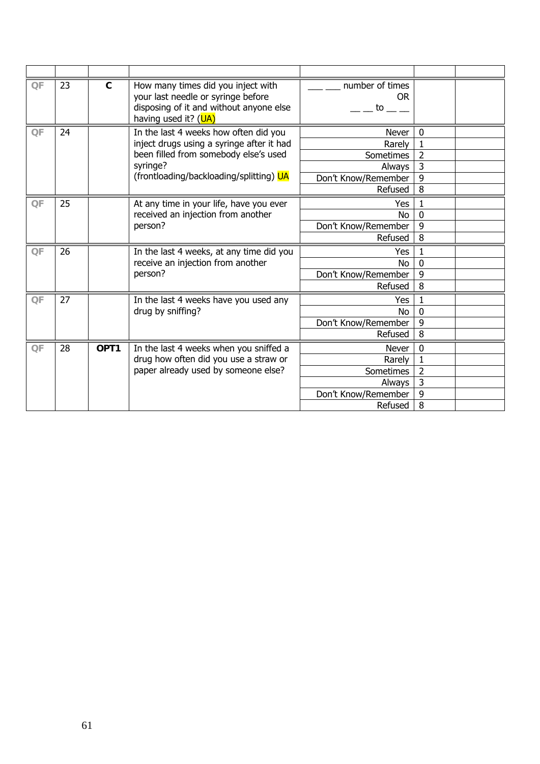| QF | 23      | $\mathbf{C}$ | How many times did you inject with<br>your last needle or syringe before<br>disposing of it and without anyone else<br>having used it? (UA) | number of times<br><b>OR</b><br>to to |                  |  |
|----|---------|--------------|---------------------------------------------------------------------------------------------------------------------------------------------|---------------------------------------|------------------|--|
| QF | 24      |              | In the last 4 weeks how often did you                                                                                                       | Never                                 | $\boldsymbol{0}$ |  |
|    |         |              | inject drugs using a syringe after it had                                                                                                   | Rarely                                |                  |  |
|    |         |              | been filled from somebody else's used                                                                                                       | Sometimes                             | 2                |  |
|    |         |              | syringe?                                                                                                                                    | Always                                | 3                |  |
|    |         |              | (frontloading/backloading/splitting) UA                                                                                                     | Don't Know/Remember                   | 9                |  |
|    |         |              |                                                                                                                                             | Refused                               | 8                |  |
| QF | 25      |              | At any time in your life, have you ever                                                                                                     | Yes                                   |                  |  |
|    |         |              | received an injection from another                                                                                                          | No.                                   | $\mathbf{0}$     |  |
|    | person? |              |                                                                                                                                             | Don't Know/Remember                   | 9                |  |
|    |         |              |                                                                                                                                             | Refused                               | 8                |  |
| QF | 26      |              | In the last 4 weeks, at any time did you                                                                                                    | Yes                                   |                  |  |
|    |         |              | receive an injection from another                                                                                                           | No.                                   | $\overline{0}$   |  |
|    |         |              | person?                                                                                                                                     | Don't Know/Remember                   | 9                |  |
|    |         |              |                                                                                                                                             | Refused                               | 8                |  |
| QF | 27      |              | In the last 4 weeks have you used any                                                                                                       | Yes                                   |                  |  |
|    |         |              | drug by sniffing?                                                                                                                           | <b>No</b>                             | $\mathbf 0$      |  |
|    |         |              |                                                                                                                                             | Don't Know/Remember                   | 9                |  |
|    |         |              |                                                                                                                                             | Refused                               | 8                |  |
| QF | 28      | OPT1         | In the last 4 weeks when you sniffed a                                                                                                      | Never                                 | $\mathbf 0$      |  |
|    |         |              | drug how often did you use a straw or                                                                                                       | Rarely                                | 1                |  |
|    |         |              | paper already used by someone else?                                                                                                         | <b>Sometimes</b>                      | $\overline{2}$   |  |
|    |         |              |                                                                                                                                             | Always                                | $\overline{3}$   |  |
|    |         |              |                                                                                                                                             | Don't Know/Remember                   | 9                |  |
|    |         |              |                                                                                                                                             | Refused                               | 8                |  |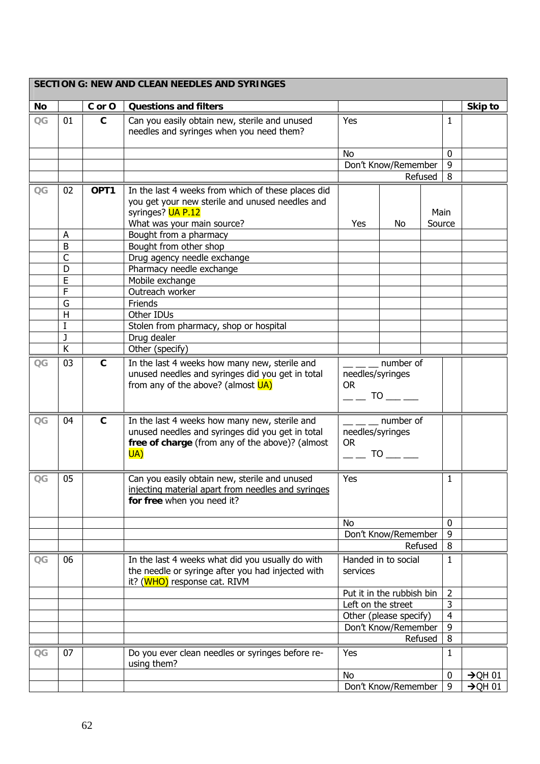|                |                   |              | <b>SECTION G: NEW AND CLEAN NEEDLES AND SYRINGES</b>                                                                                                        |                                            |                           |                |                     |
|----------------|-------------------|--------------|-------------------------------------------------------------------------------------------------------------------------------------------------------------|--------------------------------------------|---------------------------|----------------|---------------------|
| No             |                   | C or O       | <b>Questions and filters</b>                                                                                                                                |                                            |                           |                | Skip to             |
| $\overline{C}$ | 01                | $\mathbf c$  | Can you easily obtain new, sterile and unused<br>needles and syringes when you need them?                                                                   | Yes                                        |                           | 1              |                     |
|                |                   |              |                                                                                                                                                             | No                                         |                           | $\mathbf 0$    |                     |
|                |                   |              |                                                                                                                                                             |                                            | Don't Know/Remember       | 9              |                     |
|                |                   |              |                                                                                                                                                             |                                            | Refused                   | 8              |                     |
| $\overline{C}$ | 02                | OPT1         | In the last 4 weeks from which of these places did                                                                                                          |                                            |                           |                |                     |
|                |                   |              | you get your new sterile and unused needles and<br>syringes? UA P.12                                                                                        |                                            |                           | Main           |                     |
|                |                   |              | What was your main source?                                                                                                                                  | Yes                                        | No                        | Source         |                     |
|                | A                 |              | Bought from a pharmacy                                                                                                                                      |                                            |                           |                |                     |
|                | B                 |              | Bought from other shop                                                                                                                                      |                                            |                           |                |                     |
|                | $\mathsf{C}$<br>D |              | Drug agency needle exchange<br>Pharmacy needle exchange                                                                                                     |                                            |                           |                |                     |
|                | E                 |              | Mobile exchange                                                                                                                                             |                                            |                           |                |                     |
|                | $\overline{F}$    |              | Outreach worker                                                                                                                                             |                                            |                           |                |                     |
|                | G                 |              | Friends                                                                                                                                                     |                                            |                           |                |                     |
|                | H                 |              | Other IDUs                                                                                                                                                  |                                            |                           |                |                     |
|                | I                 |              | Stolen from pharmacy, shop or hospital                                                                                                                      |                                            |                           |                |                     |
|                | J                 |              | Drug dealer                                                                                                                                                 |                                            |                           |                |                     |
|                | K                 |              | Other (specify)                                                                                                                                             |                                            |                           |                |                     |
| $\overline{C}$ | 03                | $\mathbf{C}$ | In the last 4 weeks how many new, sterile and<br>unused needles and syringes did you get in total<br>from any of the above? (almost UA)                     | needles/syringes<br><b>OR</b>              | number of<br>TO TO        |                |                     |
| QG             | 04                | $\mathbf{C}$ | In the last 4 weeks how many new, sterile and<br>unused needles and syringes did you get in total<br>free of charge (from any of the above)? (almost<br>UA) | needles/syringes<br><b>OR</b><br><b>TO</b> | $\frac{1}{2}$ number of   |                |                     |
| $\overline{C}$ | 05                |              | Can you easily obtain new, sterile and unused<br>injecting material apart from needles and syringes<br>for free when you need it?                           | Yes                                        |                           | 1              |                     |
|                |                   |              |                                                                                                                                                             | No                                         |                           | $\mathbf{0}$   |                     |
|                |                   |              |                                                                                                                                                             |                                            | Don't Know/Remember       | 9              |                     |
|                |                   |              |                                                                                                                                                             |                                            | Refused                   | 8              |                     |
| $\overline{C}$ | 06                |              | In the last 4 weeks what did you usually do with                                                                                                            |                                            | Handed in to social       | 1              |                     |
|                |                   |              | the needle or syringe after you had injected with<br>it? (WHO) response cat. RIVM                                                                           | services                                   |                           |                |                     |
|                |                   |              |                                                                                                                                                             |                                            | Put it in the rubbish bin | $\overline{2}$ |                     |
|                |                   |              |                                                                                                                                                             | Left on the street                         |                           | 3              |                     |
|                |                   |              |                                                                                                                                                             |                                            | Other (please specify)    | $\overline{4}$ |                     |
|                |                   |              |                                                                                                                                                             |                                            | Don't Know/Remember       | 9              |                     |
|                |                   |              |                                                                                                                                                             |                                            | Refused                   | 8              |                     |
| $\overline{C}$ | 07                |              | Do you ever clean needles or syringes before re-<br>using them?                                                                                             | Yes                                        |                           | 1              |                     |
|                |                   |              |                                                                                                                                                             | No                                         |                           | $\bf{0}$       | $\rightarrow$ QH 01 |
|                |                   |              |                                                                                                                                                             |                                            | Don't Know/Remember       | 9              | $\rightarrow$ QH 01 |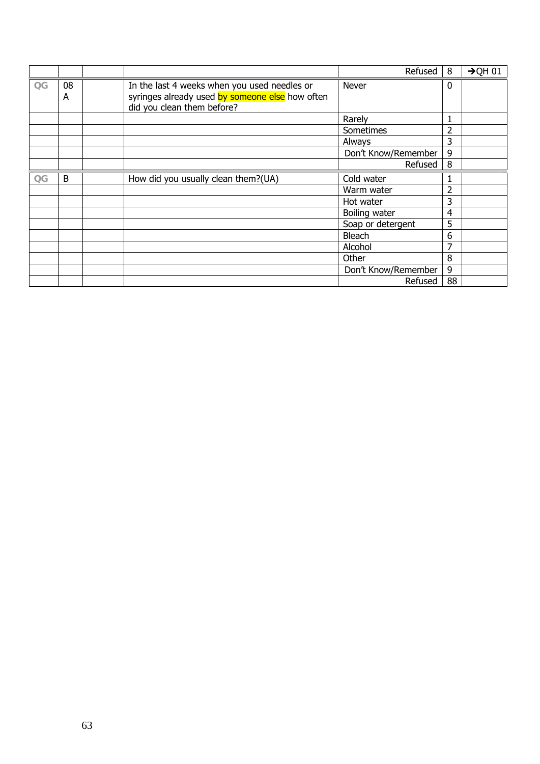|                |         |                                                                                                                               | Refused             | 8              | $\rightarrow$ QH 01 |
|----------------|---------|-------------------------------------------------------------------------------------------------------------------------------|---------------------|----------------|---------------------|
| $\overline{C}$ | 08<br>A | In the last 4 weeks when you used needles or<br>syringes already used by someone else how often<br>did you clean them before? | Never               | $\mathbf{0}$   |                     |
|                |         |                                                                                                                               | Rarely              | 1              |                     |
|                |         |                                                                                                                               | Sometimes           | 2              |                     |
|                |         |                                                                                                                               | Always              | 3              |                     |
|                |         |                                                                                                                               | Don't Know/Remember | 9              |                     |
|                |         |                                                                                                                               | Refused             | 8              |                     |
| $\overline{C}$ | B       | How did you usually clean them?(UA)                                                                                           | Cold water          |                |                     |
|                |         |                                                                                                                               | Warm water          | 2              |                     |
|                |         |                                                                                                                               | Hot water           | 3              |                     |
|                |         |                                                                                                                               | Boiling water       | $\overline{4}$ |                     |
|                |         |                                                                                                                               | Soap or detergent   | 5              |                     |
|                |         |                                                                                                                               | Bleach              | 6              |                     |
|                |         |                                                                                                                               | Alcohol             | 7              |                     |
|                |         |                                                                                                                               | Other               | 8              |                     |
|                |         |                                                                                                                               | Don't Know/Remember | 9              |                     |
|                |         |                                                                                                                               | Refused             | 88             |                     |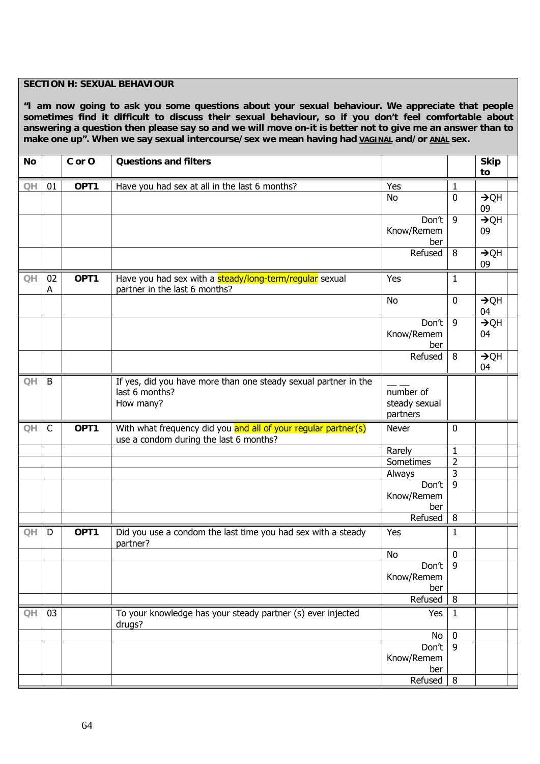### **SECTION H: SEXUAL BEHAVIOUR**

**"I am now going to ask you some questions about your sexual behaviour. We appreciate that people sometimes find it difficult to discuss their sexual behaviour, so if you don't feel comfortable about answering a question then please say so and we will move on-it is better not to give me an answer than to**  make one up". When we say sexual intercourse/sex we mean having had **VAGINAL and/or ANAL** sex.

| <b>No</b>              |    | C or O | <b>Questions and filters</b>                                                                             |                   |                  | <b>Skip</b>            |
|------------------------|----|--------|----------------------------------------------------------------------------------------------------------|-------------------|------------------|------------------------|
|                        |    |        |                                                                                                          |                   |                  | to                     |
| QH                     | 01 | OPT1   | Have you had sex at all in the last 6 months?                                                            | Yes               | $\mathbf{1}$     |                        |
|                        |    |        |                                                                                                          | <b>No</b>         | $\mathbf 0$      | $\rightarrow$ QH       |
|                        |    |        |                                                                                                          | Don't             | 9                | 09<br>$\rightarrow$ QH |
|                        |    |        |                                                                                                          | Know/Remem        |                  | 09                     |
|                        |    |        |                                                                                                          | ber               |                  |                        |
|                        |    |        |                                                                                                          | Refused           | 8                | $\rightarrow$ QH       |
|                        |    |        |                                                                                                          |                   |                  | 09                     |
| QH                     | 02 | OPT1   | Have you had sex with a steady/long-term/regular sexual                                                  | Yes               | $\mathbf{1}$     |                        |
|                        | A  |        | partner in the last 6 months?                                                                            |                   |                  |                        |
|                        |    |        |                                                                                                          | <b>No</b>         | $\mathbf 0$      | $\rightarrow$ QH<br>04 |
|                        |    |        |                                                                                                          | Don't             | 9                | $\rightarrow$ QH       |
|                        |    |        |                                                                                                          | Know/Remem        |                  | 04                     |
|                        |    |        |                                                                                                          | ber               |                  |                        |
|                        |    |        |                                                                                                          | Refused           | 8                | $\rightarrow$ QH       |
|                        |    |        |                                                                                                          |                   |                  | 04                     |
| QH                     | B  |        | If yes, did you have more than one steady sexual partner in the                                          |                   |                  |                        |
|                        |    |        | last 6 months?                                                                                           | number of         |                  |                        |
|                        |    |        | How many?                                                                                                | steady sexual     |                  |                        |
|                        |    |        |                                                                                                          | partners          |                  |                        |
| O <sub>H</sub>         | C  | OPT1   | With what frequency did you and all of your regular partner(s)<br>use a condom during the last 6 months? | Never             | 0                |                        |
|                        |    |        |                                                                                                          | Rarely            | 1                |                        |
|                        |    |        |                                                                                                          | Sometimes         | $\overline{2}$   |                        |
|                        |    |        |                                                                                                          | Always            | 3                |                        |
|                        |    |        |                                                                                                          | Don't             | $\overline{9}$   |                        |
|                        |    |        |                                                                                                          | Know/Remem<br>ber |                  |                        |
|                        |    |        |                                                                                                          | Refused           | 8                |                        |
| QH                     | D  | OPT1   | Did you use a condom the last time you had sex with a steady                                             | Yes               | 1                |                        |
|                        |    |        | partner?                                                                                                 |                   |                  |                        |
|                        |    |        |                                                                                                          | <b>No</b>         | $\pmb{0}$        |                        |
|                        |    |        |                                                                                                          | Don't             | 9                |                        |
|                        |    |        |                                                                                                          | Know/Remem        |                  |                        |
|                        |    |        |                                                                                                          | ber               |                  |                        |
|                        |    |        |                                                                                                          | Refused           | 8                |                        |
| $\mathsf{O}\mathsf{H}$ | 03 |        | To your knowledge has your steady partner (s) ever injected<br>drugs?                                    | Yes               | 1                |                        |
|                        |    |        |                                                                                                          | No                | $\boldsymbol{0}$ |                        |
|                        |    |        |                                                                                                          | Don't             | 9                |                        |
|                        |    |        |                                                                                                          | Know/Remem        |                  |                        |
|                        |    |        |                                                                                                          |                   |                  |                        |
|                        |    |        |                                                                                                          | ber<br>Refused    | 8                |                        |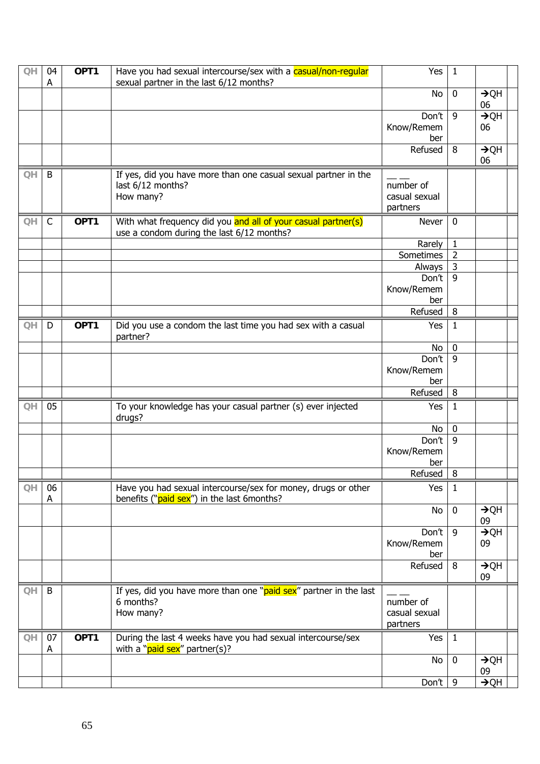| QH | 04           | OPT1 | Have you had sexual intercourse/sex with a casual/non-regular                                               | Yes                                    | $\mathbf{1}$   |                        |
|----|--------------|------|-------------------------------------------------------------------------------------------------------------|----------------------------------------|----------------|------------------------|
|    | A            |      | sexual partner in the last 6/12 months?                                                                     |                                        |                |                        |
|    |              |      |                                                                                                             | No                                     | $\bf{0}$       | $\rightarrow$ QH<br>06 |
|    |              |      |                                                                                                             | Don't                                  | 9              | $\rightarrow$ QH       |
|    |              |      |                                                                                                             | Know/Remem<br>ber                      |                | 06                     |
|    |              |      |                                                                                                             | Refused                                | 8              | $\rightarrow$ QH<br>06 |
| QH | B            |      | If yes, did you have more than one casual sexual partner in the<br>last 6/12 months?<br>How many?           | number of<br>casual sexual<br>partners |                |                        |
| QH | $\mathsf{C}$ | OPT1 | With what frequency did you and all of your casual partner(s)<br>use a condom during the last 6/12 months?  | Never                                  | $\bf{0}$       |                        |
|    |              |      |                                                                                                             | Rarely                                 | $\mathbf 1$    |                        |
|    |              |      |                                                                                                             | Sometimes                              | $\overline{2}$ |                        |
|    |              |      |                                                                                                             | Always                                 | $\mathsf{3}$   |                        |
|    |              |      |                                                                                                             | Don't                                  | 9              |                        |
|    |              |      |                                                                                                             | Know/Remem<br>ber                      |                |                        |
|    |              |      |                                                                                                             | Refused                                | 8              |                        |
| QH | D            | OPT1 | Did you use a condom the last time you had sex with a casual<br>partner?                                    | Yes                                    | $\mathbf{1}$   |                        |
|    |              |      |                                                                                                             | No                                     | $\bf{0}$       |                        |
|    |              |      |                                                                                                             | Don't                                  | $\overline{9}$ |                        |
|    |              |      |                                                                                                             | Know/Remem<br>ber                      |                |                        |
|    |              |      |                                                                                                             | Refused                                | 8              |                        |
| QH | 05           |      | To your knowledge has your casual partner (s) ever injected<br>drugs?                                       | Yes                                    | $\mathbf{1}$   |                        |
|    |              |      |                                                                                                             | No                                     | $\pmb{0}$      |                        |
|    |              |      |                                                                                                             | Don't                                  | $\overline{9}$ |                        |
|    |              |      |                                                                                                             | Know/Remem                             |                |                        |
|    |              |      |                                                                                                             | ber                                    |                |                        |
|    |              |      |                                                                                                             | Refused                                | $\, 8$         |                        |
| QH | 06<br>A      |      | Have you had sexual intercourse/sex for money, drugs or other<br>benefits ("paid sex") in the last 6months? | Yes                                    | $\mathbf{1}$   |                        |
|    |              |      |                                                                                                             | No                                     | $\mathbf 0$    | $\rightarrow$ QH<br>09 |
|    |              |      |                                                                                                             | Don't                                  | 9              | $\rightarrow$ QH       |
|    |              |      |                                                                                                             | Know/Remem<br>ber                      |                | 09                     |
|    |              |      |                                                                                                             | Refused                                | 8              | $\rightarrow$ QH<br>09 |
| QH | B            |      | If yes, did you have more than one "paid sex" partner in the last<br>6 months?<br>How many?                 | number of<br>casual sexual<br>partners |                |                        |
| QH | 07<br>A      | OPT1 | During the last 4 weeks have you had sexual intercourse/sex<br>with a "paid sex" partner(s)?                | Yes                                    | $\mathbf{1}$   |                        |
|    |              |      |                                                                                                             | No                                     | $\mathbf 0$    | $\rightarrow$ QH<br>09 |
|    |              |      |                                                                                                             | Don't                                  | 9              | $\rightarrow$ QH       |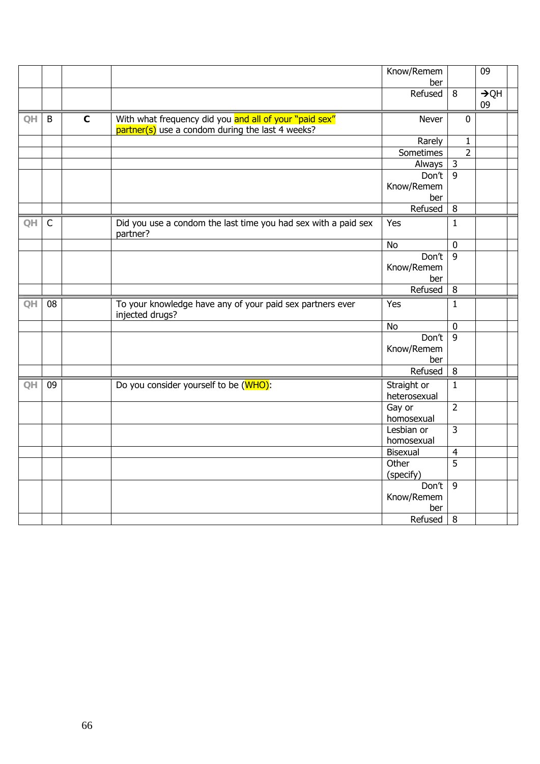|           |              |              |                                                                                                              | Know/Remem<br>ber                     |                | 09                     |
|-----------|--------------|--------------|--------------------------------------------------------------------------------------------------------------|---------------------------------------|----------------|------------------------|
|           |              |              |                                                                                                              | Refused                               | 8              | $\rightarrow$ QH<br>09 |
| QH.       | B            | $\mathbf{C}$ | With what frequency did you and all of your "paid sex"<br>$partner(s)$ use a condom during the last 4 weeks? | Never                                 | $\mathbf 0$    |                        |
|           |              |              |                                                                                                              | Rarely                                | $\mathbf{1}$   |                        |
|           |              |              |                                                                                                              | Sometimes                             | $\overline{2}$ |                        |
|           |              |              |                                                                                                              | Always                                | $\mathbf{3}$   |                        |
|           |              |              |                                                                                                              | Don't                                 | $\overline{9}$ |                        |
|           |              |              |                                                                                                              | Know/Remem                            |                |                        |
|           |              |              |                                                                                                              | ber                                   |                |                        |
|           |              |              |                                                                                                              | Refused                               | 8              |                        |
| QH        | $\mathsf{C}$ |              | Did you use a condom the last time you had sex with a paid sex<br>partner?                                   | Yes                                   | $\mathbf{1}$   |                        |
|           |              |              |                                                                                                              | <b>No</b>                             | $\bf{0}$       |                        |
|           |              |              |                                                                                                              | Don't                                 | 9              |                        |
|           |              |              |                                                                                                              | Know/Remem                            |                |                        |
|           |              |              |                                                                                                              | ber                                   |                |                        |
|           |              |              |                                                                                                              | Refused                               | 8              |                        |
| QH        | 08           |              | To your knowledge have any of your paid sex partners ever<br>injected drugs?                                 | Yes                                   | $\mathbf{1}$   |                        |
|           |              |              |                                                                                                              | <b>No</b>                             | $\mathbf 0$    |                        |
|           |              |              |                                                                                                              | Don't<br>Know/Remem<br>ber            | 9              |                        |
|           |              |              |                                                                                                              | Refused                               | 8              |                        |
| <b>QH</b> | 09           |              | Do you consider yourself to be (WHO):                                                                        | Straight or<br>heterosexual           | $\mathbf{1}$   |                        |
|           |              |              |                                                                                                              | Gay or<br>homosexual                  | $\overline{2}$ |                        |
|           |              |              |                                                                                                              | Lesbian or<br>homosexual              | $\overline{3}$ |                        |
|           |              |              |                                                                                                              | Bisexual                              | $\overline{4}$ |                        |
|           |              |              |                                                                                                              | Other                                 | 5              |                        |
|           |              |              |                                                                                                              | (specify)                             |                |                        |
|           |              |              |                                                                                                              | Don't<br>Know/Remem<br>ber<br>Refused | 9<br>8         |                        |
|           |              |              |                                                                                                              |                                       |                |                        |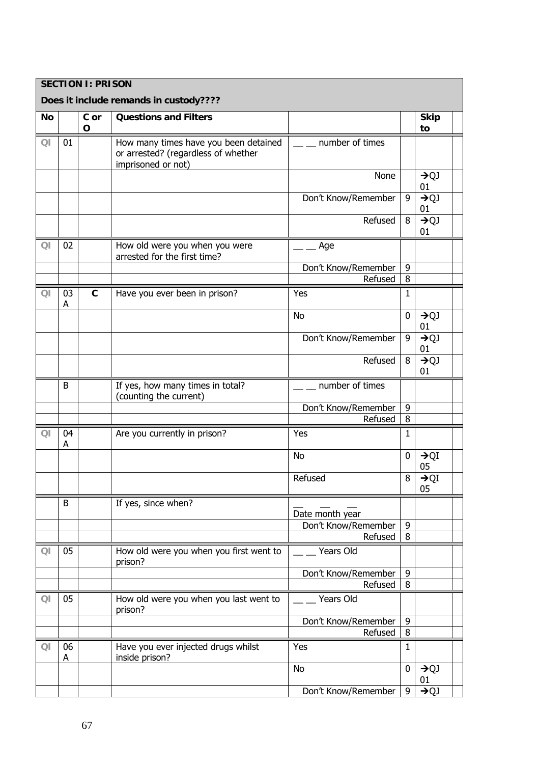|           |                          | <b>SECTION I: PRISON</b> |                                                                                                    |                                       |              |                        |  |
|-----------|--------------------------|--------------------------|----------------------------------------------------------------------------------------------------|---------------------------------------|--------------|------------------------|--|
|           |                          |                          | Does it include remands in custody????                                                             |                                       |              |                        |  |
| <b>No</b> |                          | C or<br>$\mathbf O$      | <b>Questions and Filters</b>                                                                       |                                       |              | <b>Skip</b><br>to      |  |
| QI        | 01                       |                          | How many times have you been detained<br>or arrested? (regardless of whether<br>imprisoned or not) | number of times                       |              |                        |  |
|           |                          |                          |                                                                                                    | None                                  |              | $\rightarrow QJ$<br>01 |  |
|           |                          |                          |                                                                                                    | Don't Know/Remember                   | 9            | $\rightarrow QJ$<br>01 |  |
|           |                          |                          |                                                                                                    | Refused                               | 8            | $\rightarrow QJ$<br>01 |  |
| QI        | 02                       |                          | How old were you when you were<br>arrested for the first time?                                     | Age                                   |              |                        |  |
|           |                          |                          |                                                                                                    | Don't Know/Remember                   | 9            |                        |  |
|           |                          |                          |                                                                                                    | Refused                               | 8            |                        |  |
| QI        | 03<br>A                  | $\mathbf{C}$             | Have you ever been in prison?                                                                      | Yes                                   | 1            |                        |  |
|           |                          |                          |                                                                                                    | <b>No</b><br>0<br>Don't Know/Remember |              | $\rightarrow QJ$<br>01 |  |
|           |                          |                          |                                                                                                    |                                       | 9            | $\rightarrow QJ$<br>01 |  |
|           |                          |                          |                                                                                                    | Refused                               | 8            | $\rightarrow QJ$<br>01 |  |
|           | B                        |                          | If yes, how many times in total?                                                                   | number of times                       |              |                        |  |
|           |                          |                          | (counting the current)                                                                             | Don't Know/Remember                   | 9            |                        |  |
|           |                          |                          |                                                                                                    | Refused                               | 8            |                        |  |
| QI        | 04<br>А                  |                          | Are you currently in prison?                                                                       | Yes                                   | $\mathbf{1}$ |                        |  |
|           |                          |                          |                                                                                                    | <b>No</b>                             | 0            | $\rightarrow$ QI<br>05 |  |
|           |                          |                          |                                                                                                    | Refused                               | 8            | $\rightarrow$ QI<br>05 |  |
|           | B                        |                          | If yes, since when?                                                                                |                                       |              |                        |  |
|           |                          |                          |                                                                                                    | Date month year                       |              |                        |  |
|           |                          |                          |                                                                                                    | Don't Know/Remember                   | 9            |                        |  |
|           |                          |                          |                                                                                                    | Refused                               | 8            |                        |  |
| QI        | 05                       |                          | How old were you when you first went to<br>prison?                                                 | Years Old                             |              |                        |  |
|           |                          |                          |                                                                                                    | Don't Know/Remember                   | 9            |                        |  |
|           |                          |                          |                                                                                                    | Refused                               | 8            |                        |  |
| QI        | 05                       |                          | How old were you when you last went to<br>prison?                                                  | Years Old                             |              |                        |  |
|           |                          |                          |                                                                                                    | Don't Know/Remember                   | 9            |                        |  |
|           |                          |                          |                                                                                                    | Refused                               | 8            |                        |  |
| QI        | 06<br>А                  |                          | Have you ever injected drugs whilst<br>inside prison?                                              | Yes                                   | $\mathbf{1}$ |                        |  |
|           |                          |                          |                                                                                                    | <b>No</b>                             | 0            | $\rightarrow QJ$<br>01 |  |
|           | Don't Know/Remember<br>9 |                          |                                                                                                    |                                       |              |                        |  |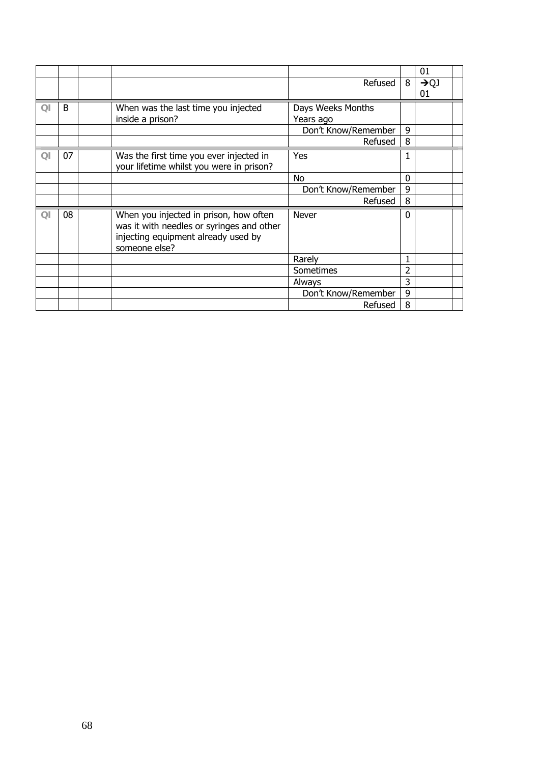|                |    |                                                                                                                                             |                                |   | 01                     |  |
|----------------|----|---------------------------------------------------------------------------------------------------------------------------------------------|--------------------------------|---|------------------------|--|
|                |    |                                                                                                                                             | Refused                        | 8 | $\rightarrow QJ$<br>01 |  |
| $\overline{O}$ | B  | When was the last time you injected<br>inside a prison?                                                                                     | Days Weeks Months<br>Years ago |   |                        |  |
|                |    |                                                                                                                                             | Don't Know/Remember            | 9 |                        |  |
|                |    |                                                                                                                                             | Refused                        | 8 |                        |  |
| $\Omega$       | 07 | Was the first time you ever injected in<br>your lifetime whilst you were in prison?                                                         | Yes                            | 1 |                        |  |
|                |    |                                                                                                                                             | No                             | 0 |                        |  |
|                |    |                                                                                                                                             | Don't Know/Remember            | 9 |                        |  |
|                |    |                                                                                                                                             | Refused                        | 8 |                        |  |
| QI             | 08 | When you injected in prison, how often<br>was it with needles or syringes and other<br>injecting equipment already used by<br>someone else? | <b>Never</b>                   | 0 |                        |  |
|                |    |                                                                                                                                             | Rarely                         | 1 |                        |  |
|                |    |                                                                                                                                             | Sometimes                      | 2 |                        |  |
|                |    |                                                                                                                                             | Always                         | 3 |                        |  |
|                |    |                                                                                                                                             | Don't Know/Remember            | 9 |                        |  |
|                |    |                                                                                                                                             | Refused                        | 8 |                        |  |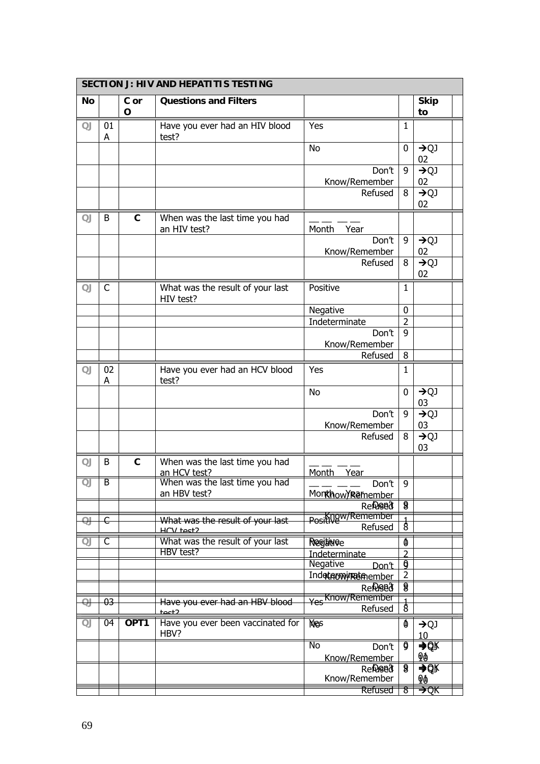|           | <b>SECTION J: HIV AND HEPATITIS TESTING</b> |                  |                                                |                                 |                          |                        |  |  |  |  |
|-----------|---------------------------------------------|------------------|------------------------------------------------|---------------------------------|--------------------------|------------------------|--|--|--|--|
| No        |                                             | C or<br>O        | <b>Questions and Filters</b>                   |                                 |                          | <b>Skip</b><br>to      |  |  |  |  |
| <b>QJ</b> | 01<br>A                                     |                  | Have you ever had an HIV blood<br>test?        | Yes                             | 1                        |                        |  |  |  |  |
|           |                                             |                  |                                                | <b>No</b>                       | 0                        | $\rightarrow QJ$<br>02 |  |  |  |  |
|           |                                             |                  |                                                | Don't<br>Know/Remember          | 9                        | $\rightarrow QJ$<br>02 |  |  |  |  |
|           |                                             |                  |                                                | Refused                         | 8                        | $\rightarrow QJ$<br>02 |  |  |  |  |
| QJ        | B                                           | $\mathsf c$      | When was the last time you had<br>an HIV test? | Month<br>Year                   |                          |                        |  |  |  |  |
|           |                                             |                  |                                                | Don't<br>Know/Remember          | 9                        | $\rightarrow QJ$<br>02 |  |  |  |  |
|           |                                             |                  |                                                | Refused                         | 8                        | $\rightarrow QJ$<br>02 |  |  |  |  |
| QJ        | C                                           |                  | What was the result of your last<br>HIV test?  | Positive                        | 1                        |                        |  |  |  |  |
|           |                                             |                  |                                                | Negative                        | 0                        |                        |  |  |  |  |
|           |                                             |                  |                                                | Indeterminate                   | $\overline{2}$           |                        |  |  |  |  |
|           |                                             |                  |                                                | Don't                           | 9                        |                        |  |  |  |  |
|           |                                             |                  |                                                | Know/Remember                   |                          |                        |  |  |  |  |
|           |                                             |                  |                                                | Refused                         | 8                        |                        |  |  |  |  |
| QJ        | 02<br>А                                     |                  | Have you ever had an HCV blood<br>test?        | Yes                             | 1                        |                        |  |  |  |  |
|           |                                             |                  |                                                | No                              | 0                        | $\rightarrow QJ$<br>03 |  |  |  |  |
|           |                                             |                  |                                                | Don't<br>Know/Remember          | 9                        | $\rightarrow QJ$<br>03 |  |  |  |  |
|           |                                             |                  |                                                | Refused                         | 8                        | $\rightarrow QJ$<br>03 |  |  |  |  |
| QJ        | B                                           | $\mathbf{C}$     | When was the last time you had<br>an HCV test? | Month<br>Year                   |                          |                        |  |  |  |  |
| QJ        | B                                           |                  | When was the last time you had                 | Don't                           | 9                        |                        |  |  |  |  |
|           |                                             |                  | an HBV test?                                   | Monthow/Remember                |                          |                        |  |  |  |  |
|           |                                             |                  |                                                | <b>Refuged</b>                  | 8                        |                        |  |  |  |  |
| e+        | €                                           |                  | What was the result of your last<br>HCV tect2  | Positive / Remember<br>Refused  | $\delta$                 |                        |  |  |  |  |
| QJ        | C                                           |                  | What was the result of your last               | Resitivee                       | Ø                        |                        |  |  |  |  |
|           |                                             |                  | HBV test?                                      | Indeterminate                   | $\overline{\phantom{a}}$ |                        |  |  |  |  |
|           |                                             |                  |                                                | Negative<br>Don't               | g                        |                        |  |  |  |  |
|           |                                             |                  |                                                | Indeterwiretenember             | $\overline{2}$           |                        |  |  |  |  |
|           |                                             |                  |                                                | <b>Refuged</b>                  | $\overline{\mathbf{g}}$  |                        |  |  |  |  |
| $\Theta$  | $-03$                                       |                  | Have you ever had an HBV blood<br>tact2        | Yes Know/Remember<br>Refused    | है                       |                        |  |  |  |  |
| QJ        | 04                                          | OPT <sub>1</sub> | Have you ever been vaccinated for<br>HBV?      | Nes                             | ₫                        | $\rightarrow QJ$<br>10 |  |  |  |  |
|           |                                             |                  |                                                | No<br>Don't<br>Know/Remember    | g                        | $\Rightarrow$ Øk<br>Φð |  |  |  |  |
|           |                                             |                  |                                                | <b>Refuged</b><br>Know/Remember | $\overline{\mathbf{g}}$  | $\rightarrow$ QK<br>Φð |  |  |  |  |
|           |                                             |                  |                                                | Refused                         | षे                       | ⊅ঢ়ু                   |  |  |  |  |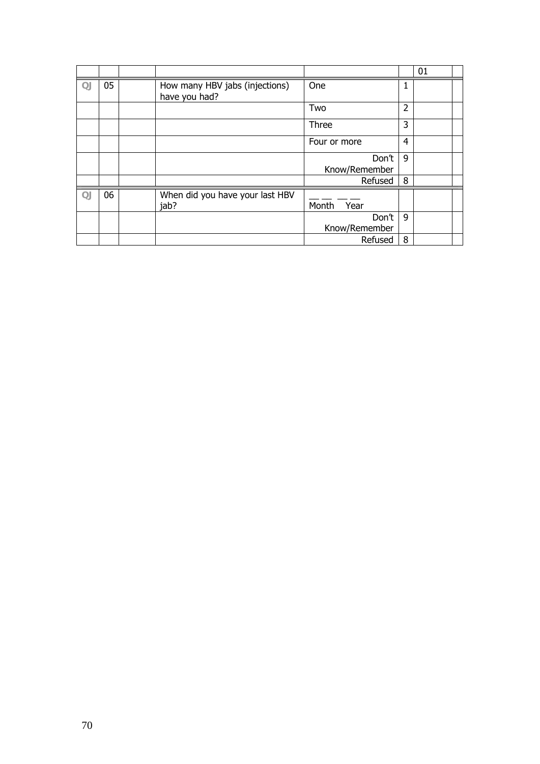|        |    |                                                 |                        |                | 01 |
|--------|----|-------------------------------------------------|------------------------|----------------|----|
| $\Box$ | 05 | How many HBV jabs (injections)<br>have you had? | One                    | 1              |    |
|        |    |                                                 | Two                    | 2              |    |
|        |    |                                                 | Three                  | 3              |    |
|        |    |                                                 | Four or more           | $\overline{4}$ |    |
|        |    |                                                 | Don't<br>Know/Remember | 9              |    |
|        |    |                                                 | Refused                | 8              |    |
| QJ     | 06 | When did you have your last HBV<br>jab?         | Month<br>Year          |                |    |
|        |    |                                                 | Don't<br>Know/Remember | 9              |    |
|        |    |                                                 | Refused                | 8              |    |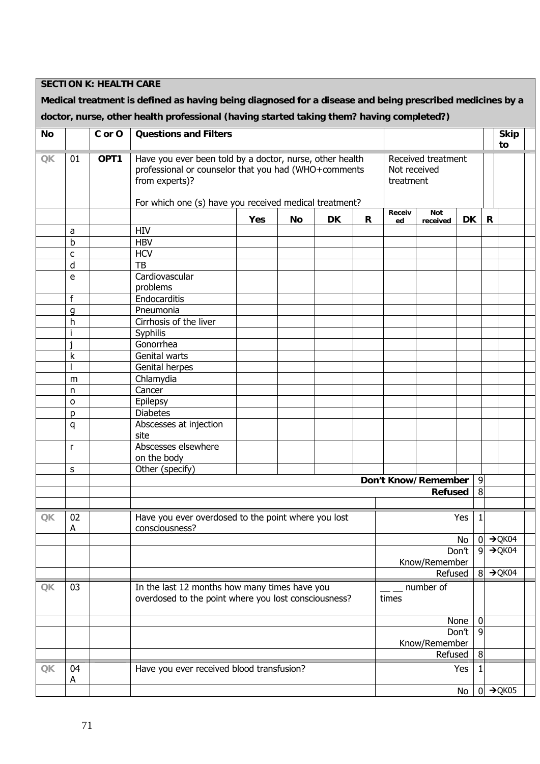**SECTION K: HEALTH CARE** 

**Medical treatment is defined as having being diagnosed for a disease and being prescribed medicines by a doctor, nurse, other health professional (having started taking them? having completed?)** 

| No                                                           |           | C or O | <b>Questions and Filters</b>                                                                                                       |     |           |           |              |                                                 |                     |           |                | <b>Skip</b><br>to  |  |
|--------------------------------------------------------------|-----------|--------|------------------------------------------------------------------------------------------------------------------------------------|-----|-----------|-----------|--------------|-------------------------------------------------|---------------------|-----------|----------------|--------------------|--|
| $\mathsf{OK}% _{\mathsf{CL}}\times\mathsf{CN}_{\mathsf{CL}}$ | 01        | OPT1   | Have you ever been told by a doctor, nurse, other health<br>professional or counselor that you had (WHO+comments<br>from experts)? |     |           |           |              | Received treatment<br>Not received<br>treatment |                     |           |                |                    |  |
|                                                              |           |        | For which one (s) have you received medical treatment?                                                                             |     |           |           |              |                                                 |                     |           |                |                    |  |
|                                                              |           |        |                                                                                                                                    | Yes | <b>No</b> | <b>DK</b> | $\mathsf{R}$ | Receiv<br>ed                                    | Not<br>received     | <b>DK</b> |                | R                  |  |
|                                                              | a         |        | <b>HIV</b>                                                                                                                         |     |           |           |              |                                                 |                     |           |                |                    |  |
|                                                              | b         |        | <b>HBV</b>                                                                                                                         |     |           |           |              |                                                 |                     |           |                |                    |  |
|                                                              | c         |        | <b>HCV</b>                                                                                                                         |     |           |           |              |                                                 |                     |           |                |                    |  |
|                                                              | d         |        | TB                                                                                                                                 |     |           |           |              |                                                 |                     |           |                |                    |  |
|                                                              | ${\bf e}$ |        | Cardiovascular<br>problems                                                                                                         |     |           |           |              |                                                 |                     |           |                |                    |  |
|                                                              | f         |        | Endocarditis                                                                                                                       |     |           |           |              |                                                 |                     |           |                |                    |  |
|                                                              | q         |        | Pneumonia                                                                                                                          |     |           |           |              |                                                 |                     |           |                |                    |  |
|                                                              | h         |        | Cirrhosis of the liver                                                                                                             |     |           |           |              |                                                 |                     |           |                |                    |  |
|                                                              |           |        | Syphilis                                                                                                                           |     |           |           |              |                                                 |                     |           |                |                    |  |
|                                                              |           |        | Gonorrhea                                                                                                                          |     |           |           |              |                                                 |                     |           |                |                    |  |
|                                                              | k         |        | Genital warts                                                                                                                      |     |           |           |              |                                                 |                     |           |                |                    |  |
|                                                              |           |        | Genital herpes                                                                                                                     |     |           |           |              |                                                 |                     |           |                |                    |  |
|                                                              | m         |        | Chlamydia                                                                                                                          |     |           |           |              |                                                 |                     |           |                |                    |  |
|                                                              | n         |        | Cancer                                                                                                                             |     |           |           |              |                                                 |                     |           |                |                    |  |
|                                                              | O         |        | Epilepsy                                                                                                                           |     |           |           |              |                                                 |                     |           |                |                    |  |
|                                                              | D         |        | <b>Diabetes</b>                                                                                                                    |     |           |           |              |                                                 |                     |           |                |                    |  |
|                                                              | q         |        | Abscesses at injection<br>site                                                                                                     |     |           |           |              |                                                 |                     |           |                |                    |  |
|                                                              | r         |        | Abscesses elsewhere<br>on the body                                                                                                 |     |           |           |              |                                                 |                     |           |                |                    |  |
|                                                              | S         |        | Other (specify)                                                                                                                    |     |           |           |              |                                                 |                     |           |                |                    |  |
|                                                              |           |        |                                                                                                                                    |     |           |           |              |                                                 | Don't Know/Remember |           | 9              |                    |  |
|                                                              |           |        |                                                                                                                                    |     |           |           |              |                                                 | <b>Refused</b>      |           | 8              |                    |  |
|                                                              |           |        |                                                                                                                                    |     |           |           |              |                                                 |                     |           |                |                    |  |
| <b>QK</b>                                                    | 02<br>Α   |        | Have you ever overdosed to the point where you lost<br>consciousness?                                                              |     |           |           |              |                                                 |                     | Yes       |                |                    |  |
|                                                              |           |        |                                                                                                                                    |     |           |           |              |                                                 |                     | No        | $\overline{0}$ | $\rightarrow$ QK04 |  |
|                                                              |           |        |                                                                                                                                    |     |           |           |              |                                                 |                     | Don't     | 9              | $\rightarrow$ QK04 |  |
|                                                              |           |        |                                                                                                                                    |     |           |           |              |                                                 | Know/Remember       |           |                |                    |  |
|                                                              |           |        |                                                                                                                                    |     |           |           |              |                                                 | Refused             |           | 8              | $\rightarrow$ QK04 |  |
| QK                                                           | 03        |        | In the last 12 months how many times have you                                                                                      |     |           |           |              |                                                 | number of           |           |                |                    |  |
|                                                              |           |        | overdosed to the point where you lost consciousness?                                                                               |     |           |           |              | times                                           |                     |           |                |                    |  |
|                                                              |           |        |                                                                                                                                    |     |           |           |              |                                                 |                     | None      | 0              |                    |  |
|                                                              |           |        |                                                                                                                                    |     |           |           |              |                                                 | Know/Remember       | Don't     | 9              |                    |  |
|                                                              |           |        |                                                                                                                                    |     |           |           |              |                                                 | Refused             |           | 8              |                    |  |
| QK                                                           | 04        |        | Have you ever received blood transfusion?                                                                                          |     |           |           |              |                                                 |                     | Yes       |                |                    |  |
|                                                              | A         |        |                                                                                                                                    |     |           |           |              |                                                 |                     | No        | $\overline{0}$ | $\rightarrow$ QK05 |  |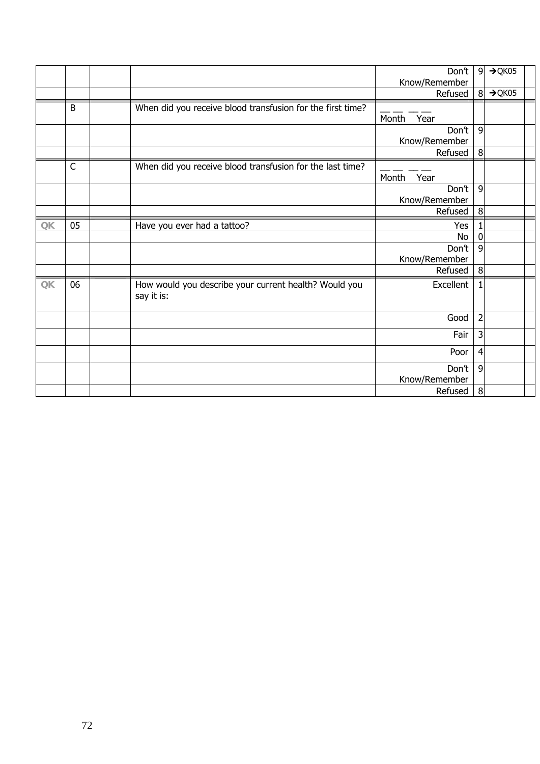|                        |             |                                                                     | Don't                  | $\overline{9}$   | $\rightarrow$ QK05 |  |
|------------------------|-------------|---------------------------------------------------------------------|------------------------|------------------|--------------------|--|
|                        |             |                                                                     | Know/Remember          |                  |                    |  |
|                        |             |                                                                     | Refused                | 8                | $\rightarrow$ QK05 |  |
|                        | B           | When did you receive blood transfusion for the first time?          |                        |                  |                    |  |
|                        |             |                                                                     | Month<br>Year          |                  |                    |  |
|                        |             |                                                                     | Don't                  | 9                |                    |  |
|                        |             |                                                                     | Know/Remember          |                  |                    |  |
|                        |             |                                                                     | Refused                | 8                |                    |  |
|                        | $\mathsf C$ | When did you receive blood transfusion for the last time?           |                        |                  |                    |  |
|                        |             |                                                                     | Month<br>Year          |                  |                    |  |
|                        |             |                                                                     | Don't                  | 9                |                    |  |
|                        |             |                                                                     | Know/Remember          |                  |                    |  |
|                        |             |                                                                     | Refused                | 8                |                    |  |
| QK                     | 05          | Have you ever had a tattoo?                                         | Yes                    |                  |                    |  |
|                        |             |                                                                     | No                     | $\boldsymbol{0}$ |                    |  |
|                        |             |                                                                     | Don't                  | 9                |                    |  |
|                        |             |                                                                     | Know/Remember          |                  |                    |  |
|                        |             |                                                                     | Refused                | 8                |                    |  |
| $\mathsf{Q}\mathsf{K}$ | 06          | How would you describe your current health? Would you<br>say it is: | Excellent              | 1                |                    |  |
|                        |             |                                                                     | Good                   | $\overline{2}$   |                    |  |
|                        |             |                                                                     | Fair                   | 3                |                    |  |
|                        |             |                                                                     | Poor                   | 4                |                    |  |
|                        |             |                                                                     | Don't<br>Know/Remember | 9                |                    |  |
|                        |             |                                                                     | Refused                | 8                |                    |  |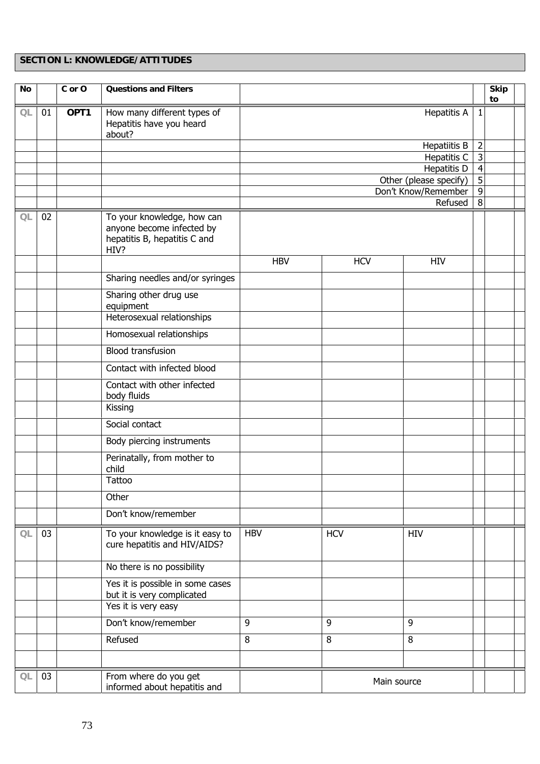## **SECTION L: KNOWLEDGE/ATTITUDES**

| <b>No</b> |    | C or O | <b>Questions and Filters</b>                                                                    |            |                        |                                    |                                  | <b>Skip</b><br>to |  |
|-----------|----|--------|-------------------------------------------------------------------------------------------------|------------|------------------------|------------------------------------|----------------------------------|-------------------|--|
| QL        | 01 | OPT1   | How many different types of<br>Hepatitis have you heard<br>about?                               |            |                        | <b>Hepatitis A</b>                 | $\mathbf{1}$                     |                   |  |
|           |    |        |                                                                                                 |            |                        | Hepatiitis B                       | $\overline{2}$                   |                   |  |
|           |    |        |                                                                                                 |            |                        | Hepatitis C<br>Hepatitis D         | $\overline{3}$<br>$\overline{4}$ |                   |  |
|           |    |        |                                                                                                 |            | Other (please specify) |                                    |                                  |                   |  |
|           |    |        |                                                                                                 |            | Don't Know/Remember    | $\overline{5}$<br>$\boldsymbol{9}$ |                                  |                   |  |
|           |    |        |                                                                                                 |            |                        | Refused                            | $\overline{8}$                   |                   |  |
| QL        | 02 |        | To your knowledge, how can<br>anyone become infected by<br>hepatitis B, hepatitis C and<br>HIV? |            |                        |                                    |                                  |                   |  |
|           |    |        |                                                                                                 | <b>HBV</b> | <b>HCV</b>             | <b>HIV</b>                         |                                  |                   |  |
|           |    |        | Sharing needles and/or syringes                                                                 |            |                        |                                    |                                  |                   |  |
|           |    |        | Sharing other drug use<br>equipment                                                             |            |                        |                                    |                                  |                   |  |
|           |    |        | Heterosexual relationships                                                                      |            |                        |                                    |                                  |                   |  |
|           |    |        | Homosexual relationships                                                                        |            |                        |                                    |                                  |                   |  |
|           |    |        | <b>Blood transfusion</b>                                                                        |            |                        |                                    |                                  |                   |  |
|           |    |        | Contact with infected blood                                                                     |            |                        |                                    |                                  |                   |  |
|           |    |        | Contact with other infected<br>body fluids                                                      |            |                        |                                    |                                  |                   |  |
|           |    |        | Kissing                                                                                         |            |                        |                                    |                                  |                   |  |
|           |    |        | Social contact                                                                                  |            |                        |                                    |                                  |                   |  |
|           |    |        | Body piercing instruments                                                                       |            |                        |                                    |                                  |                   |  |
|           |    |        | Perinatally, from mother to<br>child                                                            |            |                        |                                    |                                  |                   |  |
|           |    |        | Tattoo                                                                                          |            |                        |                                    |                                  |                   |  |
|           |    |        | Other                                                                                           |            |                        |                                    |                                  |                   |  |
|           |    |        | Don't know/remember                                                                             |            |                        |                                    |                                  |                   |  |
| QL        | 03 |        | To your knowledge is it easy to<br>cure hepatitis and HIV/AIDS?                                 | <b>HBV</b> | <b>HCV</b>             | HIV                                |                                  |                   |  |
|           |    |        | No there is no possibility                                                                      |            |                        |                                    |                                  |                   |  |
|           |    |        | Yes it is possible in some cases<br>but it is very complicated                                  |            |                        |                                    |                                  |                   |  |
|           |    |        | Yes it is very easy                                                                             |            |                        |                                    |                                  |                   |  |
|           |    |        | Don't know/remember                                                                             | 9          | 9                      | 9                                  |                                  |                   |  |
|           |    |        | Refused                                                                                         | 8          | 8                      | 8                                  |                                  |                   |  |
|           |    |        |                                                                                                 |            |                        |                                    |                                  |                   |  |
| QL        | 03 |        | From where do you get<br>informed about hepatitis and                                           |            | Main source            |                                    |                                  |                   |  |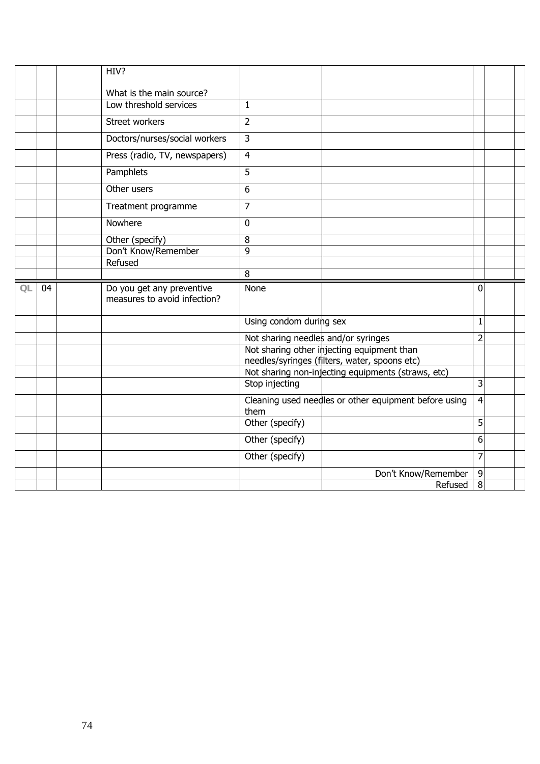|    |    | HIV?                                                      |                                     |                                                       |                |  |
|----|----|-----------------------------------------------------------|-------------------------------------|-------------------------------------------------------|----------------|--|
|    |    | What is the main source?                                  |                                     |                                                       |                |  |
|    |    | Low threshold services                                    | $\mathbf{1}$                        |                                                       |                |  |
|    |    | Street workers                                            | $\overline{2}$                      |                                                       |                |  |
|    |    | Doctors/nurses/social workers                             | $\overline{3}$                      |                                                       |                |  |
|    |    | Press (radio, TV, newspapers)                             | $\overline{4}$                      |                                                       |                |  |
|    |    | Pamphlets                                                 | 5                                   |                                                       |                |  |
|    |    | Other users                                               | 6                                   |                                                       |                |  |
|    |    | Treatment programme                                       | $\overline{7}$                      |                                                       |                |  |
|    |    | Nowhere                                                   | $\mathbf{0}$                        |                                                       |                |  |
|    |    | Other (specify)                                           | 8                                   |                                                       |                |  |
|    |    | Don't Know/Remember                                       | 9                                   |                                                       |                |  |
|    |    | Refused                                                   |                                     |                                                       |                |  |
|    |    |                                                           | 8                                   |                                                       |                |  |
|    |    |                                                           |                                     |                                                       |                |  |
| QL | 04 | Do you get any preventive<br>measures to avoid infection? | None                                |                                                       | 0              |  |
|    |    |                                                           | Using condom during sex             |                                                       | $\mathbf{1}$   |  |
|    |    |                                                           | Not sharing needles and/or syringes |                                                       | $\overline{2}$ |  |
|    |    |                                                           |                                     | Not sharing other injecting equipment than            |                |  |
|    |    |                                                           |                                     | needles/syringes (filters, water, spoons etc)         |                |  |
|    |    |                                                           | Stop injecting                      | Not sharing non-injecting equipments (straws, etc)    | 3              |  |
|    |    |                                                           | them                                | Cleaning used needles or other equipment before using | $\overline{4}$ |  |
|    |    |                                                           | Other (specify)                     |                                                       | $\overline{5}$ |  |
|    |    |                                                           | Other (specify)                     |                                                       | 6              |  |
|    |    |                                                           | Other (specify)                     |                                                       | $\overline{7}$ |  |
|    |    |                                                           |                                     | Don't Know/Remember<br>Refused                        | 9<br>8         |  |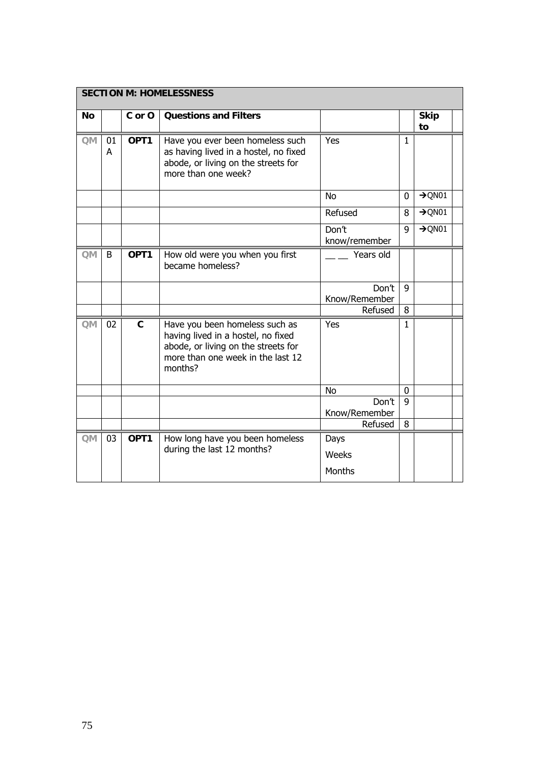|           |         |                                                                                   | <b>SECTION M: HOMELESSNESS</b>                                                                                                                              |                        |             |                    |
|-----------|---------|-----------------------------------------------------------------------------------|-------------------------------------------------------------------------------------------------------------------------------------------------------------|------------------------|-------------|--------------------|
| <b>No</b> |         | C or O                                                                            | <b>Questions and Filters</b>                                                                                                                                |                        |             | <b>Skip</b><br>to  |
| <b>QM</b> | 01<br>A | OPT <sub>1</sub>                                                                  | Have you ever been homeless such<br>as having lived in a hostel, no fixed<br>abode, or living on the streets for<br>more than one week?                     | Yes                    | 1           |                    |
|           |         |                                                                                   |                                                                                                                                                             | <b>No</b>              | $\mathbf 0$ | $\rightarrow$ QN01 |
|           |         |                                                                                   |                                                                                                                                                             | Refused                | 8           | $\rightarrow$ QN01 |
|           |         |                                                                                   |                                                                                                                                                             | Don't<br>know/remember | 9           | $\rightarrow$ QN01 |
| QM        | B       | OPT1                                                                              | How old were you when you first<br>became homeless?                                                                                                         | Years old              |             |                    |
|           |         |                                                                                   |                                                                                                                                                             | Don't<br>Know/Remember | 9           |                    |
|           |         |                                                                                   |                                                                                                                                                             | Refused                | 8           |                    |
| <b>QM</b> | 02      | $\mathbf{C}$                                                                      | Have you been homeless such as<br>having lived in a hostel, no fixed<br>abode, or living on the streets for<br>more than one week in the last 12<br>months? | Yes                    | 1           |                    |
|           |         |                                                                                   |                                                                                                                                                             | No                     | 0           |                    |
|           |         |                                                                                   |                                                                                                                                                             | Don't<br>Know/Remember | 9           |                    |
|           |         |                                                                                   |                                                                                                                                                             | Refused                | 8           |                    |
| QM        | 03      | OPT <sub>1</sub><br>How long have you been homeless<br>during the last 12 months? |                                                                                                                                                             | Days<br>Weeks          |             |                    |
|           |         |                                                                                   |                                                                                                                                                             | Months                 |             |                    |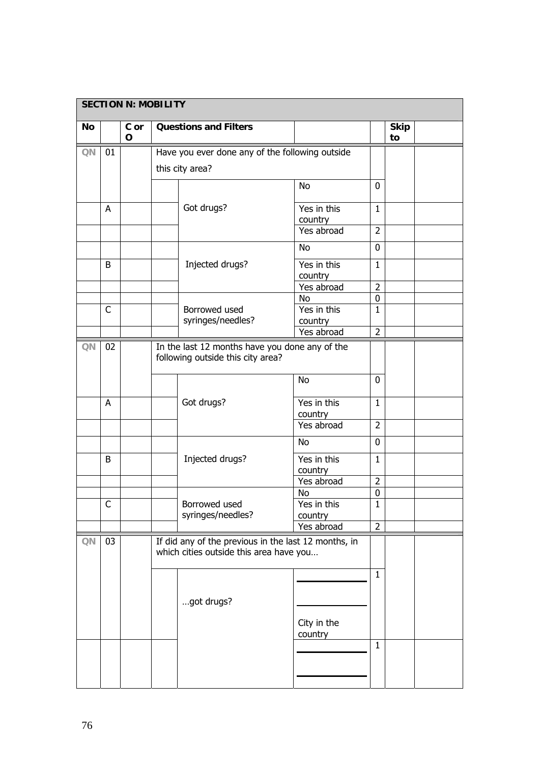|    |             | <b>SECTION N: MOBILITY</b> |            |                                                                                                 |                                     |                             |                   |  |
|----|-------------|----------------------------|------------|-------------------------------------------------------------------------------------------------|-------------------------------------|-----------------------------|-------------------|--|
| No |             | C or<br>$\mathbf O$        |            | <b>Questions and Filters</b>                                                                    |                                     |                             | <b>Skip</b><br>to |  |
| QN | 01          |                            |            | Have you ever done any of the following outside                                                 |                                     |                             |                   |  |
|    |             |                            |            | this city area?                                                                                 |                                     |                             |                   |  |
|    |             |                            |            |                                                                                                 | <b>No</b>                           | $\mathbf{0}$                |                   |  |
|    | A           |                            |            | Got drugs?                                                                                      | Yes in this<br>country              | $\mathbf{1}$                |                   |  |
|    |             |                            |            |                                                                                                 | Yes abroad                          | $\overline{2}$              |                   |  |
|    |             |                            |            |                                                                                                 | <b>No</b>                           | $\mathbf 0$                 |                   |  |
|    | B           |                            |            | Injected drugs?                                                                                 | Yes in this<br>country              | $\mathbf{1}$                |                   |  |
|    |             |                            |            |                                                                                                 | Yes abroad                          | $\overline{2}$              |                   |  |
|    | C           |                            |            | Borrowed used<br>syringes/needles?                                                              | <b>No</b><br>Yes in this<br>country | $\pmb{0}$<br>$\mathbf{1}$   |                   |  |
|    |             |                            | Yes abroad |                                                                                                 | $\overline{2}$                      |                             |                   |  |
| QN | 02          |                            |            | In the last 12 months have you done any of the<br>following outside this city area?             |                                     |                             |                   |  |
|    |             |                            |            |                                                                                                 | <b>No</b>                           | 0                           |                   |  |
|    | A           |                            |            | Got drugs?                                                                                      | Yes in this<br>country              | $\mathbf{1}$                |                   |  |
|    |             |                            |            |                                                                                                 | Yes abroad                          | $\overline{2}$              |                   |  |
|    |             |                            |            |                                                                                                 | No                                  | $\mathbf 0$                 |                   |  |
|    | B           |                            |            | Injected drugs?                                                                                 | Yes in this<br>country              | $\mathbf{1}$                |                   |  |
|    |             |                            |            |                                                                                                 | Yes abroad                          | $\overline{2}$              |                   |  |
|    | $\mathsf C$ |                            |            | Borrowed used                                                                                   | No<br>Yes in this                   | $\pmb{0}$<br>$\overline{1}$ |                   |  |
|    |             |                            |            | syringes/needles?                                                                               | country<br>Yes abroad               | $\overline{2}$              |                   |  |
| QN | 03          |                            |            | If did any of the previous in the last 12 months, in<br>which cities outside this area have you |                                     |                             |                   |  |
|    |             |                            |            |                                                                                                 |                                     | $\mathbf{1}$                |                   |  |
|    |             |                            |            | got drugs?                                                                                      | City in the                         |                             |                   |  |
|    |             |                            |            |                                                                                                 | country                             | $\mathbf{1}$                |                   |  |
|    |             |                            |            |                                                                                                 |                                     |                             |                   |  |
|    |             |                            |            |                                                                                                 |                                     |                             |                   |  |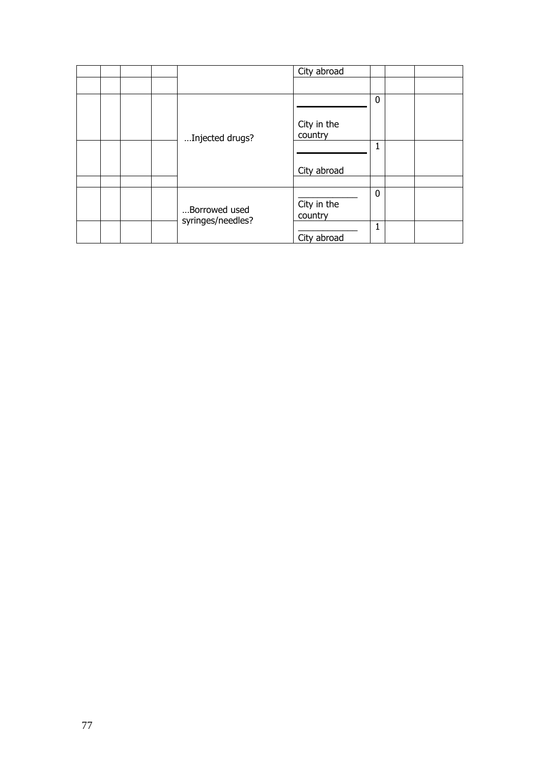|  |  |                                    | City abroad            |             |  |
|--|--|------------------------------------|------------------------|-------------|--|
|  |  |                                    |                        |             |  |
|  |  |                                    | City in the            | $\mathbf 0$ |  |
|  |  | Injected drugs?                    | country                |             |  |
|  |  |                                    |                        | 1           |  |
|  |  |                                    | City abroad            |             |  |
|  |  |                                    |                        |             |  |
|  |  | Borrowed used<br>syringes/needles? | City in the<br>country | $\mathbf 0$ |  |
|  |  |                                    | City abroad            | 1           |  |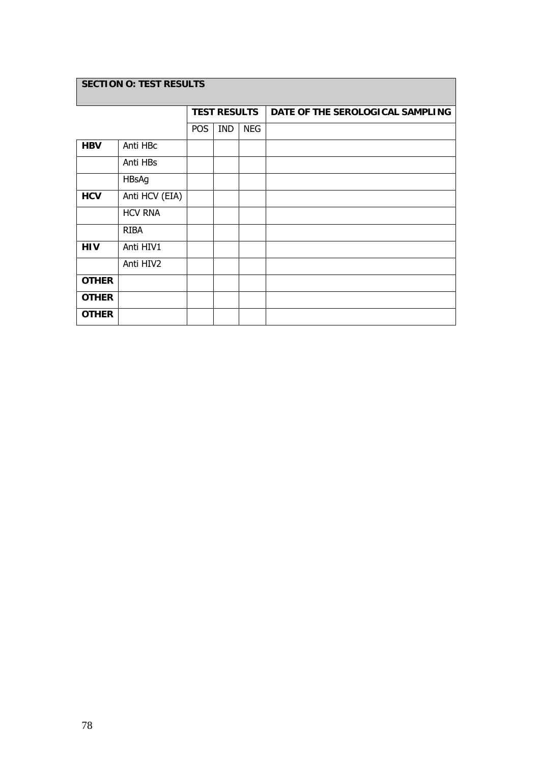## **SECTION O: TEST RESULTS**

|              |                |            | <b>TEST RESULTS</b> |            | DATE OF THE SEROLOGICAL SAMPLING |
|--------------|----------------|------------|---------------------|------------|----------------------------------|
|              |                | <b>POS</b> | <b>IND</b>          | <b>NEG</b> |                                  |
| <b>HBV</b>   | Anti HBc       |            |                     |            |                                  |
|              | Anti HBs       |            |                     |            |                                  |
|              | <b>HBsAg</b>   |            |                     |            |                                  |
| <b>HCV</b>   | Anti HCV (EIA) |            |                     |            |                                  |
|              | <b>HCV RNA</b> |            |                     |            |                                  |
|              | <b>RIBA</b>    |            |                     |            |                                  |
| <b>HIV</b>   | Anti HIV1      |            |                     |            |                                  |
|              | Anti HIV2      |            |                     |            |                                  |
| <b>OTHER</b> |                |            |                     |            |                                  |
| <b>OTHER</b> |                |            |                     |            |                                  |
| <b>OTHER</b> |                |            |                     |            |                                  |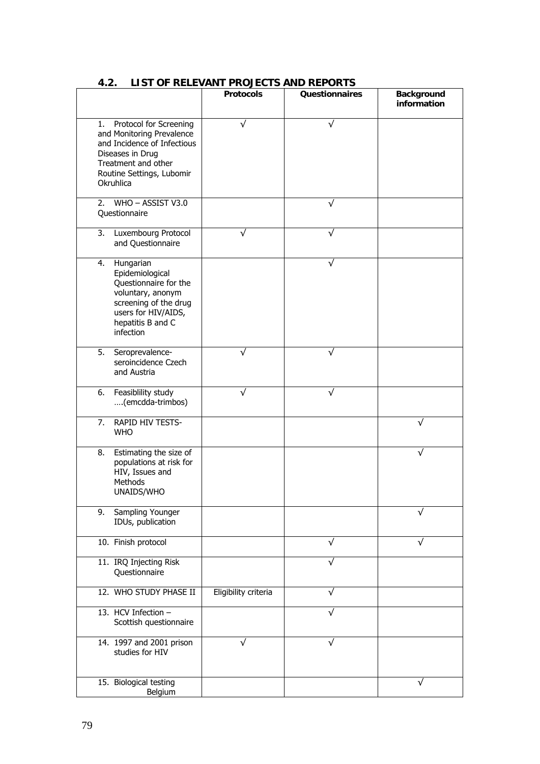|                                                                                                                                                                               | <b>Protocols</b>     | <b>Questionnaires</b> | <b>Background</b><br>information |
|-------------------------------------------------------------------------------------------------------------------------------------------------------------------------------|----------------------|-----------------------|----------------------------------|
| Protocol for Screening<br>1.<br>and Monitoring Prevalence<br>and Incidence of Infectious<br>Diseases in Drug<br>Treatment and other<br>Routine Settings, Lubomir<br>Okruhlica | $\sqrt{}$            | √                     |                                  |
| WHO - ASSIST V3.0<br>2.<br>Questionnaire                                                                                                                                      |                      |                       |                                  |
| 3.<br>Luxembourg Protocol<br>and Questionnaire                                                                                                                                | √                    | √                     |                                  |
| Hungarian<br>4.<br>Epidemiological<br>Questionnaire for the<br>voluntary, anonym<br>screening of the drug<br>users for HIV/AIDS,<br>hepatitis B and C<br>infection            |                      | √                     |                                  |
| 5.<br>Seroprevalence-<br>seroincidence Czech<br>and Austria                                                                                                                   |                      |                       |                                  |
| Feasiblility study<br>6.<br>(emcdda-trimbos)                                                                                                                                  | ν                    |                       |                                  |
| RAPID HIV TESTS-<br>7.<br><b>WHO</b>                                                                                                                                          |                      |                       | √                                |
| 8.<br>Estimating the size of<br>populations at risk for<br>HIV, Issues and<br>Methods<br>UNAIDS/WHO                                                                           |                      |                       |                                  |
| Sampling Younger<br>9.<br>IDUs, publication                                                                                                                                   |                      |                       |                                  |
| 10. Finish protocol                                                                                                                                                           |                      | √                     | √                                |
| 11. IRQ Injecting Risk<br>Questionnaire                                                                                                                                       |                      | √                     |                                  |
| 12. WHO STUDY PHASE II                                                                                                                                                        | Eligibility criteria | √                     |                                  |
| 13. HCV Infection -<br>Scottish questionnaire                                                                                                                                 |                      |                       |                                  |
| 14. 1997 and 2001 prison<br>studies for HIV                                                                                                                                   | ν                    |                       |                                  |
| 15. Biological testing<br>Belgium                                                                                                                                             |                      |                       | $\sqrt{}$                        |

### **4.2. LIST OF RELEVANT PROJECTS AND REPORTS**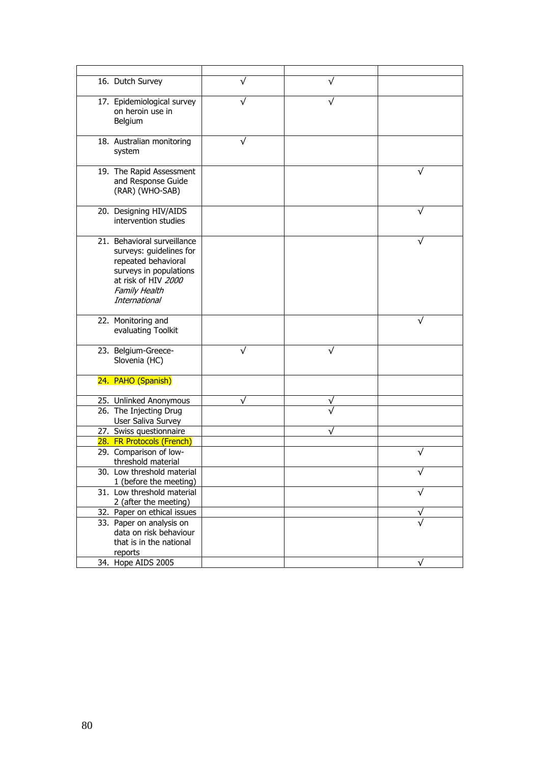| 16. Dutch Survey                                                                                                                                                 | ν |   |
|------------------------------------------------------------------------------------------------------------------------------------------------------------------|---|---|
| 17. Epidemiological survey<br>on heroin use in<br>Belgium                                                                                                        | ν |   |
| 18. Australian monitoring<br>system                                                                                                                              |   |   |
| 19. The Rapid Assessment<br>and Response Guide<br>(RAR) (WHO-SAB)                                                                                                |   |   |
| 20. Designing HIV/AIDS<br>intervention studies                                                                                                                   |   |   |
| 21. Behavioral surveillance<br>surveys: guidelines for<br>repeated behavioral<br>surveys in populations<br>at risk of HIV 2000<br>Family Health<br>International |   |   |
| 22. Monitoring and<br>evaluating Toolkit                                                                                                                         |   |   |
| 23. Belgium-Greece-<br>Slovenia (HC)                                                                                                                             | ν |   |
| 24. PAHO (Spanish)                                                                                                                                               |   |   |
| 25. Unlinked Anonymous                                                                                                                                           | ν |   |
| 26. The Injecting Drug<br>User Saliva Survey                                                                                                                     |   |   |
| 27. Swiss questionnaire                                                                                                                                          |   |   |
| 28. FR Protocols (French)                                                                                                                                        |   |   |
| 29. Comparison of low-<br>threshold material                                                                                                                     |   |   |
| 30. Low threshold material<br>1 (before the meeting)                                                                                                             |   |   |
| 31. Low threshold material<br>2 (after the meeting)                                                                                                              |   | √ |
| 32. Paper on ethical issues                                                                                                                                      |   |   |
| 33. Paper on analysis on<br>data on risk behaviour<br>that is in the national<br>reports                                                                         |   |   |
| 34. Hope AIDS 2005                                                                                                                                               |   | ν |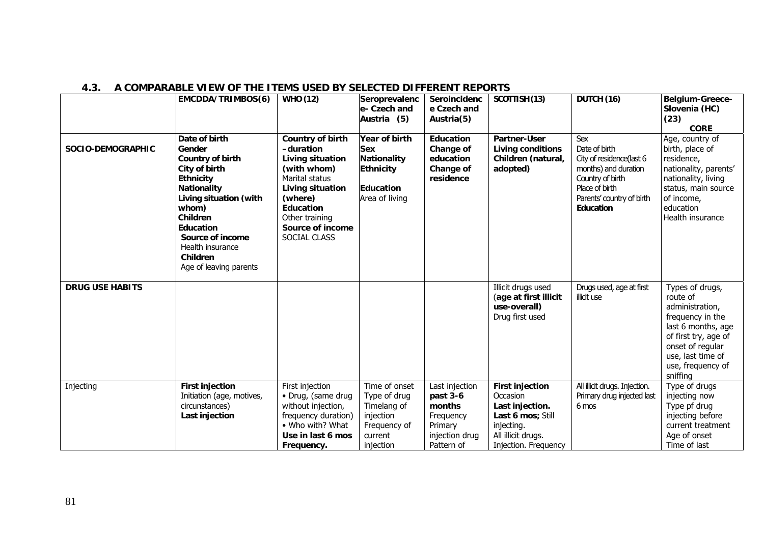|                        | <b>EMCDDA/TRIMBOS(6)</b>                                                                                                                                                                                                                                | <b>WHO (12)</b>                                                                                                                                                                             | Seroprevalenc<br>le- Czech and<br>Austria (5)                                                     | Seroincidenc<br>e Czech and<br>Austria(5)                                                    | SCOTTISH (13)                                                                                                                          | DUTCH (16)                                                                                                                                               | Belgium-Greece-<br>Slovenia (HC)<br>(23)<br><b>CORE</b>                                                                                                                                    |
|------------------------|---------------------------------------------------------------------------------------------------------------------------------------------------------------------------------------------------------------------------------------------------------|---------------------------------------------------------------------------------------------------------------------------------------------------------------------------------------------|---------------------------------------------------------------------------------------------------|----------------------------------------------------------------------------------------------|----------------------------------------------------------------------------------------------------------------------------------------|----------------------------------------------------------------------------------------------------------------------------------------------------------|--------------------------------------------------------------------------------------------------------------------------------------------------------------------------------------------|
| SOCIO-DEMOGRAPHIC      | Date of birth<br>Gender<br>Country of birth<br>City of birth<br><b>Ethnicity</b><br><b>Nationality</b><br>Living situation (with<br>whom)<br><b>Children</b><br>Education<br>Source of income<br>Health insurance<br>Children<br>Age of leaving parents | Country of birth<br>-duration<br>Living situation<br>(with whom)<br>Marital status<br>Living situation<br>(where)<br><b>Education</b><br>Other training<br>Source of income<br>SOCIAL CLASS | Year of birth<br><b>Sex</b><br>Nationality<br><b>Ethnicity</b><br>Education<br>Area of living     | <b>Education</b><br>Change of<br>education<br>Change of<br>residence                         | Partner-User<br><b>Living conditions</b><br>Children (natural,<br>adopted)                                                             | Sex<br>Date of birth<br>City of residence(last 6<br>months) and duration<br>Country of birth<br>Place of birth<br>Parents' country of birth<br>Education | Age, country of<br>birth, place of<br>residence,<br>nationality, parents'<br>nationality, living<br>status, main source<br>of income,<br>education<br>Health insurance                     |
| <b>DRUG USE HABITS</b> |                                                                                                                                                                                                                                                         |                                                                                                                                                                                             |                                                                                                   |                                                                                              | Illicit drugs used<br>(age at first illicit<br>use-overall)<br>Drug first used                                                         | Drugs used, age at first<br>illicit use                                                                                                                  | Types of drugs,<br>route of<br>administration,<br>frequency in the<br>last 6 months, age<br>of first try, age of<br>onset of regular<br>use, last time of<br>use, frequency of<br>sniffing |
| Injecting              | <b>First injection</b><br>Initiation (age, motives,<br>circunstances)<br>Last injection                                                                                                                                                                 | First injection<br>• Drug, (same drug<br>without injection,<br>frequency duration)<br>• Who with? What<br>Use in last 6 mos<br>Frequency.                                                   | Time of onset<br>Type of drug<br>Timelang of<br>injection<br>Frequency of<br>current<br>injection | Last injection<br>past 3-6<br>months<br>Frequency<br>Primary<br>injection drug<br>Pattern of | <b>First injection</b><br>Occasion<br>Last injection.<br>Last 6 mos; Still<br>injecting.<br>All illicit drugs.<br>Injection. Frequency | All illicit drugs. Injection.<br>Primary drug injected last<br>6 mos                                                                                     | Type of drugs<br>injecting now<br>Type pf drug<br>injecting before<br>current treatment<br>Age of onset<br>Time of last                                                                    |

#### **4.3. A COMPARABLE VIEW OF THE ITEMS USED BY SELECTED DIFFERENT REPORTS**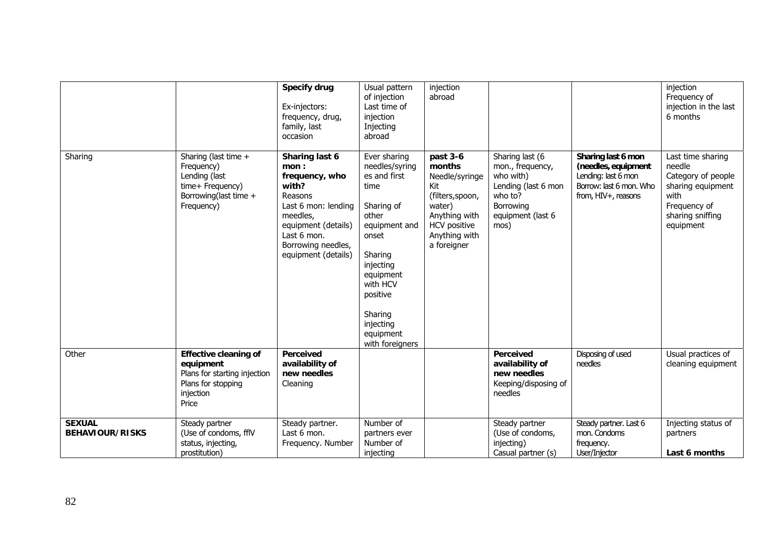|                                         |                                                                                                                       | <b>Specify drug</b><br>Ex-injectors:<br>frequency, drug,<br>family, last<br>occasion                                                                                               | Usual pattern<br>of injection<br>Last time of<br>injection<br>Injecting<br>abroad                                                                                                                                            | injection<br>abroad                                                                                                                        |                                                                                                                              |                                                                                                                    | injection<br>Frequency of<br>injection in the last<br>6 months                                                                  |
|-----------------------------------------|-----------------------------------------------------------------------------------------------------------------------|------------------------------------------------------------------------------------------------------------------------------------------------------------------------------------|------------------------------------------------------------------------------------------------------------------------------------------------------------------------------------------------------------------------------|--------------------------------------------------------------------------------------------------------------------------------------------|------------------------------------------------------------------------------------------------------------------------------|--------------------------------------------------------------------------------------------------------------------|---------------------------------------------------------------------------------------------------------------------------------|
| Sharing                                 | Sharing (last time +<br>Frequency)<br>Lending (last<br>time+ Frequency)<br>Borrowing(last time +<br>Frequency)        | Sharing last 6<br>mon:<br>frequency, who<br>with?<br>Reasons<br>Last 6 mon: lending<br>meedles,<br>equipment (details)<br>Last 6 mon.<br>Borrowing needles,<br>equipment (details) | Ever sharing<br>needles/syring<br>es and first<br>time<br>Sharing of<br>other<br>equipment and<br>onset<br>Sharing<br>injecting<br>equipment<br>with HCV<br>positive<br>Sharing<br>injecting<br>equipment<br>with foreigners | past 3-6<br>months<br>Needle/syringe<br>Kit<br>(filters, spoon,<br>water)<br>Anything with<br>HCV positive<br>Anything with<br>a foreigner | Sharing last (6<br>mon., frequency,<br>who with)<br>Lending (last 6 mon<br>who to?<br>Borrowing<br>equipment (last 6<br>mos) | Sharing last 6 mon<br>(needles, equipment<br>Lending: last 6 mon<br>Borrow: last 6 mon. Who<br>from, HIV+, reasons | Last time sharing<br>needle<br>Category of people<br>sharing equipment<br>with<br>Frequency of<br>sharing sniffing<br>equipment |
| Other                                   | <b>Effective cleaning of</b><br>equipment<br>Plans for starting injection<br>Plans for stopping<br>injection<br>Price | Perceived<br>availability of<br>new needles<br>Cleaning                                                                                                                            |                                                                                                                                                                                                                              |                                                                                                                                            | Perceived<br>availability of<br>new needles<br>Keeping/disposing of<br>needles                                               | Disposing of used<br>needles                                                                                       | Usual practices of<br>cleaning equipment                                                                                        |
| <b>SEXUAL</b><br><b>BEHAVIOUR/RISKS</b> | Steady partner<br>(Use of condoms, fflV<br>status, injecting,<br>prostitution)                                        | Steady partner.<br>Last 6 mon.<br>Frequency. Number                                                                                                                                | Number of<br>partners ever<br>Number of<br>injecting                                                                                                                                                                         |                                                                                                                                            | Steady partner<br>(Use of condoms,<br>injecting)<br>Casual partner (s)                                                       | Steady partner. Last 6<br>mon. Condoms<br>frequency.<br>User/Injector                                              | Injecting status of<br>partners<br>Last 6 months                                                                                |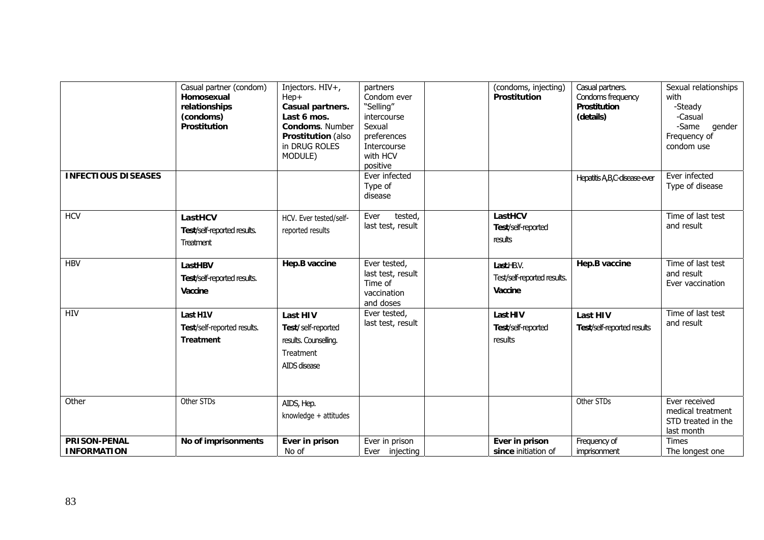|                                           | Casual partner (condom)<br>Homosexual<br>relationships<br>(condoms)<br><b>Prostitution</b> | Injectors. HIV+,<br>Hep+<br>Casual partners.<br>Last 6 mos.<br>Condoms. Number<br>Prostitution (also<br>in DRUG ROLES<br>MODULE) | partners<br>Condom ever<br>"Selling"<br>intercourse<br>Sexual<br>preferences<br>Intercourse<br>with HCV<br>positive | <b>Prostitution</b>                       | (condoms, injecting)        | Casual partners.<br>Condoms frequency<br><b>Prostitution</b><br>(details) | Sexual relationships<br>with<br>-Steady<br>-Casual<br>-Same<br>gender<br>Frequency of<br>condom use |
|-------------------------------------------|--------------------------------------------------------------------------------------------|----------------------------------------------------------------------------------------------------------------------------------|---------------------------------------------------------------------------------------------------------------------|-------------------------------------------|-----------------------------|---------------------------------------------------------------------------|-----------------------------------------------------------------------------------------------------|
| <b>INFECTIOUS DISEASES</b>                |                                                                                            |                                                                                                                                  | Ever infected<br>Type of<br>disease                                                                                 |                                           |                             | Hepatitis A, B, C-disease ever                                            | Ever infected<br>Type of disease                                                                    |
| <b>HCV</b>                                | LastHCV<br>Test/self-reported results.<br><b>Treatment</b>                                 | HCV. Ever tested/self-<br>reported results                                                                                       | tested,<br>Ever<br>last test, result                                                                                | LastHCV<br>Test/self-reported<br>results  |                             |                                                                           | Time of last test<br>and result                                                                     |
| <b>HBV</b>                                | LastHBV<br>Test/self-reported results.<br>Vaccine                                          | Hep.B vaccine                                                                                                                    | Ever tested,<br>last test, result<br>Time of<br>vaccination<br>and doses                                            | Last.HBV.<br>Vaccine                      | Test/self-reported results. | Hep.B vaccine                                                             | Time of last test<br>and result<br>Ever vaccination                                                 |
| <b>HIV</b>                                | Last H1V<br>Test/self-reported results.<br><b>Treatment</b>                                | <b>Last HIV</b><br>Test/self-reported<br>results. Counselling.<br>Treatment<br>AIDS disease                                      | Ever tested,<br>last test, result                                                                                   | Last HIV<br>Test/self-reported<br>results |                             | <b>Last HIV</b><br>Test/self-reported results                             | Time of last test<br>and result                                                                     |
| Other                                     | Other STDs                                                                                 | AIDS, Hep.<br>knowledge + attitudes                                                                                              |                                                                                                                     |                                           |                             | Other STDs                                                                | Ever received<br>medical treatment<br>STD treated in the<br>last month                              |
| <b>PRISON-PENAL</b><br><b>INFORMATION</b> | No of imprisonments                                                                        | Ever in prison<br>No of                                                                                                          | Ever in prison<br>Ever injecting                                                                                    | Ever in prison                            | since initiation of         | Frequency of<br>imprisonment                                              | <b>Times</b><br>The longest one                                                                     |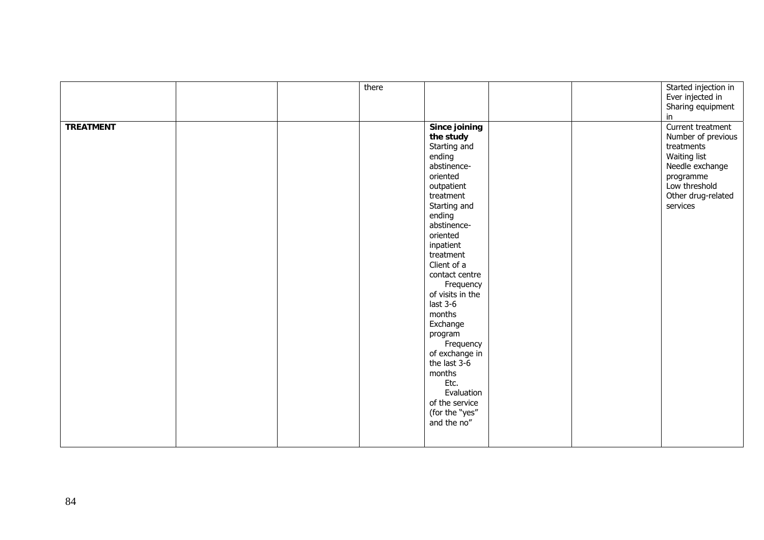|                  |  | there |                  |  | Started injection in |
|------------------|--|-------|------------------|--|----------------------|
|                  |  |       |                  |  | Ever injected in     |
|                  |  |       |                  |  | Sharing equipment    |
|                  |  |       |                  |  | in                   |
| <b>TREATMENT</b> |  |       | Since joining    |  | Current treatment    |
|                  |  |       | the study        |  | Number of previous   |
|                  |  |       | Starting and     |  | treatments           |
|                  |  |       | ending           |  | Waiting list         |
|                  |  |       | abstinence-      |  | Needle exchange      |
|                  |  |       | oriented         |  | programme            |
|                  |  |       | outpatient       |  | Low threshold        |
|                  |  |       | treatment        |  | Other drug-related   |
|                  |  |       | Starting and     |  | services             |
|                  |  |       | ending           |  |                      |
|                  |  |       | abstinence-      |  |                      |
|                  |  |       | oriented         |  |                      |
|                  |  |       | inpatient        |  |                      |
|                  |  |       | treatment        |  |                      |
|                  |  |       | Client of a      |  |                      |
|                  |  |       | contact centre   |  |                      |
|                  |  |       |                  |  |                      |
|                  |  |       | Frequency        |  |                      |
|                  |  |       | of visits in the |  |                      |
|                  |  |       | last $3-6$       |  |                      |
|                  |  |       | months           |  |                      |
|                  |  |       | Exchange         |  |                      |
|                  |  |       | program          |  |                      |
|                  |  |       | Frequency        |  |                      |
|                  |  |       | of exchange in   |  |                      |
|                  |  |       | the last 3-6     |  |                      |
|                  |  |       | months           |  |                      |
|                  |  |       | Etc.             |  |                      |
|                  |  |       | Evaluation       |  |                      |
|                  |  |       | of the service   |  |                      |
|                  |  |       | (for the "yes"   |  |                      |
|                  |  |       | and the no"      |  |                      |
|                  |  |       |                  |  |                      |
|                  |  |       |                  |  |                      |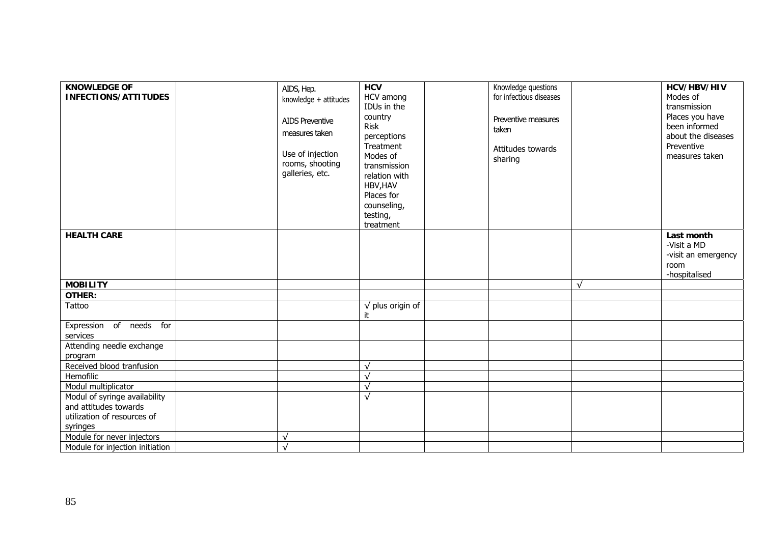| <b>KNOWLEDGE OF</b><br><b>INFECTIONS/ATTITUDES</b> | AIDS, Hep.<br>knowledge + attitudes<br><b>AIDS Preventive</b><br>measures taken<br>Use of injection<br>rooms, shooting<br>galleries, etc. | <b>HCV</b><br>HCV among<br>IDUs in the<br>country<br><b>Risk</b><br>perceptions<br>Treatment<br>Modes of<br>transmission<br>relation with<br>HBV, HAV<br>Places for<br>counseling,<br>testing,<br>treatment | Knowledge questions<br>for infectious diseases<br>Preventive measures<br>taken<br>Attitudes towards<br>sharing |              | HCV/HBV/HIV<br>Modes of<br>transmission<br>Places you have<br>been informed<br>about the diseases<br>Preventive<br>measures taken |
|----------------------------------------------------|-------------------------------------------------------------------------------------------------------------------------------------------|-------------------------------------------------------------------------------------------------------------------------------------------------------------------------------------------------------------|----------------------------------------------------------------------------------------------------------------|--------------|-----------------------------------------------------------------------------------------------------------------------------------|
| <b>HEALTH CARE</b>                                 |                                                                                                                                           |                                                                                                                                                                                                             |                                                                                                                |              | Last month                                                                                                                        |
|                                                    |                                                                                                                                           |                                                                                                                                                                                                             |                                                                                                                |              | -Visit a MD<br>-visit an emergency                                                                                                |
|                                                    |                                                                                                                                           |                                                                                                                                                                                                             |                                                                                                                |              | room                                                                                                                              |
|                                                    |                                                                                                                                           |                                                                                                                                                                                                             |                                                                                                                |              | -hospitalised                                                                                                                     |
| <b>MOBILITY</b>                                    |                                                                                                                                           |                                                                                                                                                                                                             |                                                                                                                | $\mathbf{v}$ |                                                                                                                                   |
| <b>OTHER:</b>                                      |                                                                                                                                           |                                                                                                                                                                                                             |                                                                                                                |              |                                                                                                                                   |
| Tattoo                                             |                                                                                                                                           | $\sqrt{}$ plus origin of<br>it                                                                                                                                                                              |                                                                                                                |              |                                                                                                                                   |
| Expression of needs for                            |                                                                                                                                           |                                                                                                                                                                                                             |                                                                                                                |              |                                                                                                                                   |
| services                                           |                                                                                                                                           |                                                                                                                                                                                                             |                                                                                                                |              |                                                                                                                                   |
| Attending needle exchange<br>program               |                                                                                                                                           |                                                                                                                                                                                                             |                                                                                                                |              |                                                                                                                                   |
| Received blood tranfusion                          |                                                                                                                                           |                                                                                                                                                                                                             |                                                                                                                |              |                                                                                                                                   |
| Hemofilic                                          |                                                                                                                                           |                                                                                                                                                                                                             |                                                                                                                |              |                                                                                                                                   |
| Modul multiplicator                                |                                                                                                                                           |                                                                                                                                                                                                             |                                                                                                                |              |                                                                                                                                   |
| Modul of syringe availability                      |                                                                                                                                           | $\sqrt{ }$                                                                                                                                                                                                  |                                                                                                                |              |                                                                                                                                   |
| and attitudes towards                              |                                                                                                                                           |                                                                                                                                                                                                             |                                                                                                                |              |                                                                                                                                   |
| utilization of resources of                        |                                                                                                                                           |                                                                                                                                                                                                             |                                                                                                                |              |                                                                                                                                   |
| syringes                                           |                                                                                                                                           |                                                                                                                                                                                                             |                                                                                                                |              |                                                                                                                                   |
| Module for never injectors                         | $\sqrt{ }$                                                                                                                                |                                                                                                                                                                                                             |                                                                                                                |              |                                                                                                                                   |
| Module for injection initiation                    | $\sqrt{ }$                                                                                                                                |                                                                                                                                                                                                             |                                                                                                                |              |                                                                                                                                   |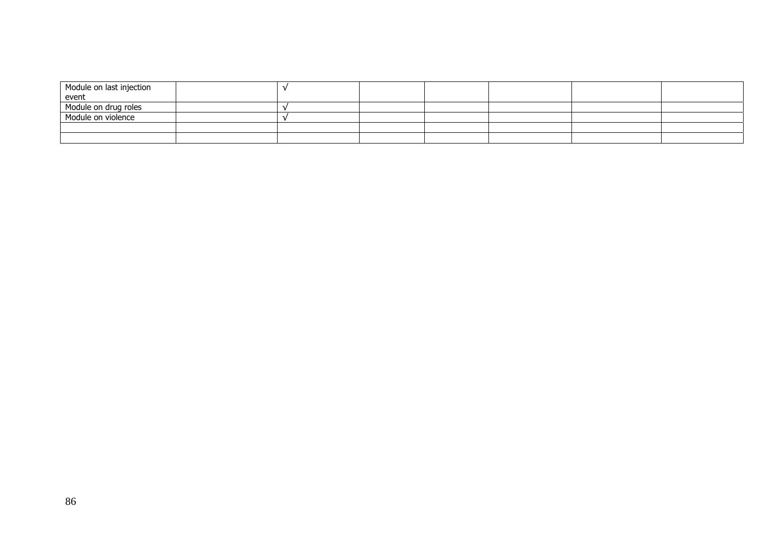| Module on last injection |  |  |  |  |
|--------------------------|--|--|--|--|
| event                    |  |  |  |  |
| Module on drug roles     |  |  |  |  |
| Module on violence       |  |  |  |  |
|                          |  |  |  |  |
|                          |  |  |  |  |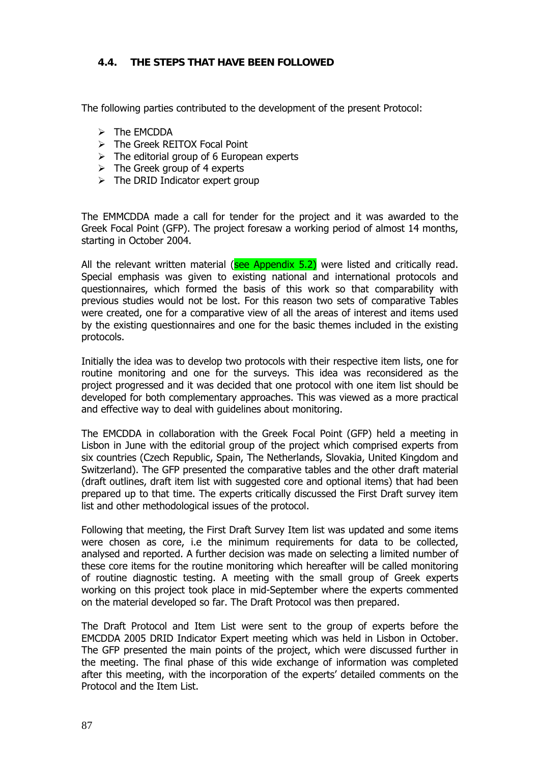#### **4.4. THE STEPS THAT HAVE BEEN FOLLOWED**

The following parties contributed to the development of the present Protocol:

- $\triangleright$  The EMCDDA
- ¾ The Greek REITOX Focal Point
- $\triangleright$  The editorial group of 6 European experts
- $\triangleright$  The Greek group of 4 experts
- $\triangleright$  The DRID Indicator expert group

The EMMCDDA made a call for tender for the project and it was awarded to the Greek Focal Point (GFP). The project foresaw a working period of almost 14 months, starting in October 2004.

All the relevant written material (see Appendix  $5.2$ ) were listed and critically read. Special emphasis was given to existing national and international protocols and questionnaires, which formed the basis of this work so that comparability with previous studies would not be lost. For this reason two sets of comparative Tables were created, one for a comparative view of all the areas of interest and items used by the existing questionnaires and one for the basic themes included in the existing protocols.

Initially the idea was to develop two protocols with their respective item lists, one for routine monitoring and one for the surveys. This idea was reconsidered as the project progressed and it was decided that one protocol with one item list should be developed for both complementary approaches. This was viewed as a more practical and effective way to deal with guidelines about monitoring.

The EMCDDA in collaboration with the Greek Focal Point (GFP) held a meeting in Lisbon in June with the editorial group of the project which comprised experts from six countries (Czech Republic, Spain, The Netherlands, Slovakia, United Kingdom and Switzerland). The GFP presented the comparative tables and the other draft material (draft outlines, draft item list with suggested core and optional items) that had been prepared up to that time. The experts critically discussed the First Draft survey item list and other methodological issues of the protocol.

Following that meeting, the First Draft Survey Item list was updated and some items were chosen as core, i.e the minimum requirements for data to be collected, analysed and reported. A further decision was made on selecting a limited number of these core items for the routine monitoring which hereafter will be called monitoring of routine diagnostic testing. A meeting with the small group of Greek experts working on this project took place in mid-September where the experts commented on the material developed so far. The Draft Protocol was then prepared.

The Draft Protocol and Item List were sent to the group of experts before the EMCDDA 2005 DRID Indicator Expert meeting which was held in Lisbon in October. The GFP presented the main points of the project, which were discussed further in the meeting. The final phase of this wide exchange of information was completed after this meeting, with the incorporation of the experts' detailed comments on the Protocol and the Item List.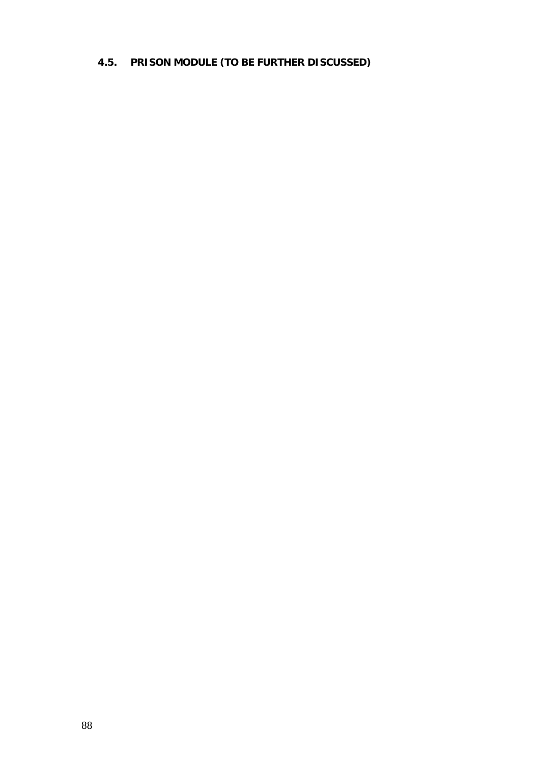# **4.5. PRISON MODULE (TO BE FURTHER DISCUSSED)**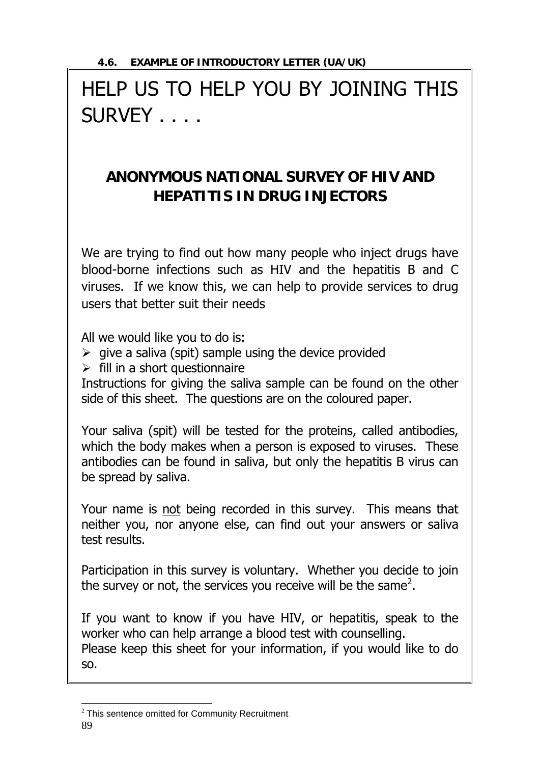# HELP US TO HELP YOU BY JOINING THIS SURVEY . . . .

# **ANONYMOUS NATIONAL SURVEY OF HIV AND HEPATITIS IN DRUG INJECTORS**

We are trying to find out how many people who inject drugs have blood-borne infections such as HIV and the hepatitis B and C viruses. If we know this, we can help to provide services to drug users that better suit their needs

All we would like you to do is:

- $\triangleright$  give a saliva (spit) sample using the device provided
- $\triangleright$  fill in a short questionnaire

Instructions for giving the saliva sample can be found on the other side of this sheet. The questions are on the coloured paper.

Your saliva (spit) will be tested for the proteins, called antibodies, which the body makes when a person is exposed to viruses. These antibodies can be found in saliva, but only the hepatitis B virus can be spread by saliva.

Your name is not being recorded in this survey. This means that neither you, nor anyone else, can find out your answers or saliva test results.

Participation in this survey is voluntary. Whether you decide to join the survey or not, the services you receive will be the same<sup>2</sup>.

If you want to know if you have HIV, or hepatitis, speak to the worker who can help arrange a blood test with counselling. Please keep this sheet for your information, if you would like to do so.

<sup>89</sup>   $\overline{a}$  $2$  This sentence omitted for Community Recruitment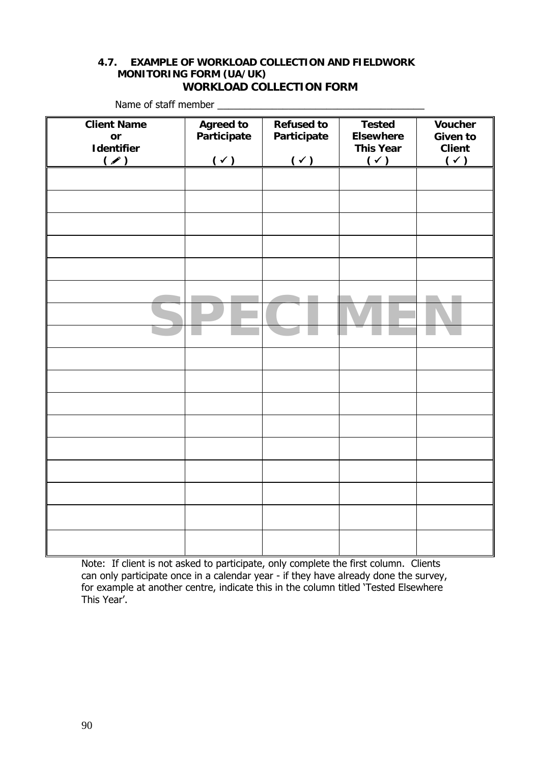#### **4.7. EXAMPLE OF WORKLOAD COLLECTION AND FIELDWORK MONITORING FORM (UA/UK) WORKLOAD COLLECTION FORM**

| <b>Client Name</b> | <b>Agreed to</b> | <b>Refused to</b> | <b>Tested</b>    | <b>Voucher</b>  |
|--------------------|------------------|-------------------|------------------|-----------------|
| or                 | Participate      | Participate       | <b>Elsewhere</b> | <b>Given to</b> |
| Identifier         |                  |                   | <b>This Year</b> | <b>Client</b>   |
| (                  | $(\checkmark)$   | $(\checkmark)$    | $(\checkmark)$   | $(\check{y})$   |
|                    |                  |                   |                  |                 |
|                    |                  |                   |                  |                 |
|                    |                  |                   |                  |                 |
|                    |                  |                   |                  |                 |
|                    |                  |                   |                  |                 |
|                    |                  |                   |                  |                 |
|                    |                  |                   |                  |                 |
|                    |                  |                   |                  |                 |
|                    |                  |                   |                  |                 |
|                    |                  |                   |                  |                 |
|                    |                  |                   |                  |                 |
|                    |                  |                   |                  |                 |
|                    |                  |                   |                  |                 |
|                    |                  |                   |                  |                 |
|                    |                  |                   |                  |                 |
|                    |                  |                   |                  |                 |
|                    |                  |                   |                  |                 |
|                    |                  |                   |                  |                 |
|                    |                  |                   |                  |                 |
|                    |                  |                   |                  |                 |
|                    |                  |                   |                  |                 |
|                    |                  |                   |                  |                 |
|                    |                  |                   |                  |                 |
|                    |                  |                   |                  |                 |
|                    |                  |                   |                  |                 |
|                    |                  |                   |                  |                 |
|                    |                  |                   |                  |                 |
|                    |                  |                   |                  |                 |
|                    |                  |                   |                  |                 |
|                    |                  |                   |                  |                 |
|                    |                  |                   |                  |                 |
|                    |                  |                   |                  |                 |
|                    |                  |                   |                  |                 |
|                    |                  |                   |                  |                 |

Name of staff member

Note: If client is not asked to participate, only complete the first column. Clients can only participate once in a calendar year - if they have already done the survey, for example at another centre, indicate this in the column titled 'Tested Elsewhere This Year'.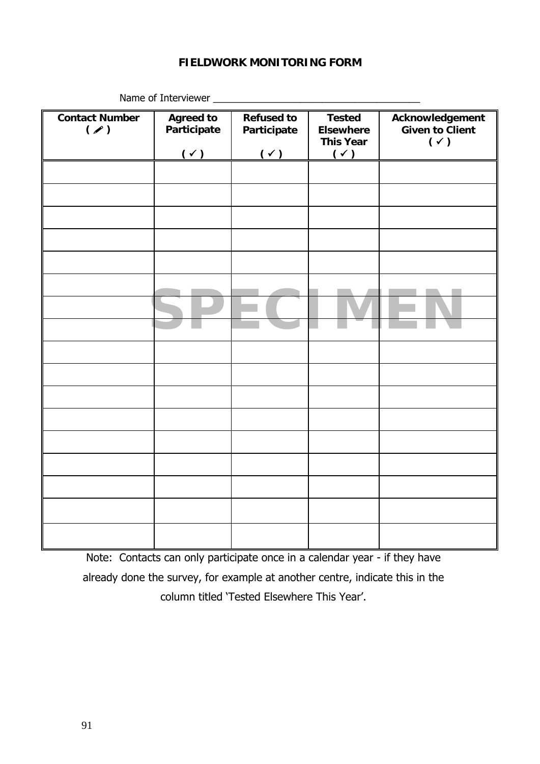#### **FIELDWORK MONITORING FORM**

| <b>Contact Number</b><br>( | <b>Agreed to</b><br>Participate | <b>Refused to</b><br>Participate | <b>Tested</b><br><b>Elsewhere</b><br><b>This Year</b> | Acknowledgement<br><b>Given to Client</b><br>$(\check{ }')$ |
|----------------------------|---------------------------------|----------------------------------|-------------------------------------------------------|-------------------------------------------------------------|
|                            | $(\checkmark)$                  | $(\checkmark)$                   | $(\checkmark)$                                        |                                                             |
|                            |                                 |                                  |                                                       |                                                             |
|                            |                                 |                                  |                                                       |                                                             |
|                            |                                 |                                  |                                                       |                                                             |
|                            |                                 |                                  |                                                       |                                                             |
|                            |                                 |                                  |                                                       |                                                             |
|                            |                                 |                                  |                                                       |                                                             |
|                            |                                 |                                  |                                                       |                                                             |
|                            |                                 |                                  |                                                       |                                                             |
|                            |                                 |                                  |                                                       |                                                             |
|                            |                                 |                                  |                                                       |                                                             |
|                            |                                 |                                  |                                                       |                                                             |
|                            |                                 |                                  |                                                       |                                                             |
|                            |                                 |                                  |                                                       |                                                             |
|                            |                                 |                                  |                                                       |                                                             |
|                            |                                 |                                  |                                                       |                                                             |
|                            |                                 |                                  |                                                       |                                                             |
|                            |                                 |                                  |                                                       |                                                             |

Name of Interviewer \_\_\_\_\_\_\_\_\_\_\_\_\_\_\_\_\_\_\_\_\_\_\_\_\_\_\_\_\_\_\_\_\_\_\_\_\_\_

Note: Contacts can only participate once in a calendar year - if they have already done the survey, for example at another centre, indicate this in the column titled 'Tested Elsewhere This Year'.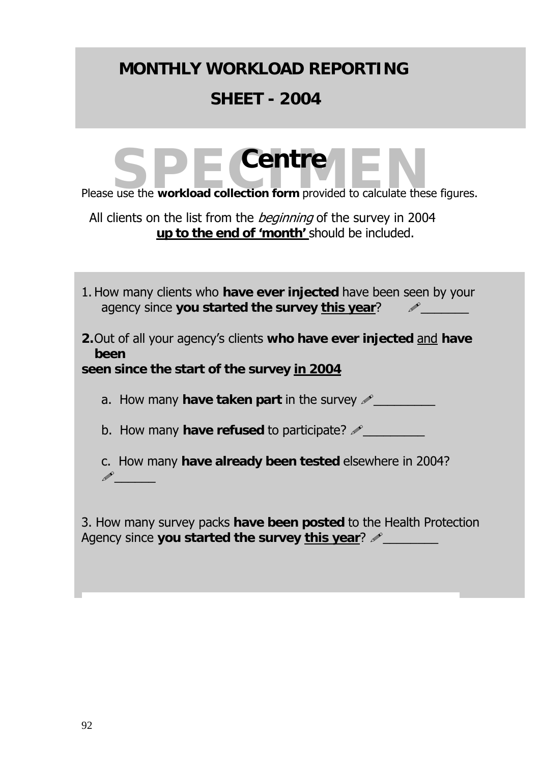# **MONTHLY WORKLOAD REPORTING SHEET - 2004**

# Please use the **workload collection form** provided to calculate these figures. **Centre**

All clients on the list from the *beginning* of the survey in 2004 **up to the end of 'month'** should be included.

| 1. How many clients who have ever injected have been seen by your<br>agency since you started the survey this year?       |
|---------------------------------------------------------------------------------------------------------------------------|
| 2. Out of all your agency's clients who have ever injected and have<br>been<br>seen since the start of the survey in 2004 |
| a. How many <b>have taken part</b> in the survey $\mathscr{P}$                                                            |
| b. How many have refused to participate? $\mathscr{P}_\perp$                                                              |
| c. How many have already been tested elsewhere in 2004?                                                                   |

3. How many survey packs **have been posted** to the Health Protection Agency since you started the survey this year?  $\mathscr{P}$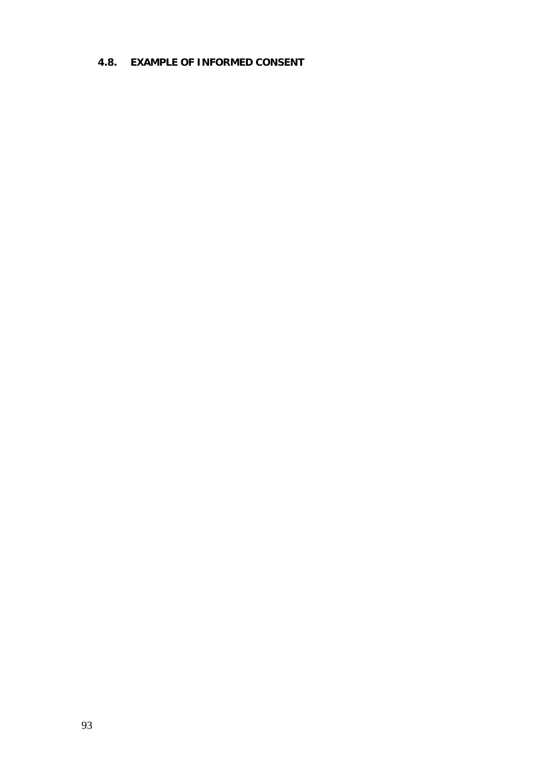#### **4.8. EXAMPLE OF INFORMED CONSENT**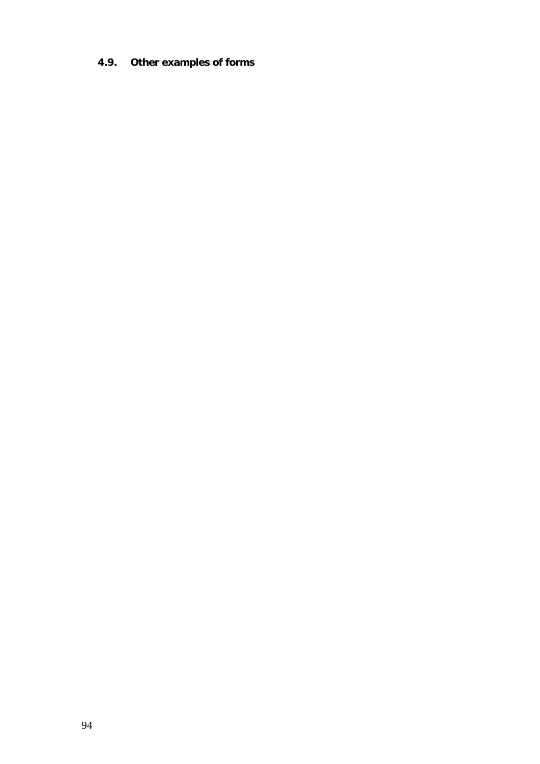## **4.9. Other examples of forms**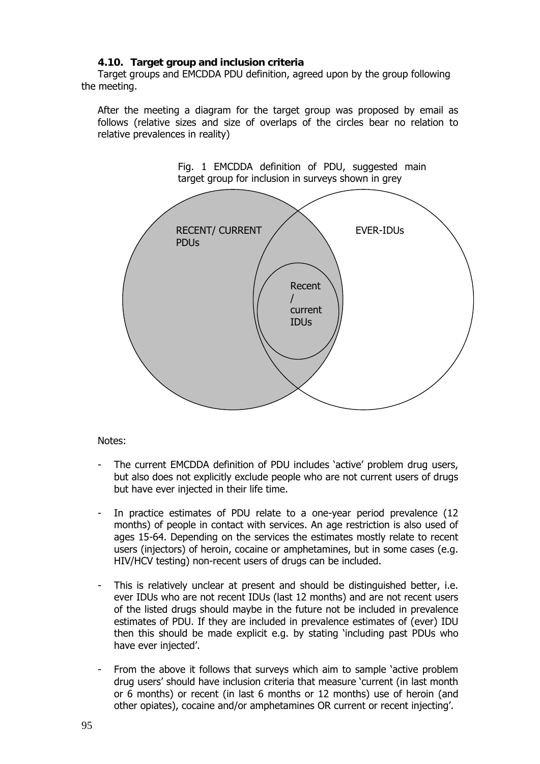#### **4.10. Target group and inclusion criteria**

Target groups and EMCDDA PDU definition, agreed upon by the group following the meeting.

After the meeting a diagram for the target group was proposed by email as follows (relative sizes and size of overlaps of the circles bear no relation to relative prevalences in reality)



Notes:

- The current EMCDDA definition of PDU includes 'active' problem drug users, but also does not explicitly exclude people who are not current users of drugs but have ever injected in their life time.
- In practice estimates of PDU relate to a one-year period prevalence (12 months) of people in contact with services. An age restriction is also used of ages 15-64. Depending on the services the estimates mostly relate to recent users (injectors) of heroin, cocaine or amphetamines, but in some cases (e.g. HIV/HCV testing) non-recent users of drugs can be included.
- This is relatively unclear at present and should be distinguished better, i.e. ever IDUs who are not recent IDUs (last 12 months) and are not recent users of the listed drugs should maybe in the future not be included in prevalence estimates of PDU. If they are included in prevalence estimates of (ever) IDU then this should be made explicit e.g. by stating 'including past PDUs who have ever injected'.
- From the above it follows that surveys which aim to sample 'active problem drug users' should have inclusion criteria that measure 'current (in last month or 6 months) or recent (in last 6 months or 12 months) use of heroin (and other opiates), cocaine and/or amphetamines OR current or recent injecting'.